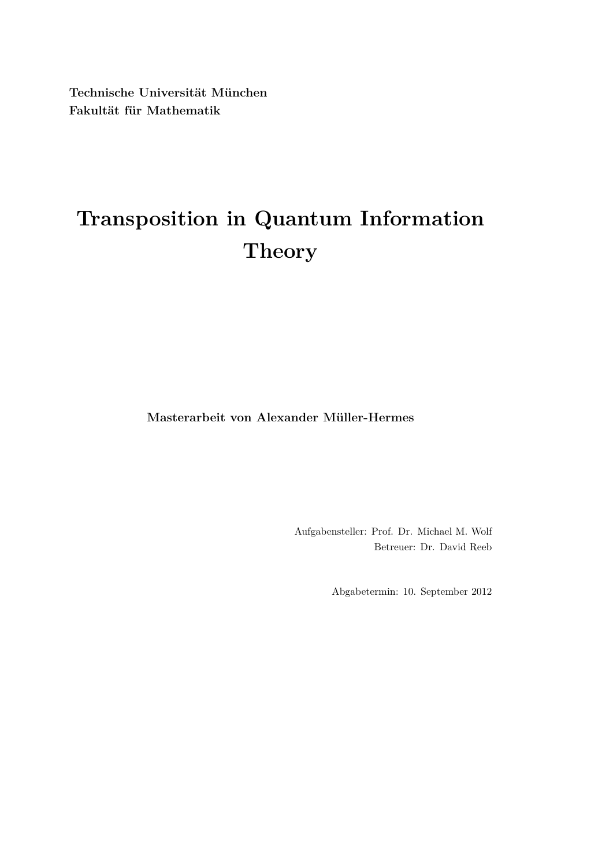**Technische Universität München Fakultät für Mathematik**

# **Transposition in Quantum Information Theory**

**Masterarbeit von Alexander Müller-Hermes**

Aufgabensteller: Prof. Dr. Michael M. Wolf Betreuer: Dr. David Reeb

Abgabetermin: 10. September 2012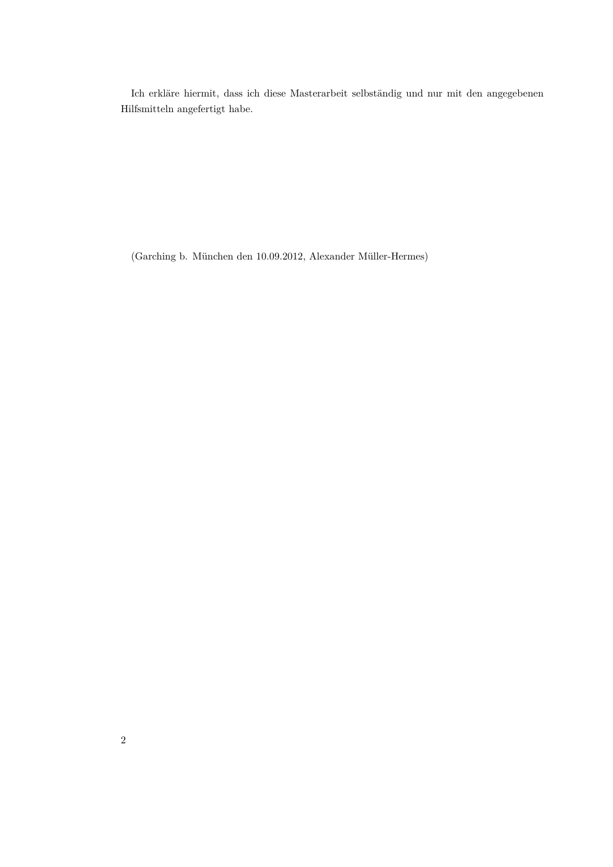Ich erkläre hiermit, dass ich diese Masterarbeit selbständig und nur mit den angegebenen Hilfsmitteln angefertigt habe.

(Garching b. München den 10.09.2012, Alexander Müller-Hermes)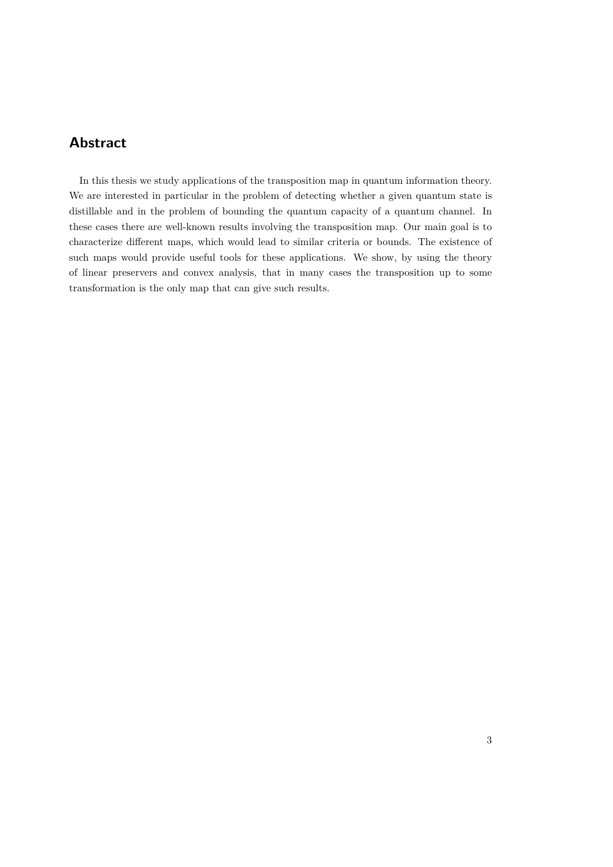# **Abstract**

In this thesis we study applications of the transposition map in quantum information theory. We are interested in particular in the problem of detecting whether a given quantum state is distillable and in the problem of bounding the quantum capacity of a quantum channel. In these cases there are well-known results involving the transposition map. Our main goal is to characterize different maps, which would lead to similar criteria or bounds. The existence of such maps would provide useful tools for these applications. We show, by using the theory of linear preservers and convex analysis, that in many cases the transposition up to some transformation is the only map that can give such results.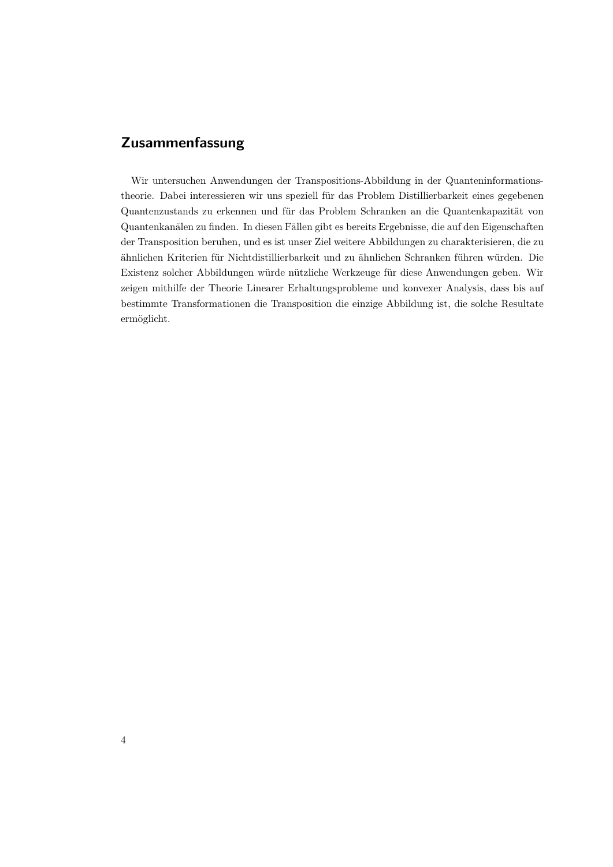# **Zusammenfassung**

Wir untersuchen Anwendungen der Transpositions-Abbildung in der Quanteninformationstheorie. Dabei interessieren wir uns speziell für das Problem Distillierbarkeit eines gegebenen Quantenzustands zu erkennen und für das Problem Schranken an die Quantenkapazität von Quantenkanälen zu finden. In diesen Fällen gibt es bereits Ergebnisse, die auf den Eigenschaften der Transposition beruhen, und es ist unser Ziel weitere Abbildungen zu charakterisieren, die zu ähnlichen Kriterien für Nichtdistillierbarkeit und zu ähnlichen Schranken führen würden. Die Existenz solcher Abbildungen würde nützliche Werkzeuge für diese Anwendungen geben. Wir zeigen mithilfe der Theorie Linearer Erhaltungsprobleme und konvexer Analysis, dass bis auf bestimmte Transformationen die Transposition die einzige Abbildung ist, die solche Resultate ermöglicht.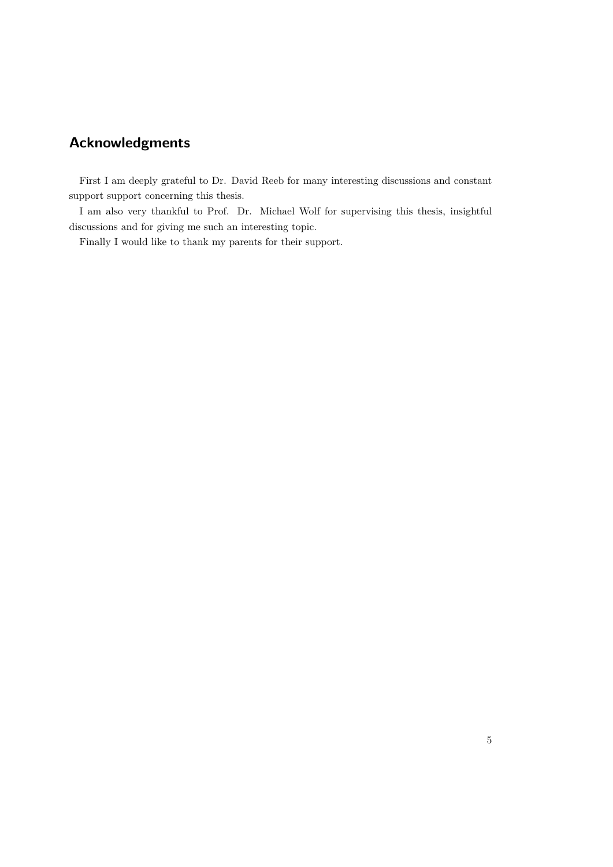# **Acknowledgments**

First I am deeply grateful to Dr. David Reeb for many interesting discussions and constant support support concerning this thesis.

I am also very thankful to Prof. Dr. Michael Wolf for supervising this thesis, insightful discussions and for giving me such an interesting topic.

Finally I would like to thank my parents for their support.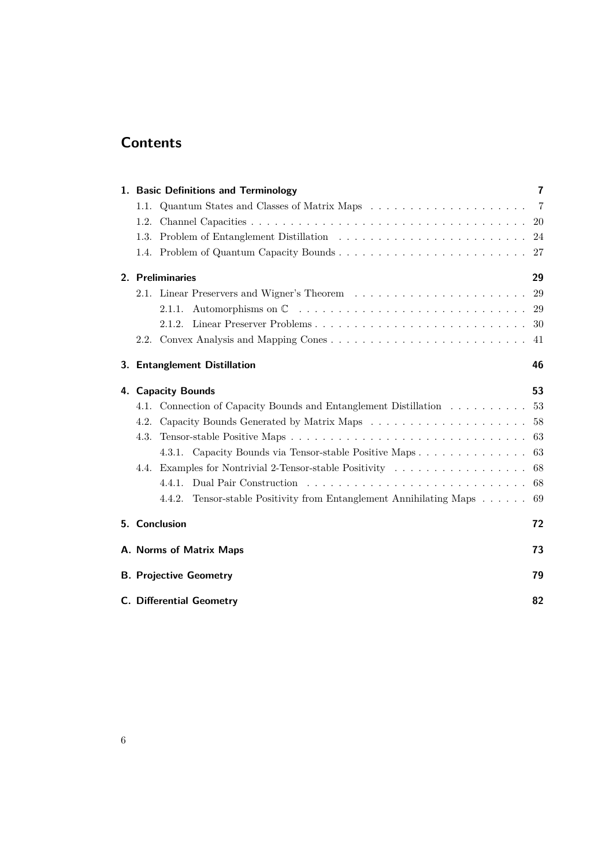# **Contents**

|                                 | 1. Basic Definitions and Terminology                                                         | $\overline{7}$ |
|---------------------------------|----------------------------------------------------------------------------------------------|----------------|
| 1.1.                            | Quantum States and Classes of Matrix Maps $\ldots \ldots \ldots \ldots \ldots \ldots \ldots$ | $\overline{7}$ |
|                                 |                                                                                              | -20            |
|                                 |                                                                                              | 24             |
|                                 |                                                                                              |                |
| 2. Preliminaries                |                                                                                              | 29             |
|                                 |                                                                                              | 29             |
|                                 | 2.1.1.                                                                                       | 29             |
|                                 | 2.1.2. Linear Preserver Problems                                                             | 30             |
|                                 |                                                                                              | 41             |
|                                 | 3. Entanglement Distillation                                                                 | 46             |
|                                 | 4. Capacity Bounds                                                                           | 53             |
|                                 | 4.1. Connection of Capacity Bounds and Entanglement Distillation                             | 53             |
|                                 | 4.2. Capacity Bounds Generated by Matrix Maps                                                | 58             |
| 4.3.                            |                                                                                              | 63             |
|                                 | 4.3.1. Capacity Bounds via Tensor-stable Positive Maps                                       | 63             |
|                                 | 4.4. Examples for Nontrivial 2-Tensor-stable Positivity                                      | 68             |
|                                 | 4.4.1.                                                                                       | 68             |
|                                 | 4.4.2. Tensor-stable Positivity from Entanglement Annihilating Maps                          | 69             |
|                                 | 5. Conclusion                                                                                | 72             |
| A. Norms of Matrix Maps         |                                                                                              |                |
| <b>B. Projective Geometry</b>   |                                                                                              |                |
| <b>C. Differential Geometry</b> |                                                                                              |                |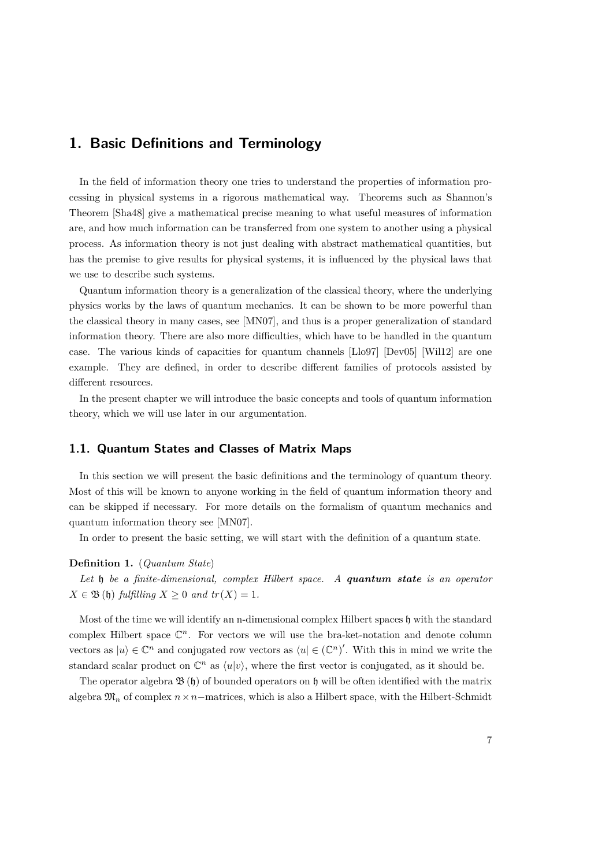# <span id="page-6-0"></span>**1. Basic Definitions and Terminology**

In the field of information theory one tries to understand the properties of information processing in physical systems in a rigorous mathematical way. Theorems such as Shannon's Theorem [\[Sha48\]](#page-84-0) give a mathematical precise meaning to what useful measures of information are, and how much information can be transferred from one system to another using a physical process. As information theory is not just dealing with abstract mathematical quantities, but has the premise to give results for physical systems, it is influenced by the physical laws that we use to describe such systems.

Quantum information theory is a generalization of the classical theory, where the underlying physics works by the laws of quantum mechanics. It can be shown to be more powerful than the classical theory in many cases, see [\[MN07\]](#page-84-1), and thus is a proper generalization of standard information theory. There are also more difficulties, which have to be handled in the quantum case. The various kinds of capacities for quantum channels [\[Llo97\]](#page-83-0) [\[Dev05\]](#page-83-1) [\[Wil12\]](#page-84-2) are one example. They are defined, in order to describe different families of protocols assisted by different resources.

In the present chapter we will introduce the basic concepts and tools of quantum information theory, which we will use later in our argumentation.

# <span id="page-6-1"></span>**1.1. Quantum States and Classes of Matrix Maps**

In this section we will present the basic definitions and the terminology of quantum theory. Most of this will be known to anyone working in the field of quantum information theory and can be skipped if necessary. For more details on the formalism of quantum mechanics and quantum information theory see [\[MN07\]](#page-84-1).

In order to present the basic setting, we will start with the definition of a quantum state.

## **Definition 1.** (*Quantum State*)

*Let* h *be a finite-dimensional, complex Hilbert space. A quantum state is an operator*  $X \in \mathfrak{B}(\mathfrak{h})$  *fulfilling*  $X \geq 0$  *and tr*( $X$ ) = 1*.* 

Most of the time we will identify an n-dimensional complex Hilbert spaces  $\mathfrak h$  with the standard complex Hilbert space  $\mathbb{C}^n$ . For vectors we will use the bra-ket-notation and denote column vectors as  $|u\rangle \in \mathbb{C}^n$  and conjugated row vectors as  $\langle u | \in (\mathbb{C}^n)'$ . With this in mind we write the standard scalar product on  $\mathbb{C}^n$  as  $\langle u | v \rangle$ , where the first vector is conjugated, as it should be.

The operator algebra  $\mathfrak{B}(\mathfrak{h})$  of bounded operators on  $\mathfrak{h}$  will be often identified with the matrix algebra  $\mathfrak{M}_n$  of complex  $n \times n$ −matrices, which is also a Hilbert space, with the Hilbert-Schmidt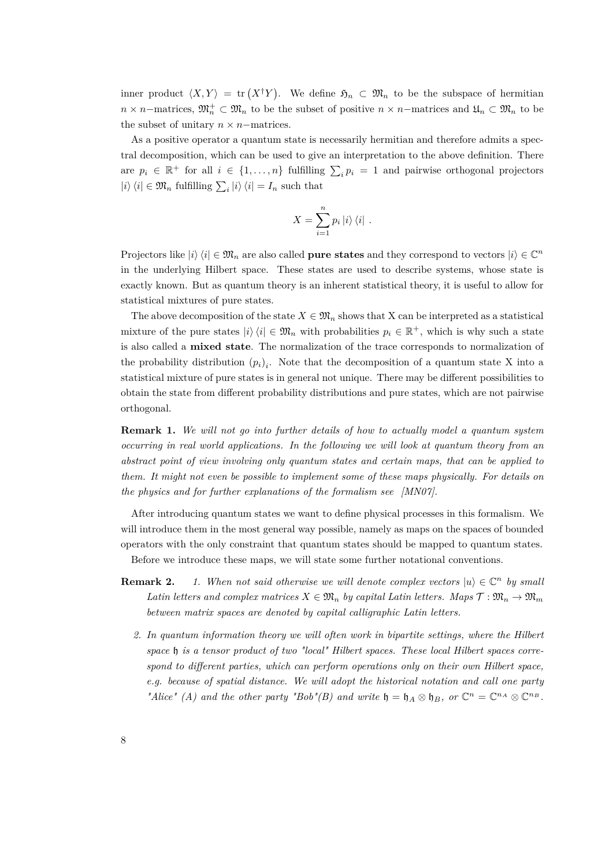inner product  $\langle X, Y \rangle = \text{tr}(X^{\dagger}Y)$ . We define  $\mathfrak{H}_n \subset \mathfrak{M}_n$  to be the subspace of hermitian  $n \times n$ −matrices,  $\mathfrak{M}_n^+ \subset \mathfrak{M}_n$  to be the subset of positive  $n \times n$ −matrices and  $\mathfrak{U}_n \subset \mathfrak{M}_n$  to be the subset of unitary  $n \times n$ −matrices.

As a positive operator a quantum state is necessarily hermitian and therefore admits a spectral decomposition, which can be used to give an interpretation to the above definition. There are  $p_i \in \mathbb{R}^+$  for all  $i \in \{1, ..., n\}$  fulfilling  $\sum_i p_i = 1$  and pairwise orthogonal projectors  $|i\rangle\langle i| \in \mathfrak{M}_n$  fulfilling  $\sum_i |i\rangle\langle i| = I_n$  such that

$$
X = \sum_{i=1}^{n} p_i |i\rangle\langle i|.
$$

Projectors like  $|i\rangle\langle i| \in \mathfrak{M}_n$  are also called **pure states** and they correspond to vectors  $|i\rangle \in \mathbb{C}^n$ in the underlying Hilbert space. These states are used to describe systems, whose state is exactly known. But as quantum theory is an inherent statistical theory, it is useful to allow for statistical mixtures of pure states.

The above decomposition of the state  $X \in \mathfrak{M}_n$  shows that X can be interpreted as a statistical mixture of the pure states  $|i\rangle\langle i|\in \mathfrak{M}_n$  with probabilities  $p_i \in \mathbb{R}^+$ , which is why such a state is also called a **mixed state**. The normalization of the trace corresponds to normalization of the probability distribution  $(p_i)_i$ . Note that the decomposition of a quantum state X into a statistical mixture of pure states is in general not unique. There may be different possibilities to obtain the state from different probability distributions and pure states, which are not pairwise orthogonal.

**Remark 1.** *We will not go into further details of how to actually model a quantum system occurring in real world applications. In the following we will look at quantum theory from an abstract point of view involving only quantum states and certain maps, that can be applied to them. It might not even be possible to implement some of these maps physically. For details on the physics and for further explanations of the formalism see [\[MN07\]](#page-84-1).*

After introducing quantum states we want to define physical processes in this formalism. We will introduce them in the most general way possible, namely as maps on the spaces of bounded operators with the only constraint that quantum states should be mapped to quantum states.

Before we introduce these maps, we will state some further notational conventions.

- **Remark 2.** *1. When not said otherwise we will denote complex vectors*  $|u\rangle \in \mathbb{C}^n$  by small *Latin letters and complex matrices*  $X \in \mathfrak{M}_n$  *by capital Latin letters. Maps*  $\mathcal{T} : \mathfrak{M}_n \to \mathfrak{M}_m$ *between matrix spaces are denoted by capital calligraphic Latin letters.*
	- *2. In quantum information theory we will often work in bipartite settings, where the Hilbert space* h *is a tensor product of two "local" Hilbert spaces. These local Hilbert spaces correspond to different parties, which can perform operations only on their own Hilbert space, e.g. because of spatial distance. We will adopt the historical notation and call one party "Alice"* (*A*) and the other party "Bob"(*B*) and write  $\mathfrak{h} = \mathfrak{h}_A \otimes \mathfrak{h}_B$ , or  $\mathbb{C}^n = \mathbb{C}^{n_A} \otimes \mathbb{C}^{n_B}$ .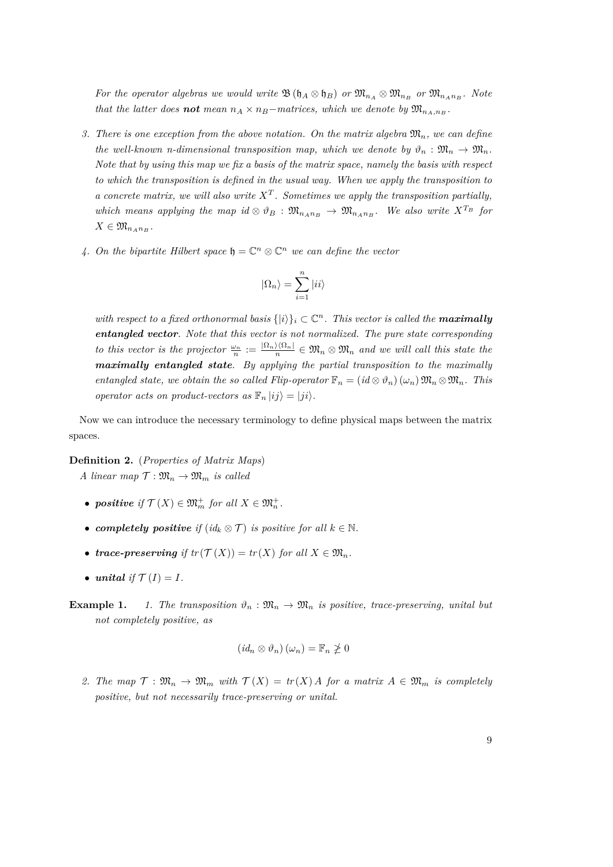*For the operator algebras we would write*  $\mathfrak{B}(\mathfrak{h}_A \otimes \mathfrak{h}_B)$  *or*  $\mathfrak{M}_{n_A} \otimes \mathfrak{M}_{n_B}$  *or*  $\mathfrak{M}_{n_A n_B}$ *. Note that the latter does not mean*  $n_A \times n_B$ *-matrices, which we denote by*  $\mathfrak{M}_{n_A,n_B}$ .

- *3.* There is one exception from the above notation. On the matrix algebra  $\mathfrak{M}_n$ , we can define *the well-known n-dimensional transposition map, which we denote by*  $\vartheta_n : \mathfrak{M}_n \to \mathfrak{M}_n$ . *Note that by using this map we fix a basis of the matrix space, namely the basis with respect to which the transposition is defined in the usual way. When we apply the transposition to a concrete matrix, we will also write X<sup>T</sup> . Sometimes we apply the transposition partially, which means applying the map id*  $\otimes \vartheta_B$  :  $\mathfrak{M}_{n_A n_B} \to \mathfrak{M}_{n_A n_B}$ *. We also write*  $X^{T_B}$  *for*  $X \in \mathfrak{M}_{n_A n_B}$ .
- *4.* On the bipartite Hilbert space  $\mathfrak{h} = \mathbb{C}^n \otimes \mathbb{C}^n$  we can define the vector

$$
|\Omega_n\rangle=\sum_{i=1}^n |ii\rangle
$$

*with respect to a fixed orthonormal basis*  $\{|i\rangle\}_i \subset \mathbb{C}^n$ . This vector is called the **maximally** *entangled vector. Note that this vector is not normalized. The pure state corresponding to this vector is the projector*  $\frac{\omega_n}{n} := \frac{|\Omega_n\rangle\langle\Omega_n|}{n} \in \mathfrak{M}_n \otimes \mathfrak{M}_n$  and we will call this state the *maximally entangled state. By applying the partial transposition to the maximally entangled state, we obtain the so called Flip-operator*  $\mathbb{F}_n = (id \otimes \vartheta_n)(\omega_n) \mathfrak{M}_n \otimes \mathfrak{M}_n$ . This *operator acts on product-vectors as*  $\mathbb{F}_n |ij\rangle = |ji\rangle$ .

Now we can introduce the necessary terminology to define physical maps between the matrix spaces.

#### **Definition 2.** (*Properties of Matrix Maps*)

*A linear map*  $\mathcal{T}: \mathfrak{M}_n \to \mathfrak{M}_m$  *is called* 

- *positive if*  $\mathcal{T}(X) \in \mathfrak{M}_m^+$  *for all*  $X \in \mathfrak{M}_n^+$ .
- *completely positive if*  $(id_k \otimes T)$  *is positive for all*  $k \in \mathbb{N}$ *.*
- *trace-preserving if*  $tr(T(X)) = tr(X)$  *for all*  $X \in \mathfrak{M}_n$ *.*
- *unital if*  $\mathcal{T}(I) = I$ *.*
- **Example 1.** *1. The transposition*  $\vartheta_n : \mathfrak{M}_n \to \mathfrak{M}_n$  *is positive, trace-preserving, unital but not completely positive, as*

$$
(id_n \otimes \vartheta_n)(\omega_n) = \mathbb{F}_n \ngeq 0
$$

2. The map  $\mathcal{T}: \mathfrak{M}_n \to \mathfrak{M}_m$  with  $\mathcal{T}(X) = tr(X)A$  for a matrix  $A \in \mathfrak{M}_m$  is completely *positive, but not necessarily trace-preserving or unital.*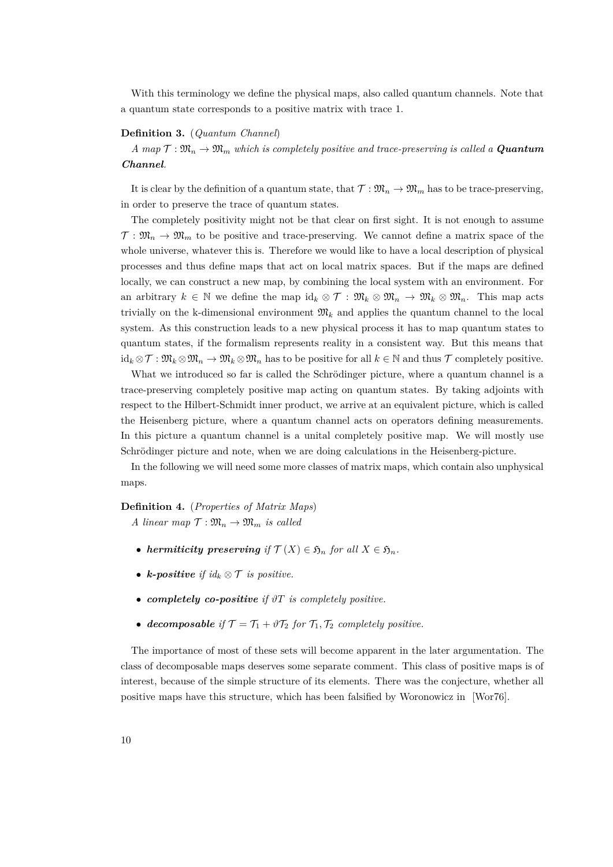With this terminology we define the physical maps, also called quantum channels. Note that a quantum state corresponds to a positive matrix with trace 1.

#### **Definition 3.** (*Quantum Channel*)

 $A$  map  $\mathcal{T} : \mathfrak{M}_n \to \mathfrak{M}_m$  which is completely positive and trace-preserving is called a **Quantum** *Channel.*

It is clear by the definition of a quantum state, that  $\mathcal{T} : \mathfrak{M}_n \to \mathfrak{M}_m$  has to be trace-preserving, in order to preserve the trace of quantum states.

The completely positivity might not be that clear on first sight. It is not enough to assume  $\mathcal{T}: \mathfrak{M}_n \to \mathfrak{M}_m$  to be positive and trace-preserving. We cannot define a matrix space of the whole universe, whatever this is. Therefore we would like to have a local description of physical processes and thus define maps that act on local matrix spaces. But if the maps are defined locally, we can construct a new map, by combining the local system with an environment. For an arbitrary  $k \in \mathbb{N}$  we define the map  $\mathrm{id}_k \otimes \mathcal{T} : \mathfrak{M}_k \otimes \mathfrak{M}_n \to \mathfrak{M}_k \otimes \mathfrak{M}_n$ . This map acts trivially on the k-dimensional environment  $\mathfrak{M}_k$  and applies the quantum channel to the local system. As this construction leads to a new physical process it has to map quantum states to quantum states, if the formalism represents reality in a consistent way. But this means that  $id_k \otimes \mathcal{T} : \mathfrak{M}_k \otimes \mathfrak{M}_n \to \mathfrak{M}_k \otimes \mathfrak{M}_n$  has to be positive for all  $k \in \mathbb{N}$  and thus  $\mathcal{T}$  completely positive.

What we introduced so far is called the Schrödinger picture, where a quantum channel is a trace-preserving completely positive map acting on quantum states. By taking adjoints with respect to the Hilbert-Schmidt inner product, we arrive at an equivalent picture, which is called the Heisenberg picture, where a quantum channel acts on operators defining measurements. In this picture a quantum channel is a unital completely positive map. We will mostly use Schrödinger picture and note, when we are doing calculations in the Heisenberg-picture.

In the following we will need some more classes of matrix maps, which contain also unphysical maps.

**Definition 4.** (*Properties of Matrix Maps*) *A linear map*  $\mathcal{T}: \mathfrak{M}_n \to \mathfrak{M}_m$  *is called* 

- *hermiticity preserving if*  $\mathcal{T}(X) \in \mathfrak{H}_n$  *for all*  $X \in \mathfrak{H}_n$ *.*
- *k*-positive if  $id_k \otimes T$  is positive.
- *completely co-positive if ϑT is completely positive.*
- **decomposable** if  $\mathcal{T} = \mathcal{T}_1 + \vartheta \mathcal{T}_2$  for  $\mathcal{T}_1, \mathcal{T}_2$  completely positive.

The importance of most of these sets will become apparent in the later argumentation. The class of decomposable maps deserves some separate comment. This class of positive maps is of interest, because of the simple structure of its elements. There was the conjecture, whether all positive maps have this structure, which has been falsified by Woronowicz in [\[Wor76\]](#page-85-0).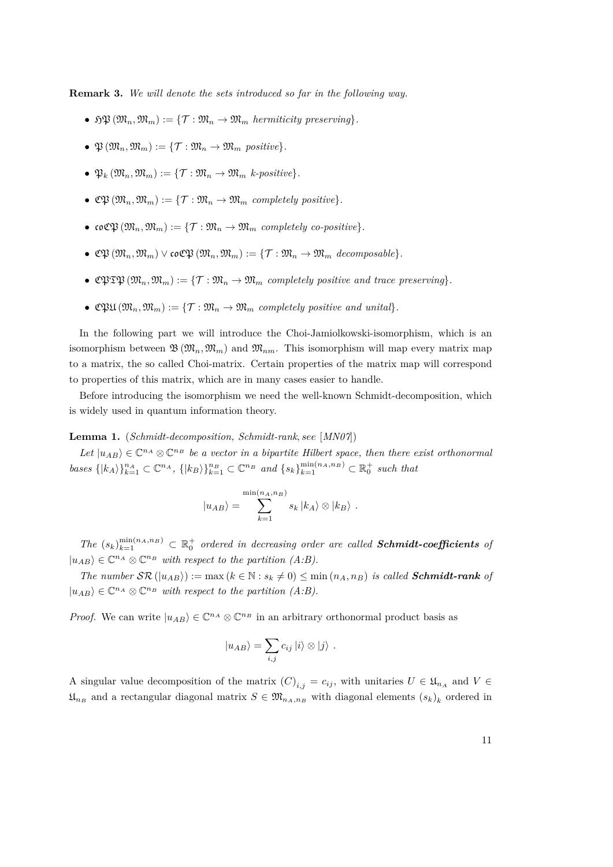**Remark 3.** *We will denote the sets introduced so far in the following way.*

- $\mathfrak{RM}(\mathfrak{M}_n,\mathfrak{M}_m) := \{ \mathcal{T} : \mathfrak{M}_n \to \mathfrak{M}_m \text{ hermiticity preserving} \}.$
- $\mathfrak{P}(\mathfrak{M}_n, \mathfrak{M}_m) := \{ \mathcal{T} : \mathfrak{M}_n \to \mathfrak{M}_m \text{ positive} \}.$
- $\mathfrak{P}_k(\mathfrak{M}_n, \mathfrak{M}_m) := \{ \mathcal{T} : \mathfrak{M}_n \to \mathfrak{M}_m \; k\text{-}\text{positive} \}.$
- $\mathfrak{C}\mathfrak{P}\left(\mathfrak{M}_n,\mathfrak{M}_m\right) := \{ \mathcal{T} : \mathfrak{M}_n \to \mathfrak{M}_m \text{ completely positive} \}.$
- coCP  $(\mathfrak{M}_n, \mathfrak{M}_m) := \{ \mathcal{T} : \mathfrak{M}_n \to \mathfrak{M}_m \text{ completely co-positive} \}.$
- $\mathfrak{C}\mathfrak{P}\left(\mathfrak{M}_n,\mathfrak{M}_m\right) \vee \mathfrak{co}\mathfrak{C}\mathfrak{P}\left(\mathfrak{M}_n,\mathfrak{M}_m\right) := \{\mathcal{T}: \mathfrak{M}_n \to \mathfrak{M}_m \text{ decomposable}\}.$
- $\mathbb{C}\mathfrak{PTD}(\mathfrak{M}_n,\mathfrak{M}_m) := \{ \mathcal{T} : \mathfrak{M}_n \to \mathfrak{M}_m \text{ completely positive and trace preserving} \}.$
- $\mathfrak{CBM}(\mathfrak{M}_n, \mathfrak{M}_m) := \{ \mathcal{T} : \mathfrak{M}_n \to \mathfrak{M}_m \text{ completely positive and unital} \}.$

In the following part we will introduce the Choi-Jamiolkowski-isomorphism, which is an isomorphism between  $\mathfrak{B}(\mathfrak{M}_n,\mathfrak{M}_m)$  and  $\mathfrak{M}_{nm}$ . This isomorphism will map every matrix map to a matrix, the so called Choi-matrix. Certain properties of the matrix map will correspond to properties of this matrix, which are in many cases easier to handle.

Before introducing the isomorphism we need the well-known Schmidt-decomposition, which is widely used in quantum information theory.

**Lemma 1.** (*Schmidt-decomposition, Schmidt-rank, see* [*[MN07](#page-84-1)*])

Let  $|u_{AB}\rangle \in \mathbb{C}^{n_A} \otimes \mathbb{C}^{n_B}$  be a vector in a bipartite Hilbert space, then there exist orthonormal bases  $\{|k_A\rangle\}_{k=1}^{n_A} \subset \mathbb{C}^{n_A}$ ,  $\{|k_B\rangle\}_{k=1}^{n_B} \subset \mathbb{C}^{n_B}$  and  $\{s_k\}_{k=1}^{\min(n_A, n_B)} \subset \mathbb{R}_0^+$  such that

$$
|u_{AB}\rangle = \sum_{k=1}^{\min(n_A, n_B)} s_k |k_A\rangle \otimes |k_B\rangle.
$$

 $The (s_k)_{k=1}^{\min(n_A, n_B)} \subset \mathbb{R}_0^+$  ordered in decreasing order are called **Schmidt-coefficients** of  $|u_{AB}\rangle \in \mathbb{C}^{n_A} \otimes \mathbb{C}^{n_B}$  *with respect to the partition (A:B).* 

*The number*  $\mathcal{SR}(|u_{AB}\rangle) := \max(k \in \mathbb{N} : s_k \neq 0) \leq \min(n_A, n_B)$  *is called Schmidt-rank of*  $|u_{AB}\rangle \in \mathbb{C}^{n_A} \otimes \mathbb{C}^{n_B}$  *with respect to the partition (A:B).* 

*Proof.* We can write  $|u_{AB}\rangle \in \mathbb{C}^{n_A} \otimes \mathbb{C}^{n_B}$  in an arbitrary orthonormal product basis as

$$
|u_{AB}\rangle = \sum_{i,j} c_{ij} |i\rangle \otimes |j\rangle .
$$

A singular value decomposition of the matrix  $(C)_{i,j} = c_{ij}$ , with unitaries  $U \in \mathfrak{U}_{n_A}$  and  $V \in$  $\mathfrak{U}_{n}$  and a rectangular diagonal matrix  $S \in \mathfrak{M}_{n_A, n_B}$  with diagonal elements  $(s_k)_k$  ordered in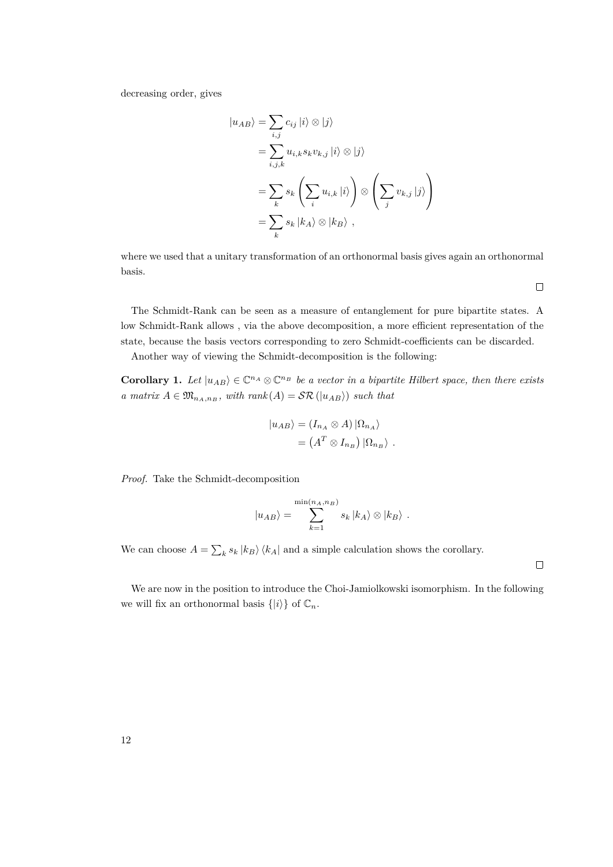decreasing order, gives

$$
|u_{AB}\rangle = \sum_{i,j} c_{ij} |i\rangle \otimes |j\rangle
$$
  
= 
$$
\sum_{i,j,k} u_{i,k} s_k v_{k,j} |i\rangle \otimes |j\rangle
$$
  
= 
$$
\sum_k s_k \left(\sum_i u_{i,k} |i\rangle\right) \otimes \left(\sum_j v_{k,j} |j\rangle\right)
$$
  
= 
$$
\sum_k s_k |k_A\rangle \otimes |k_B\rangle,
$$

where we used that a unitary transformation of an orthonormal basis gives again an orthonormal basis.

 $\Box$ 

 $\Box$ 

The Schmidt-Rank can be seen as a measure of entanglement for pure bipartite states. A low Schmidt-Rank allows , via the above decomposition, a more efficient representation of the state, because the basis vectors corresponding to zero Schmidt-coefficients can be discarded.

Another way of viewing the Schmidt-decomposition is the following:

<span id="page-11-0"></span>**Corollary 1.** Let  $|u_{AB}\rangle \in \mathbb{C}^{n_A} \otimes \mathbb{C}^{n_B}$  be a vector in a bipartite Hilbert space, then there exists *a matrix*  $A \in \mathfrak{M}_{n_A, n_B}$ , with rank $(A) = \mathcal{SR}(|u_{AB}\rangle)$  such that

$$
\begin{aligned} |u_{AB}\rangle &= (I_{n_A} \otimes A) | \Omega_{n_A} \rangle \\ &= (A^T \otimes I_{n_B}) | \Omega_{n_B} \rangle . \end{aligned}
$$

*Proof.* Take the Schmidt-decomposition

$$
|u_{AB}\rangle = \sum_{k=1}^{\min(n_A, n_B)} s_k |k_A\rangle \otimes |k_B\rangle.
$$

We can choose  $A = \sum_k s_k |k_B\rangle \langle k_A|$  and a simple calculation shows the corollary.

We are now in the position to introduce the Choi-Jamiolkowski isomorphism. In the following we will fix an orthonormal basis  $\{|i\rangle\}$  of  $\mathbb{C}_n$ .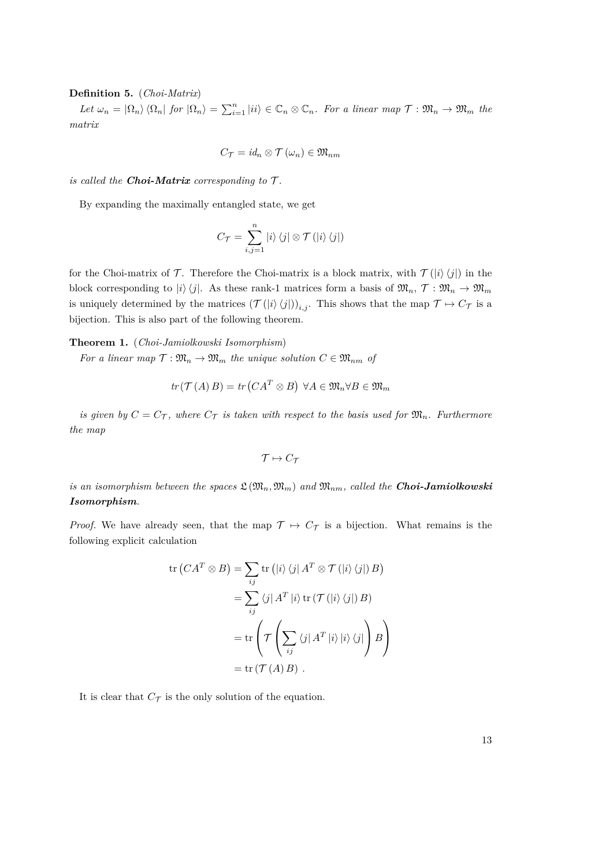# **Definition 5.** (*Choi-Matrix*)

 $Let \omega_n = |\Omega_n\rangle \langle \Omega_n |$  for  $|\Omega_n\rangle = \sum_{i=1}^n |ii\rangle \in \mathbb{C}_n \otimes \mathbb{C}_n$ . For a linear map  $\mathcal{T} : \mathfrak{M}_n \to \mathfrak{M}_m$  the *matrix*

$$
C_{\mathcal{T}}=id_n\otimes \mathcal{T}\left(\omega_n\right)\in \mathfrak{M}_{nm}
$$

*is called the Choi-Matrix corresponding to*  $\mathcal{T}$ *.* 

By expanding the maximally entangled state, we get

$$
C_{\mathcal{T}} = \sum_{i,j=1}^{n} |i\rangle\langle j| \otimes \mathcal{T}(|i\rangle\langle j|)
$$

for the Choi-matrix of  $\mathcal T$ . Therefore the Choi-matrix is a block matrix, with  $\mathcal T(|i\rangle\langle j|)$  in the block corresponding to  $|i\rangle\langle j|$ . As these rank-1 matrices form a basis of  $\mathfrak{M}_n$ ,  $\mathcal{T} : \mathfrak{M}_n \to \mathfrak{M}_m$ is uniquely determined by the matrices  $(\mathcal{T}(|i\rangle\langle j|))_{i,j}$ . This shows that the map  $\mathcal{T} \mapsto C_{\mathcal{T}}$  is a bijection. This is also part of the following theorem.

**Theorem 1.** (*Choi-Jamiolkowski Isomorphism*)

*For a linear map*  $\mathcal{T} : \mathfrak{M}_n \to \mathfrak{M}_m$  *the unique solution*  $C \in \mathfrak{M}_{nm}$  *of* 

$$
tr(\mathcal{T}(A) B) = tr(CA^T \otimes B) \,\,\forall A \in \mathfrak{M}_n \forall B \in \mathfrak{M}_m
$$

*is given by*  $C = C_{\mathcal{T}}$ , where  $C_{\mathcal{T}}$  *is taken with respect to the basis used for*  $\mathfrak{M}_n$ *. Furthermore the map*

$$
\mathcal{T} \mapsto C_{\mathcal{T}}
$$

*is an isomorphism between the spaces*  $\mathfrak{L}(\mathfrak{M}_n, \mathfrak{M}_m)$  *and*  $\mathfrak{M}_{nm}$ *, called the Choi-Jamiolkowski Isomorphism.*

*Proof.* We have already seen, that the map  $\mathcal{T} \mapsto C_{\mathcal{T}}$  is a bijection. What remains is the following explicit calculation

$$
\operatorname{tr}\left(CA^T \otimes B\right) = \sum_{ij} \operatorname{tr}\left(|i\rangle\langle j| A^T \otimes \mathcal{T}(|i\rangle\langle j|) B\right)
$$

$$
= \sum_{ij} \langle j| A^T |i\rangle \operatorname{tr}\left(\mathcal{T}(|i\rangle\langle j|) B\right)
$$

$$
= \operatorname{tr}\left(\mathcal{T}\left(\sum_{ij} \langle j| A^T |i\rangle |i\rangle\langle j|\right) B\right)
$$

$$
= \operatorname{tr}\left(\mathcal{T}\left(\sum_{ij} \langle j| A^T |i\rangle |i\rangle\langle j|\right) B\right)
$$

$$
= \operatorname{tr}\left(\mathcal{T}(A) B\right).
$$

It is clear that  $C_{\mathcal{T}}$  is the only solution of the equation.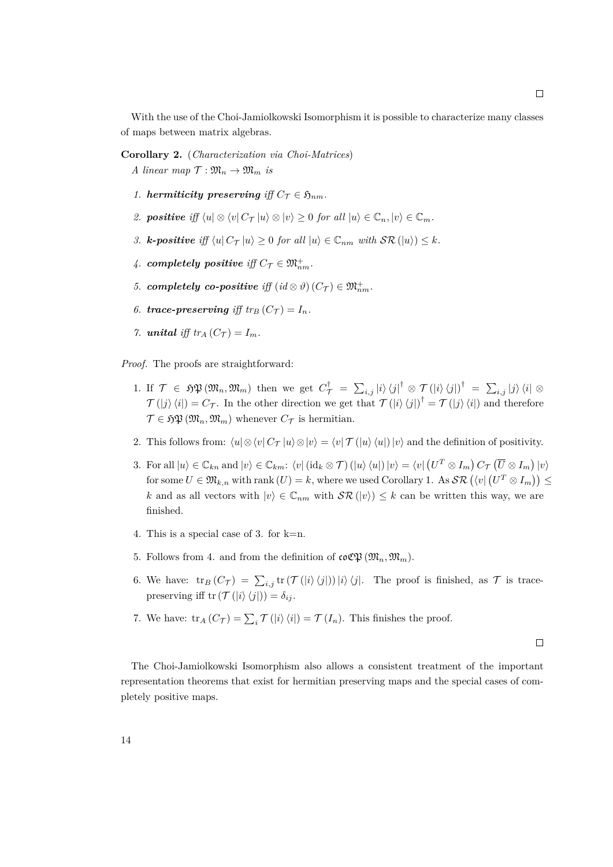With the use of the Choi-Jamiolkowski Isomorphism it is possible to characterize many classes of maps between matrix algebras.

**Corollary 2.** (*Characterization via Choi-Matrices*) *A* linear map  $\mathcal{T}: \mathfrak{M}_n \to \mathfrak{M}_m$  is

- *1. hermiticity preserving iff*  $C_{\tau} \in \mathfrak{H}_{nm}$ *.*
- *2.* **positive** iff  $\langle u | \otimes \langle v | C_\mathcal{T} | u \rangle \otimes | v \rangle \geq 0$  for all  $|u\rangle \in \mathbb{C}_n, |v\rangle \in \mathbb{C}_m$ .
- *3. k***-positive** iff  $\langle u | C_\mathcal{T} | u \rangle \geq 0$  for all  $|u\rangle \in \mathbb{C}_{nm}$  with  $\mathcal{SR}(|u\rangle) \leq k$ .
- $4.$  *completely positive iff*  $C_{\mathcal{T}} \in \mathfrak{M}_{nm}^+$ .
- *5. completely co-positive iff*  $(id \otimes \vartheta)(C_{\tau}) \in \mathfrak{M}_{nm}^+$ .
- *6. trace-preserving iff*  $tr_B(C_{\tau}) = I_n$ *.*
- *7. unital iff*  $tr_A(C_{\tau}) = I_m$ *.*

*Proof.* The proofs are straightforward:

- 1. If  $\mathcal{T} \in \mathfrak{H}(\mathfrak{M}_n, \mathfrak{M}_m)$  then we get  $C^{\dagger}_{\mathcal{T}} = \sum_{i,j} |i\rangle\langle j|^{\dagger} \otimes \mathcal{T}(|i\rangle\langle j|)^{\dagger} = \sum_{i,j} |j\rangle\langle i| \otimes j$  $\mathcal{T}(|j\rangle\langle i|) = C_{\mathcal{T}}$ . In the other direction we get that  $\mathcal{T}(|i\rangle\langle j|)^{\dagger} = \mathcal{T}(|j\rangle\langle i|)$  and therefore  $\mathcal{T} \in \mathfrak{FP}(\mathfrak{M}_n, \mathfrak{M}_m)$  whenever  $C_{\mathcal{T}}$  is hermitian.
- 2. This follows from:  $\langle u | \otimes \langle v | C_\mathcal{T} | u \rangle \otimes | v \rangle = \langle v | \mathcal{T} (|u \rangle \langle u |) | v \rangle$  and the definition of positivity.
- 3. For all  $|u\rangle \in \mathbb{C}_{kn}$  and  $|v\rangle \in \mathbb{C}_{km}$ :  $\langle v| (\mathrm{id}_k \otimes \mathcal{T}) (|u\rangle \langle u|) |v\rangle = \langle v| (U^T \otimes I_m) C_{\mathcal{T}} (\overline{U} \otimes I_m) |v\rangle$  $\mathcal{U} \in \mathfrak{M}_{k,n}$  with rank  $(U) = k$ , where we used Corollary [1.](#page-11-0) As  $\mathcal{SR} \left( \bra{v} (U^T \otimes I_m) \right) \leq \mathcal{U}$ *k* and as all vectors with  $|v\rangle \in \mathbb{C}_{nm}$  with  $\mathcal{SR}(|v\rangle) \leq k$  can be written this way, we are finished.
- 4. This is a special case of 3. for k=n.
- 5. Follows from 4. and from the definition of  $\mathfrak{coC}\mathfrak{P}(\mathfrak{M}_n,\mathfrak{M}_m)$ .
- 6. We have:  $\text{tr}_B(C_{\mathcal{T}}) = \sum_{i,j} \text{tr}(\mathcal{T}(|i\rangle\langle j|))|i\rangle\langle j|.$  The proof is finished, as  $\mathcal{T}$  is tracepreserving iff tr $(\mathcal{T}(|i\rangle\langle j|)) = \delta_{ij}$ .
- 7. We have:  $\text{tr}_A(C_{\mathcal{T}}) = \sum_i \mathcal{T}(|i\rangle\langle i|) = \mathcal{T}(I_n)$ . This finishes the proof.

 $\Box$ 

The Choi-Jamiolkowski Isomorphism also allows a consistent treatment of the important representation theorems that exist for hermitian preserving maps and the special cases of completely positive maps.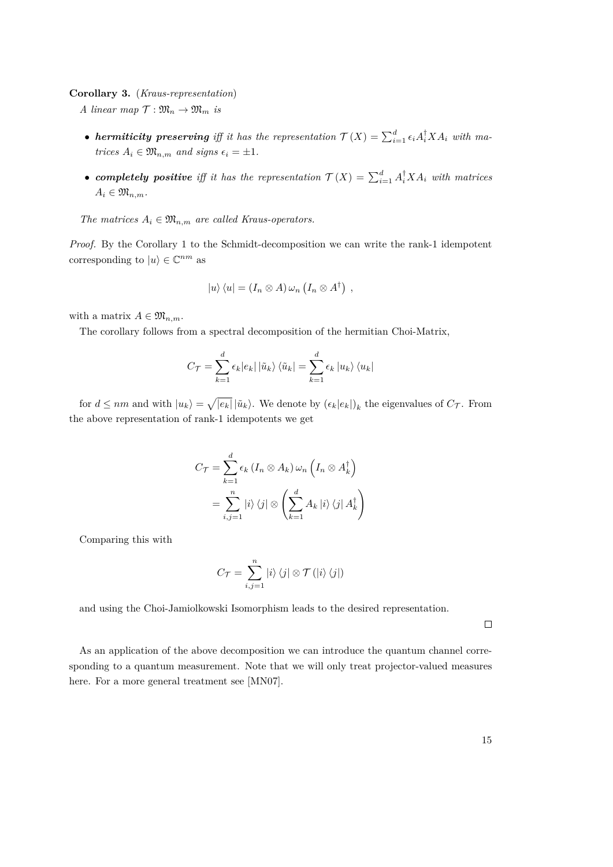### <span id="page-14-0"></span>**Corollary 3.** (*Kraus-representation*)

*A linear map*  $\mathcal{T}: \mathfrak{M}_n \to \mathfrak{M}_m$  *is* 

- **hermiticity preserving** iff it has the representation  $\mathcal{T}(X) = \sum_{i=1}^{d} \epsilon_i A_i^{\dagger} X A_i$  with ma*trices*  $A_i \in \mathfrak{M}_{n,m}$  *and signs*  $\epsilon_i = \pm 1$ *.*
- *completely positive* iff it has the representation  $\mathcal{T}(X) = \sum_{i=1}^d A_i^{\dagger} X A_i$  with matrices  $A_i \in \mathfrak{M}_{n,m}$ .

*The matrices*  $A_i \in \mathfrak{M}_{n,m}$  *are called Kraus-operators.* 

*Proof.* By the Corollary [1](#page-11-0) to the Schmidt-decomposition we can write the rank-1 idempotent corresponding to  $|u\rangle \in \mathbb{C}^{nm}$  as

$$
|u\rangle\langle u| = (I_n \otimes A) \,\omega_n \left(I_n \otimes A^{\dagger}\right) ,
$$

with a matrix  $A \in \mathfrak{M}_{n,m}$ .

The corollary follows from a spectral decomposition of the hermitian Choi-Matrix,

$$
C_{\mathcal{T}} = \sum_{k=1}^{d} \epsilon_k |e_k| |\tilde{u}_k\rangle \langle \tilde{u}_k| = \sum_{k=1}^{d} \epsilon_k |u_k\rangle \langle u_k|
$$

for  $d \leq nm$  and with  $|u_k\rangle = \sqrt{|e_k|} |\tilde{u}_k\rangle$ . We denote by  $(\epsilon_k |e_k|)_k$  the eigenvalues of  $C_{\mathcal{T}}$ . From the above representation of rank-1 idempotents we get

$$
C_{\mathcal{T}} = \sum_{k=1}^{d} \epsilon_k (I_n \otimes A_k) \omega_n \left( I_n \otimes A_k^{\dagger} \right)
$$

$$
= \sum_{i,j=1}^{n} |i\rangle \langle j| \otimes \left( \sum_{k=1}^{d} A_k |i\rangle \langle j| A_k^{\dagger} \right)
$$

Comparing this with

$$
C_{\mathcal{T}} = \sum_{i,j=1}^{n} |i\rangle\langle j| \otimes \mathcal{T}(|i\rangle\langle j|)
$$

and using the Choi-Jamiolkowski Isomorphism leads to the desired representation.

 $\Box$ 

As an application of the above decomposition we can introduce the quantum channel corresponding to a quantum measurement. Note that we will only treat projector-valued measures here. For a more general treatment see [\[MN07\]](#page-84-1).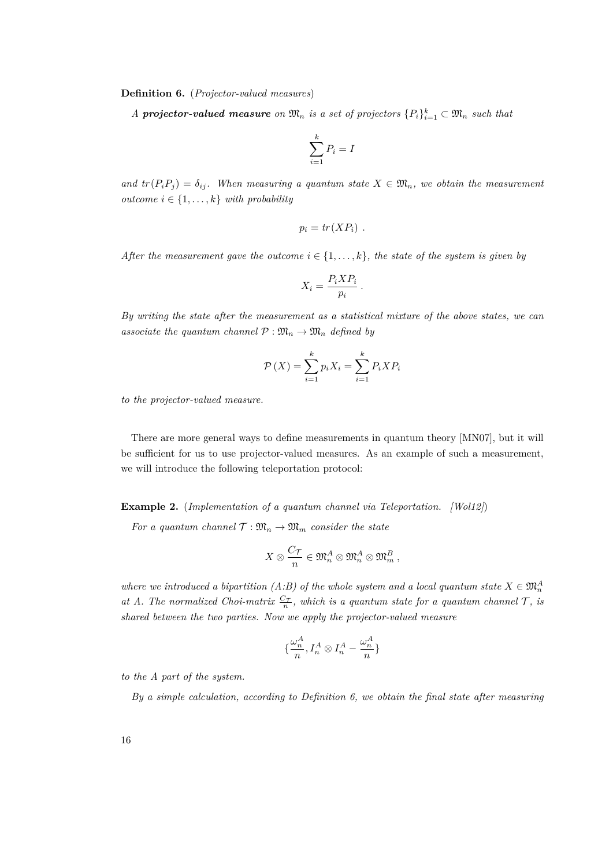<span id="page-15-0"></span>**Definition 6.** (*Projector-valued measures*)

*A* **projector-valued measure** on  $\mathfrak{M}_n$  is a set of projectors  $\{P_i\}_{i=1}^k \subset \mathfrak{M}_n$  such that

$$
\sum_{i=1}^{k} P_i = I
$$

and  $tr(P_iP_j) = \delta_{ij}$ . When measuring a quantum state  $X \in \mathfrak{M}_n$ , we obtain the measurement *outcome*  $i \in \{1, \ldots, k\}$  *with probability* 

$$
p_i = tr(XP_i) .
$$

*After the measurement gave the outcome*  $i \in \{1, \ldots, k\}$ *, the state of the system is given by* 

$$
X_i = \frac{P_i X P_i}{p_i} \, .
$$

*By writing the state after the measurement as a statistical mixture of the above states, we can associate the quantum channel*  $P: \mathfrak{M}_n \to \mathfrak{M}_n$  *defined by* 

$$
\mathcal{P}\left(X\right) = \sum_{i=1}^{k} p_i X_i = \sum_{i=1}^{k} P_i X P_i
$$

*to the projector-valued measure.*

There are more general ways to define measurements in quantum theory [\[MN07\]](#page-84-1), but it will be sufficient for us to use projector-valued measures. As an example of such a measurement, we will introduce the following teleportation protocol:

<span id="page-15-1"></span>**Example 2.** (*Implementation of a quantum channel via Teleportation. [\[Wol12\]](#page-84-3)*)

*For a quantum channel*  $\mathcal{T}: \mathfrak{M}_n \to \mathfrak{M}_m$  *consider the state* 

$$
X\otimes \frac{C_{\mathcal{T}}}{n}\in \mathfrak{M}^A_n\otimes \mathfrak{M}^A_n\otimes \mathfrak{M}^B_m\,,
$$

*where we introduced a bipartition (A:B) of the whole system and a local quantum state*  $X \in \mathfrak{M}_n^A$ *at A. The normalized Choi-matrix*  $\frac{C_{\mathcal{T}}}{n}$ , which is a quantum state for a quantum channel  $\mathcal{T}$ , is *shared between the two parties. Now we apply the projector-valued measure*

$$
\{\frac{\omega_n^A}{n},I_n^A\otimes I_n^A-\frac{\omega_n^A}{n}\}
$$

*to the A part of the system.*

*By a simple calculation, according to Definition [6,](#page-15-0) we obtain the final state after measuring*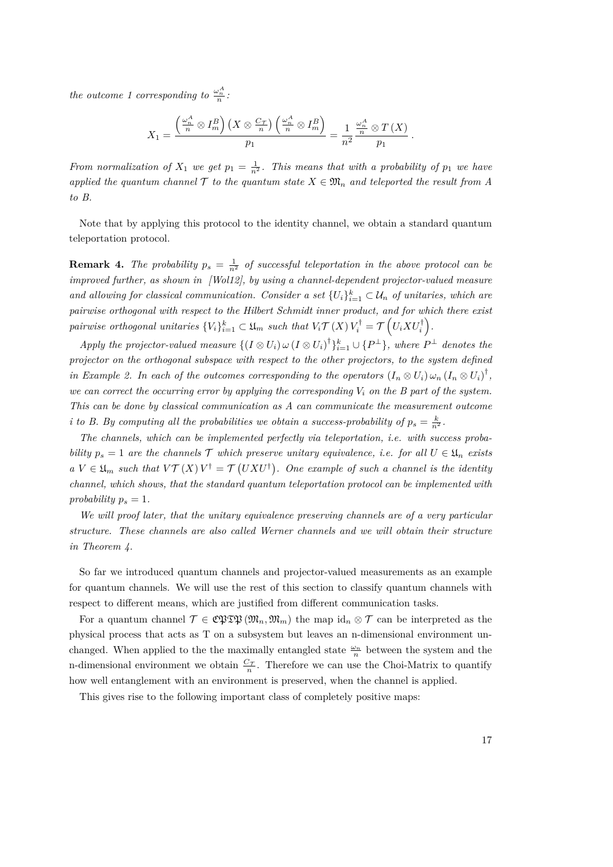*the outcome 1 corresponding to*  $\frac{\omega_n^A}{n}$ .

$$
X_1 = \frac{\left(\frac{\omega_n^A}{n} \otimes I_m^B\right) \left(X \otimes \frac{C_{\mathcal{T}}}{n}\right) \left(\frac{\omega_n^A}{n} \otimes I_m^B\right)}{p_1} = \frac{1}{n^2} \frac{\frac{\omega_n^A}{n} \otimes T(X)}{p_1}.
$$

*From normalization of*  $X_1$  *we get*  $p_1 = \frac{1}{n^2}$ *. This means that with a probability of*  $p_1$  *we have applied the quantum channel*  $\mathcal T$  *to the quantum state*  $X \in \mathfrak{M}_n$  *and teleported the result from A to B.*

Note that by applying this protocol to the identity channel, we obtain a standard quantum teleportation protocol.

**Remark 4.** *The probability*  $p_s = \frac{1}{n^2}$  *of successful teleportation in the above protocol can be improved further, as shown in [\[Wol12\]](#page-84-3), by using a channel-dependent projector-valued measure and allowing for classical communication. Consider a set*  $\{U_i\}_{i=1}^k \subset \mathcal{U}_n$  *of unitaries, which are pairwise orthogonal with respect to the Hilbert Schmidt inner product, and for which there exist*  $\mathcal{L}$  *pairwise orthogonal unitaries*  $\{V_i\}_{i=1}^k \subset \mathfrak{U}_m$  such that  $V_i \mathcal{T}(X) V_i^\dagger = \mathcal{T}\left(U_i X U_i^\dagger\right)$ .

*Apply the projector-valued measure*  $\{(I \otimes U_i) \omega (I \otimes U_i)^{\dagger}\}_{i=1}^k \cup \{P^{\perp}\}\$ *, where*  $P^{\perp}$  *denotes the projector on the orthogonal subspace with respect to the other projectors, to the system defined in Example [2.](#page-15-1)* In each of the outcomes corresponding to the operators  $(I_n \otimes U_i) \omega_n (I_n \otimes U_i)^{\dagger}$ , we can correct the occurring error by applying the corresponding  $V_i$  on the  $B$  part of the system. *This can be done by classical communication as A can communicate the measurement outcome i* to B. By computing all the probabilities we obtain a success-probability of  $p_s = \frac{k}{n^2}$ .

*The channels, which can be implemented perfectly via teleportation, i.e. with success probability*  $p_s = 1$  *are the channels* T *which preserve unitary equivalence, i.e. for all*  $U \in \mathfrak{U}_n$  *exists*  $aV \in \mathfrak{U}_m$  such that  $V\mathcal{T}(X)V^{\dagger} = \mathcal{T}(UXU^{\dagger})$ . One example of such a channel is the identity *channel, which shows, that the standard quantum teleportation protocol can be implemented with probability*  $p_s = 1$ *.* 

*We will proof later, that the unitary equivalence preserving channels are of a very particular structure. These channels are also called Werner channels and we will obtain their structure in Theorem [4.](#page-36-0)*

So far we introduced quantum channels and projector-valued measurements as an example for quantum channels. We will use the rest of this section to classify quantum channels with respect to different means, which are justified from different communication tasks.

For a quantum channel  $\mathcal{T} \in \mathfrak{CPTP}(\mathfrak{M}_n, \mathfrak{M}_m)$  the map id<sub>n</sub>  $\otimes \mathcal{T}$  can be interpreted as the physical process that acts as T on a subsystem but leaves an n-dimensional environment unchanged. When applied to the the maximally entangled state  $\frac{\omega_n}{n}$  between the system and the n-dimensional environment we obtain  $\frac{C_{\mathcal{T}}}{n}$ . Therefore we can use the Choi-Matrix to quantify how well entanglement with an environment is preserved, when the channel is applied.

This gives rise to the following important class of completely positive maps: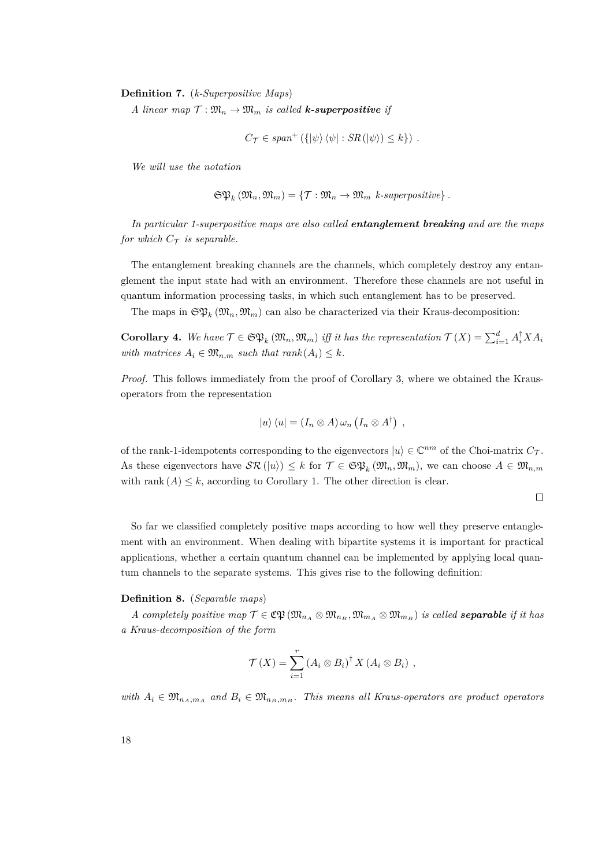**Definition 7.** (*k-Superpositive Maps*)

*A* linear map  $\mathcal{T}: \mathfrak{M}_n \to \mathfrak{M}_m$  is called **k-superpositive** if

$$
C_{\mathcal{T}} \in span^+ (\{\ket{\psi}\bra{\psi} : SR(\ket{\psi}) \leq k\}) .
$$

*We will use the notation*

$$
\mathfrak{S} \mathfrak{P}_k \left( \mathfrak{M}_n, \mathfrak{M}_m \right) = \{ \mathcal{T} : \mathfrak{M}_n \to \mathfrak{M}_m \ \text{~k-superpositive} \} .
$$

*In particular 1-superpositive maps are also called entanglement breaking and are the maps for which*  $C_{\tau}$  *is separable.* 

The entanglement breaking channels are the channels, which completely destroy any entanglement the input state had with an environment. Therefore these channels are not useful in quantum information processing tasks, in which such entanglement has to be preserved.

The maps in  $\mathfrak{SP}_k(\mathfrak{M}_n, \mathfrak{M}_m)$  can also be characterized via their Kraus-decomposition:

**Corollary 4.** We have  $\mathcal{T} \in \mathfrak{SP}_k(\mathfrak{M}_n, \mathfrak{M}_m)$  iff it has the representation  $\mathcal{T}(X) = \sum_{i=1}^d A_i^{\dagger} X A_i$ *with matrices*  $A_i \in \mathfrak{M}_{n,m}$  *such that rank*  $(A_i) \leq k$ *.* 

*Proof.* This follows immediately from the proof of Corollary [3,](#page-14-0) where we obtained the Krausoperators from the representation

$$
|u\rangle\langle u| = (I_n \otimes A) \,\omega_n \left(I_n \otimes A^{\dagger}\right) ,
$$

of the rank-1-idempotents corresponding to the eigenvectors  $|u\rangle \in \mathbb{C}^{nm}$  of the Choi-matrix  $C_{\mathcal{T}}$ . As these eigenvectors have  $\mathcal{SR}(|u\rangle) \leq k$  for  $\mathcal{T} \in \mathfrak{SP}_k(\mathfrak{M}_n, \mathfrak{M}_m)$ , we can choose  $A \in \mathfrak{M}_{n,m}$ with rank  $(A) \leq k$ , according to Corollary [1.](#page-11-0) The other direction is clear.

 $\Box$ 

So far we classified completely positive maps according to how well they preserve entanglement with an environment. When dealing with bipartite systems it is important for practical applications, whether a certain quantum channel can be implemented by applying local quantum channels to the separate systems. This gives rise to the following definition:

#### **Definition 8.** (*Separable maps*)

*A completely positive map*  $\mathcal{T} \in \mathfrak{C} \mathfrak{P} (\mathfrak{M}_{n_A} \otimes \mathfrak{M}_{n_B}, \mathfrak{M}_{m_A} \otimes \mathfrak{M}_{m_B})$  *is called separable if it has a Kraus-decomposition of the form*

$$
\mathcal{T}(X) = \sum_{i=1}^r (A_i \otimes B_i)^{\dagger} X (A_i \otimes B_i) ,
$$

*with*  $A_i \in \mathfrak{M}_{n_A,m_A}$  and  $B_i \in \mathfrak{M}_{n_B,m_B}$ . This means all Kraus-operators are product operators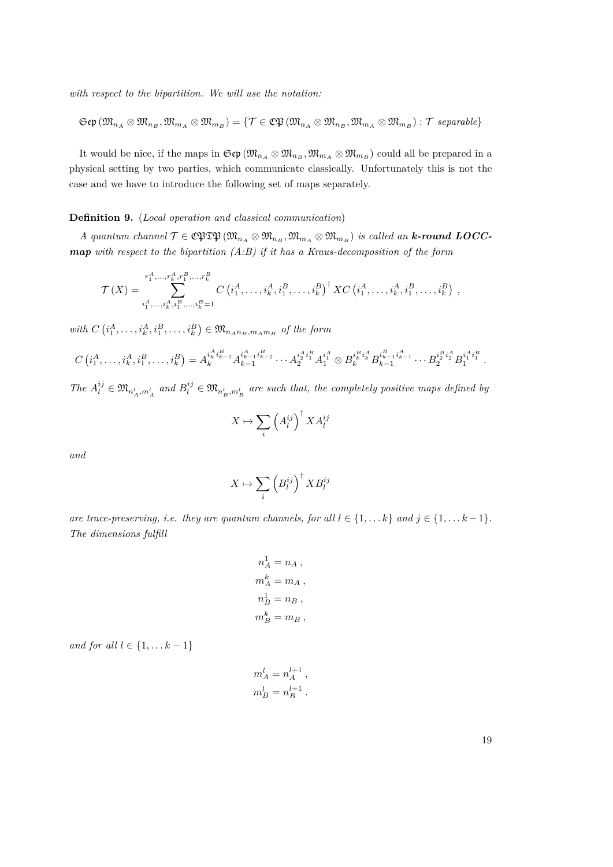*with respect to the bipartition. We will use the notation:*

$$
\mathfrak{Sep}\left(\mathfrak{M}_{n_A}\otimes\mathfrak{M}_{n_B},\mathfrak{M}_{m_A}\otimes\mathfrak{M}_{m_B}\right)=\{\mathcal{T}\in\mathfrak{CP}\left(\mathfrak{M}_{n_A}\otimes\mathfrak{M}_{n_B},\mathfrak{M}_{m_A}\otimes\mathfrak{M}_{m_B}\right):\mathcal{T}\;separable\}
$$

It would be nice, if the maps in  $\mathfrak{S}(\mathfrak{M}_{n_A} \otimes \mathfrak{M}_{n_B}, \mathfrak{M}_{m_A} \otimes \mathfrak{M}_{m_B})$  could all be prepared in a physical setting by two parties, which communicate classically. Unfortunately this is not the case and we have to introduce the following set of maps separately.

# **Definition 9.** (*Local operation and classical communication*)

 $A$  quantum channel  $\mathcal{T} \in \mathbb{C}$   $\mathfrak{PTD}$   $(\mathfrak{M}_{n_A} \otimes \mathfrak{M}_{n_B}, \mathfrak{M}_{m_A} \otimes \mathfrak{M}_{m_B})$  *is called an k***-round LOCC***map with respect to the bipartition (A:B) if it has a Kraus-decomposition of the form*

$$
\mathcal{T}(X) = \sum_{\substack{i_1^A,\ldots,i_k^A,\,i_1^B,\ldots,i_k^B=1}}^{r_1^A,\ldots,r_k^A,r_1^B,\ldots,r_k^B} C\left(i_1^A,\ldots,i_k^A,i_1^B,\ldots,i_k^B\right)^{\dagger} X C\left(i_1^A,\ldots,i_k^A,i_1^B,\ldots,i_k^B\right) ,
$$

 $with \ C\left(i_1^A, \ldots, i_k^A, i_1^B, \ldots, i_k^B\right) \in \mathfrak{M}_{n_A n_B, m_A m_B}$  of the form

$$
C\left(i_1^A,\ldots,i_k^A,i_1^B,\ldots,i_k^B\right) = A_k^{i_1^A i_{k-1}^B} A_{k-1}^{i_1^A \cdots i_{k-2}^B} \cdots A_2^{i_1^A i_1^B} A_1^{i_1^A} \otimes B_k^{i_k^B i_k^A} B_{k-1}^{i_{k-1}^B i_{k-1}^A} \cdots B_2^{i_2^B i_2^A} B_1^{i_1^A i_1^B}.
$$

The  $A_l^{ij} \in \mathfrak{M}_{n_A^l, m_A^l}$  and  $B_l^{ij} \in \mathfrak{M}_{n_B^l, m_B^l}$  are such that, the completely positive maps defined by

$$
X \mapsto \sum_{i} \left(A_{l}^{ij}\right)^{\dagger} X A_{l}^{ij}
$$

*and*

$$
X \mapsto \sum_{i} \left( B_{l}^{ij} \right)^{\dagger} X B_{l}^{ij}
$$

*are trace-preserving, i.e. they are quantum channels, for all*  $l \in \{1, \ldots k\}$  *and*  $j \in \{1, \ldots k-1\}$ *. The dimensions fulfill*

$$
n_A^1 = n_A ,
$$
  
\n
$$
m_A^k = m_A ,
$$
  
\n
$$
n_B^1 = n_B ,
$$
  
\n
$$
m_B^k = m_B ,
$$

*and for all*  $l \in \{1, \ldots k-1\}$ 

$$
m_A^l = n_A^{l+1},
$$
  

$$
m_B^l = n_B^{l+1}.
$$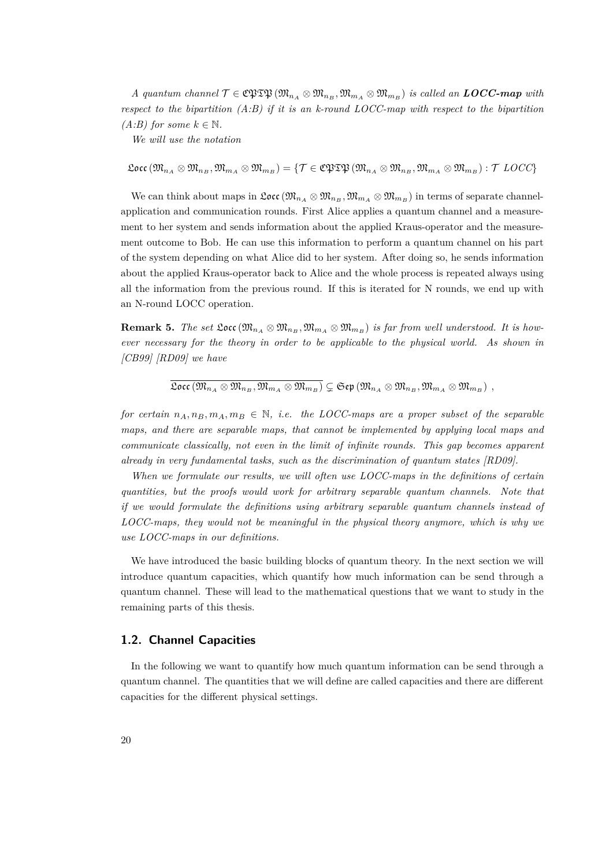$A$  quantum channel  $\mathcal{T} \in \mathbb{C}$   $\mathfrak{PTB} \left( \mathfrak{M}_{n_A} \otimes \mathfrak{M}_{n_B}, \mathfrak{M}_{m_A} \otimes \mathfrak{M}_{m_B} \right)$  is called an **LOCC-map** with *respect to the bipartition (A:B) if it is an k-round LOCC-map with respect to the bipartition (A:B)* for some  $k \in \mathbb{N}$ .

*We will use the notation*

 $\mathfrak{Loc}(\mathfrak{M}_{n_A}\otimes \mathfrak{M}_{n_B}, \mathfrak{M}_{m_A}\otimes \mathfrak{M}_{m_B})=\{T\in \mathfrak{CPTD}(\mathfrak{M}_{n_A}\otimes \mathfrak{M}_{n_B}, \mathfrak{M}_{m_A}\otimes \mathfrak{M}_{m_B}): T\; LOCC\}$ 

We can think about maps in  $\mathfrak{Loc}(\mathfrak{M}_{n_A} \otimes \mathfrak{M}_{n_B}, \mathfrak{M}_{m_A} \otimes \mathfrak{M}_{m_B})$  in terms of separate channelapplication and communication rounds. First Alice applies a quantum channel and a measurement to her system and sends information about the applied Kraus-operator and the measurement outcome to Bob. He can use this information to perform a quantum channel on his part of the system depending on what Alice did to her system. After doing so, he sends information about the applied Kraus-operator back to Alice and the whole process is repeated always using all the information from the previous round. If this is iterated for N rounds, we end up with an N-round LOCC operation.

**Remark 5.** *The set*  $\mathfrak{Loc}(\mathfrak{M}_{n_A} \otimes \mathfrak{M}_{n_B}, \mathfrak{M}_{m_A} \otimes \mathfrak{M}_{m_B})$  *is far from well understood. It is however necessary for the theory in order to be applicable to the physical world. As shown in [\[CB99\]](#page-83-2) [\[RD09\]](#page-84-4) we have*

$$
\overline{\mathfrak{Locc}\left(\mathfrak{M}_{n_A}\otimes \mathfrak{M}_{n_B},\mathfrak{M}_{m_A}\otimes \mathfrak{M}_{m_B}\right)}\subsetneq \mathfrak{Sep}\left(\mathfrak{M}_{n_A}\otimes \mathfrak{M}_{n_B},\mathfrak{M}_{m_A}\otimes \mathfrak{M}_{m_B}\right)\ ,
$$

*for certain*  $n_A, n_B, m_A, m_B \in \mathbb{N}$ , *i.e. the LOCC-maps are a proper subset of the separable maps, and there are separable maps, that cannot be implemented by applying local maps and communicate classically, not even in the limit of infinite rounds. This gap becomes apparent already in very fundamental tasks, such as the discrimination of quantum states [\[RD09\]](#page-84-4).*

*When we formulate our results, we will often use LOCC-maps in the definitions of certain quantities, but the proofs would work for arbitrary separable quantum channels. Note that if we would formulate the definitions using arbitrary separable quantum channels instead of LOCC-maps, they would not be meaningful in the physical theory anymore, which is why we use LOCC-maps in our definitions.*

We have introduced the basic building blocks of quantum theory. In the next section we will introduce quantum capacities, which quantify how much information can be send through a quantum channel. These will lead to the mathematical questions that we want to study in the remaining parts of this thesis.

# <span id="page-19-0"></span>**1.2. Channel Capacities**

In the following we want to quantify how much quantum information can be send through a quantum channel. The quantities that we will define are called capacities and there are different capacities for the different physical settings.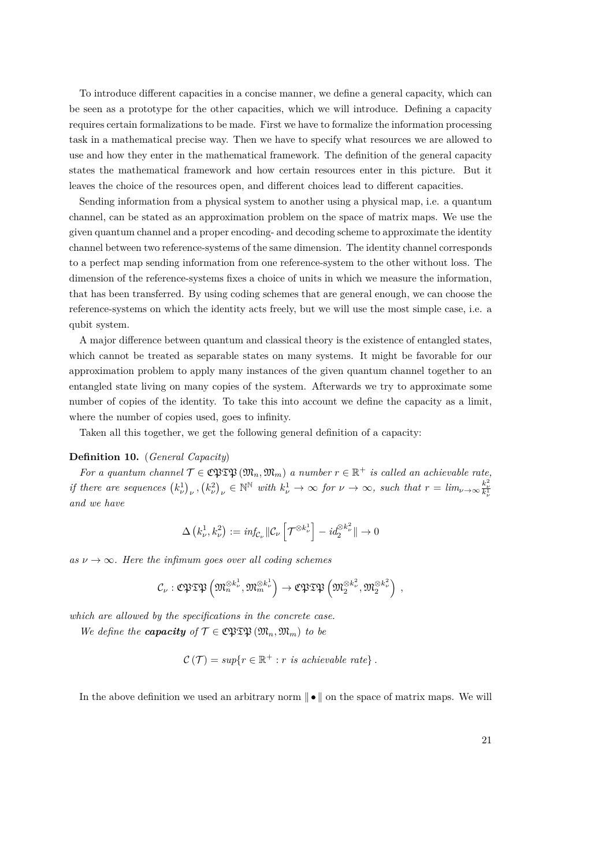To introduce different capacities in a concise manner, we define a general capacity, which can be seen as a prototype for the other capacities, which we will introduce. Defining a capacity requires certain formalizations to be made. First we have to formalize the information processing task in a mathematical precise way. Then we have to specify what resources we are allowed to use and how they enter in the mathematical framework. The definition of the general capacity states the mathematical framework and how certain resources enter in this picture. But it leaves the choice of the resources open, and different choices lead to different capacities.

Sending information from a physical system to another using a physical map, i.e. a quantum channel, can be stated as an approximation problem on the space of matrix maps. We use the given quantum channel and a proper encoding- and decoding scheme to approximate the identity channel between two reference-systems of the same dimension. The identity channel corresponds to a perfect map sending information from one reference-system to the other without loss. The dimension of the reference-systems fixes a choice of units in which we measure the information, that has been transferred. By using coding schemes that are general enough, we can choose the reference-systems on which the identity acts freely, but we will use the most simple case, i.e. a qubit system.

A major difference between quantum and classical theory is the existence of entangled states, which cannot be treated as separable states on many systems. It might be favorable for our approximation problem to apply many instances of the given quantum channel together to an entangled state living on many copies of the system. Afterwards we try to approximate some number of copies of the identity. To take this into account we define the capacity as a limit, where the number of copies used, goes to infinity.

Taken all this together, we get the following general definition of a capacity:

## <span id="page-20-0"></span>**Definition 10.** (*General Capacity*)

*For a quantum channel*  $\mathcal{T} \in \mathbb{C}$  $\mathfrak{PTD}(\mathfrak{M}_n, \mathfrak{M}_m)$  *a number*  $r \in \mathbb{R}^+$  *is called an achievable rate,* if there are sequences  $(k_{\nu}^1)_{\nu}$ ,  $(k_{\nu}^2)_{\nu} \in \mathbb{N}^{\mathbb{N}}$  with  $k_{\nu}^1 \to \infty$  for  $\nu \to \infty$ , such that  $r = \lim_{\nu \to \infty} \frac{k_{\nu}^2}{k_{\nu}^1}$ *and we have*

$$
\Delta\left(k_{\nu}^{1}, k_{\nu}^{2}\right) := \text{inf}_{\mathcal{C}_{\nu}} \left\| \mathcal{C}_{\nu} \left[ \mathcal{T}^{\otimes k_{\nu}^{1}} \right] - \text{id}_{2}^{\otimes k_{\nu}^{2}} \right\| \to 0
$$

 $as \nu \rightarrow \infty$ *. Here the infimum goes over all coding schemes* 

$$
\mathcal{C}_{\nu}:\mathfrak{CPTP}\left(\mathfrak{M}_{n}^{\otimes k_{\nu}^{1}},\mathfrak{M}_{m}^{\otimes k_{\nu}^{1}}\right)\to\mathfrak{CPTP}\left(\mathfrak{M}_{2}^{\otimes k_{\nu}^{2}},\mathfrak{M}_{2}^{\otimes k_{\nu}^{2}}\right)\;,
$$

*which are allowed by the specifications in the concrete case.*

*We define the <i>capacity* of  $\mathcal{T} \in \mathbb{C}$ PTP  $(\mathfrak{M}_n, \mathfrak{M}_m)$  *to be* 

$$
\mathcal{C}(\mathcal{T}) = \sup\{r \in \mathbb{R}^+ : r \text{ is achievable rate}\}.
$$

In the above definition we used an arbitrary norm  $\|\bullet\|$  on the space of matrix maps. We will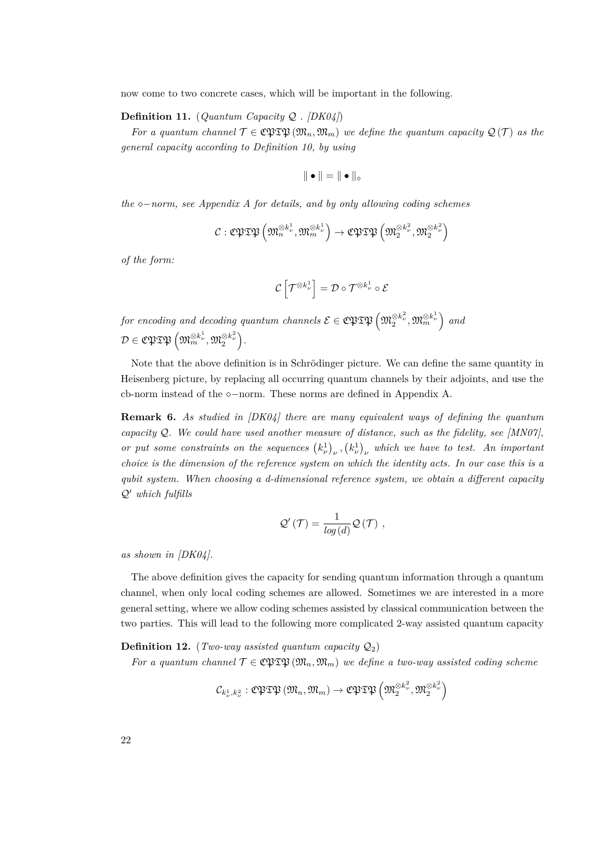now come to two concrete cases, which will be important in the following.

## **Definition 11.** (*Quantum Capacity* Q *. [\[DK04\]](#page-83-3)*)

*For a quantum channel*  $\mathcal{T} \in \mathfrak{CPTD}(\mathfrak{M}_n, \mathfrak{M}_m)$  *we define the quantum capacity*  $\mathcal{Q}(\mathcal{T})$  *as the general capacity according to Definition [10,](#page-20-0) by using*

$$
\|\bullet\|=\|\bullet\|_\diamond
$$

*the*  $\diamond$ −*norm, see Appendix A for details, and by only allowing coding schemes* 

$$
\mathcal{C}:\mathfrak{CPTP}\left(\mathfrak{M}^{\otimes k_{\nu}^{1}},\mathfrak{M}^{\otimes k_{\nu}^{1}}_{m}\right)\rightarrow\mathfrak{CPTP}\left(\mathfrak{M}^{\otimes k_{\nu}^{2}}_{2},\mathfrak{M}^{\otimes k_{\nu}^{2}}_{2}\right)
$$

*of the form:*

$$
\mathcal{C}\left[\mathcal{T}^{\otimes k_{\nu}^{1}}\right]=\mathcal{D}\circ\mathcal{T}^{\otimes k_{\nu}^{1}}\circ\mathcal{E}
$$

 $f$ *or encoding and decoding quantum channels*  $\mathcal{E}\in \mathbb{C}\mathfrak{PTB}\left(\mathfrak{M}_{2}^{\otimes k_{\nu}^{2}},\mathfrak{M}_{m}^{\otimes k_{\nu}^{1}}\right)$  and  $\mathcal{D} \in \mathfrak{CPF} \mathfrak{TP} \left( \mathfrak{M}^{\otimes k_\nu^1}_m, \mathfrak{M}^{\otimes k_\nu^2}_2 \right).$ 

Note that the above definition is in Schrödinger picture. We can define the same quantity in Heisenberg picture, by replacing all occurring quantum channels by their adjoints, and use the cb-norm instead of the  $\diamond$ -norm. These norms are defined in Appendix A.

**Remark 6.** *As studied in [\[DK04\]](#page-83-3) there are many equivalent ways of defining the quantum capacity*  $Q$ *. We could have used another measure of distance, such as the fidelity, see [\[MN07\]](#page-84-1)*, *or put some constraints on the sequences*  $(k_{\nu}^1)_\nu$ ,  $(k_{\nu}^1)_\nu$  which we have to test. An important *choice is the dimension of the reference system on which the identity acts. In our case this is a qubit system. When choosing a d-dimensional reference system, we obtain a different capacity*  $Q'$  which fulfills

$$
\mathcal{Q}'\left(\mathcal{T}\right)=\frac{1}{\log\left(d\right)}\mathcal{Q}\left(\mathcal{T}\right)\;,
$$

*as shown in [\[DK04\]](#page-83-3).*

The above definition gives the capacity for sending quantum information through a quantum channel, when only local coding schemes are allowed. Sometimes we are interested in a more general setting, where we allow coding schemes assisted by classical communication between the two parties. This will lead to the following more complicated 2-way assisted quantum capacity

<span id="page-21-0"></span>**Definition 12.** (*Two-way assisted quantum capacity*  $Q_2$ )

*For a quantum channel*  $\mathcal{T} \in \mathbb{C}$   $\mathfrak{PTD}(\mathfrak{M}_n, \mathfrak{M}_m)$  *we define a two-way assisted coding scheme* 

$$
\mathcal{C}_{k_{\nu}^{1},k_{\nu}^{2}}:\mathfrak{C}\mathfrak{PTP}\left(\mathfrak{M}_{n},\mathfrak{M}_{m}\right)\to\mathfrak{C}\mathfrak{PTP}\left(\mathfrak{M}_{2}^{\otimes k_{\nu}^{2}},\mathfrak{M}_{2}^{\otimes k_{\nu}^{2}}\right)
$$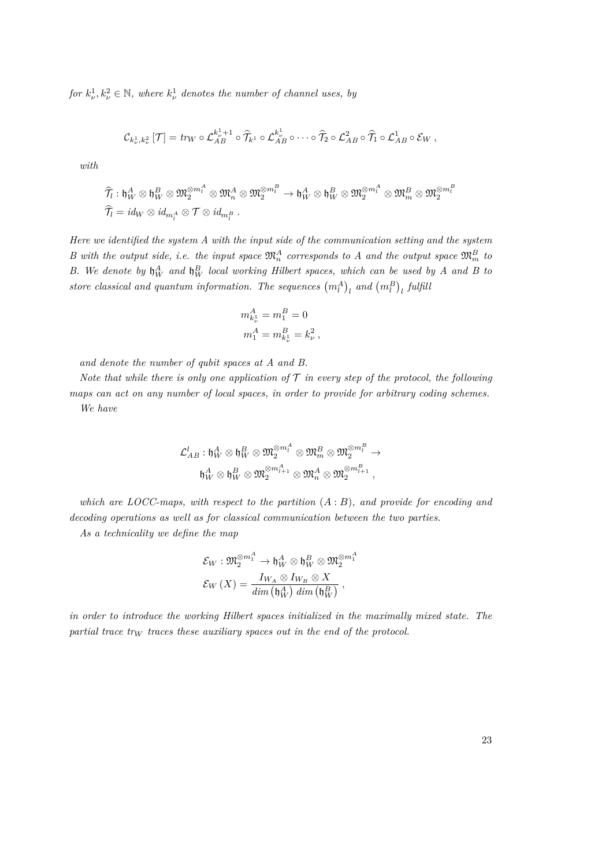*for*  $k_{\nu}^1, k_{\nu}^2 \in \mathbb{N}$ *, where*  $k_{\nu}^1$  *denotes the number of channel uses, by* 

$$
\mathcal{C}_{k_{\nu}^1,k_{\nu}^2}[\mathcal{T}] = \text{tr}_{W} \circ \mathcal{L}_{AB}^{k_{\nu}^1+1} \circ \widehat{\mathcal{T}}_{k^1} \circ \mathcal{L}_{AB}^{k_{\nu}^1} \circ \cdots \circ \widehat{\mathcal{T}}_{2} \circ \mathcal{L}_{AB}^2 \circ \widehat{\mathcal{T}}_{1} \circ \mathcal{L}_{AB}^1 \circ \mathcal{E}_{W} ,
$$

*with*

$$
\begin{aligned}\widehat{\mathcal{T}}_l&: \mathfrak{h}_W^A\otimes \mathfrak{h}_W^B\otimes \mathfrak{M}_2^{\otimes m_l^A}\otimes \mathfrak{M}_n^A\otimes \mathfrak{M}_2^{\otimes m_l^B} \to \mathfrak{h}_W^A\otimes \mathfrak{h}_W^B\otimes \mathfrak{M}_2^{\otimes m_l^A}\otimes \mathfrak{M}_m^B\otimes \mathfrak{M}_2^{\otimes m_l^B} \\ \widehat{\mathcal{T}}_l&= id_W\otimes id_{m_l^A}\otimes \mathcal{T}\otimes id_{m_l^B}\ .\end{aligned}
$$

*Here we identified the system A with the input side of the communication setting and the system B* with the output side, i.e. the input space  $\mathfrak{M}_n^A$  corresponds to A and the output space  $\mathfrak{M}_m^B$  to *B.* We denote by  $\mathfrak{h}_W^A$  and  $\mathfrak{h}_W^B$  local working Hilbert spaces, which can be used by A and B to store classical and quantum information. The sequences  $(m_l^A)_l$  and  $(m_l^B)_l$  fulfill

$$
\begin{split} &m_{k_\nu^1}^A = m_1^B = 0 \\ &m_1^A = m_{k_\nu^1}^B = k_\nu^2 \,, \end{split}
$$

*and denote the number of qubit spaces at A and B.*

*Note that while there is only one application of*  $\mathcal T$  *in every step of the protocol, the following maps can act on any number of local spaces, in order to provide for arbitrary coding schemes. We have*

$$
\mathcal{L}^l_{AB}:{\mathfrak h}_W^A\otimes{\mathfrak h}_W^B\otimes{\mathfrak M}_2^{\otimes m_l^A}\otimes{\mathfrak M}_m^B\otimes{\mathfrak M}_2^{\otimes m_l^B}\to\\ {\mathfrak h}_W^A\otimes{\mathfrak h}_W^B\otimes{\mathfrak M}_2^{\otimes m_{l+1}^A}\otimes{\mathfrak M}_n^A\otimes{\mathfrak M}_2^{\otimes m_{l+1}^B}\,,
$$

*which are LOCC-maps, with respect to the partition* (*A* : *B*)*, and provide for encoding and decoding operations as well as for classical communication between the two parties.*

*As a technicality we define the map*

$$
\begin{aligned} \mathcal{E}_W : \mathfrak{M}_2^{\otimes m_1^A} &\rightarrow \mathfrak{h}_W^A \otimes \mathfrak{h}_W^B \otimes \mathfrak{M}_2^{\otimes m_1^A} \\ \mathcal{E}_W \left( X \right) = \frac{I_{W_A} \otimes I_{W_B} \otimes X}{\dim \left( \mathfrak{h}_W^A \right) \dim \left( \mathfrak{h}_W^B \right)} \,, \end{aligned}
$$

*in order to introduce the working Hilbert spaces initialized in the maximally mixed state. The partial trace tr<sup>W</sup> traces these auxiliary spaces out in the end of the protocol.*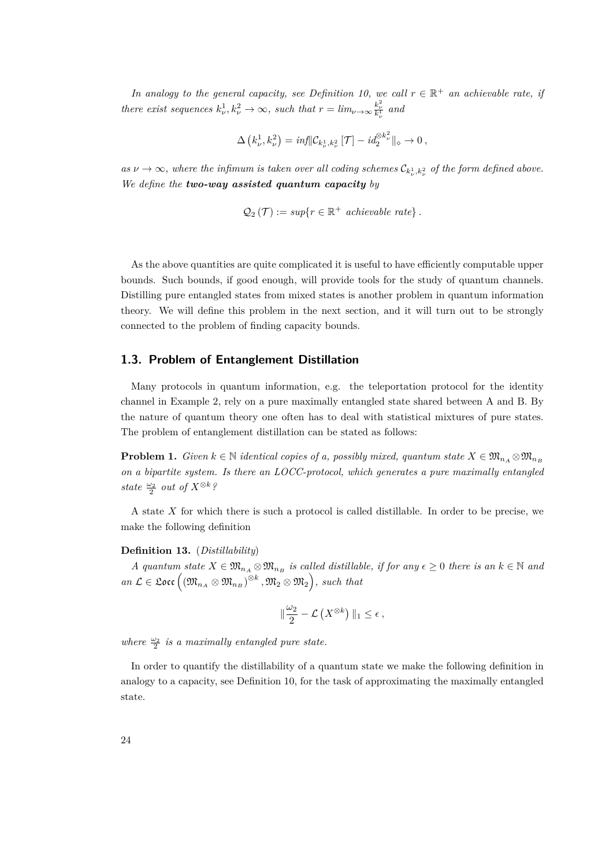*In analogy to the general capacity, see Definition [10,](#page-20-0) we call*  $r \in \mathbb{R}^+$  *an achievable rate, if there exist sequences*  $k_{\nu}^1, k_{\nu}^2 \to \infty$ , such that  $r = \lim_{\nu \to \infty} \frac{k_{\nu}^2}{k_{\nu}^1}$  and

$$
\Delta\left(k^1_\nu,k^2_\nu\right)=\inf\lVert \mathcal{C}_{k^1_\nu,k^2_\nu}\left[\mathcal{T}\right]-id_2^{\otimes k^2_\nu}\rVert_\diamond\to 0\,,
$$

 $as \nu \to \infty$ , where the infimum is taken over all coding schemes  $\mathcal{C}_{k^1_\nu,k^2_\nu}$  of the form defined above. *We define the two-way assisted quantum capacity by*

$$
Q_2(\mathcal{T}) := \sup\{r \in \mathbb{R}^+ \text{ achievable rate}\}.
$$

As the above quantities are quite complicated it is useful to have efficiently computable upper bounds. Such bounds, if good enough, will provide tools for the study of quantum channels. Distilling pure entangled states from mixed states is another problem in quantum information theory. We will define this problem in the next section, and it will turn out to be strongly connected to the problem of finding capacity bounds.

# <span id="page-23-0"></span>**1.3. Problem of Entanglement Distillation**

Many protocols in quantum information, e.g. the teleportation protocol for the identity channel in Example [2,](#page-15-1) rely on a pure maximally entangled state shared between A and B. By the nature of quantum theory one often has to deal with statistical mixtures of pure states. The problem of entanglement distillation can be stated as follows:

**Problem 1.** *Given*  $k \in \mathbb{N}$  *identical copies of a, possibly mixed, quantum state*  $X \in \mathfrak{M}_{n_A} \otimes \mathfrak{M}_{n_B}$ *on a bipartite system. Is there an LOCC-protocol, which generates a pure maximally entangled state*  $\frac{\omega_2}{2}$  *out of*  $X^{\otimes k}$ *?* 

A state *X* for which there is such a protocol is called distillable. In order to be precise, we make the following definition

#### **Definition 13.** (*Distillability*)

*A* quantum state  $X \in \mathfrak{M}_{n_A} \otimes \mathfrak{M}_{n_B}$  is called distillable, if for any  $\epsilon \geq 0$  there is an  $k \in \mathbb{N}$  and  $an \mathcal{L} \in \mathfrak{Loc} \left( \left( \mathfrak{M}_{n_A} \otimes \mathfrak{M}_{n_B} \right) ^{\otimes k}, \mathfrak{M}_2 \otimes \mathfrak{M}_2 \right)$ , such that

$$
\|\frac{\omega_2}{2}-\mathcal{L}\left(X^{\otimes k}\right)\|_1\leq \epsilon\,,
$$

where  $\frac{\omega_2}{2}$  is a maximally entangled pure state.

In order to quantify the distillability of a quantum state we make the following definition in analogy to a capacity, see Definition [10,](#page-20-0) for the task of approximating the maximally entangled state.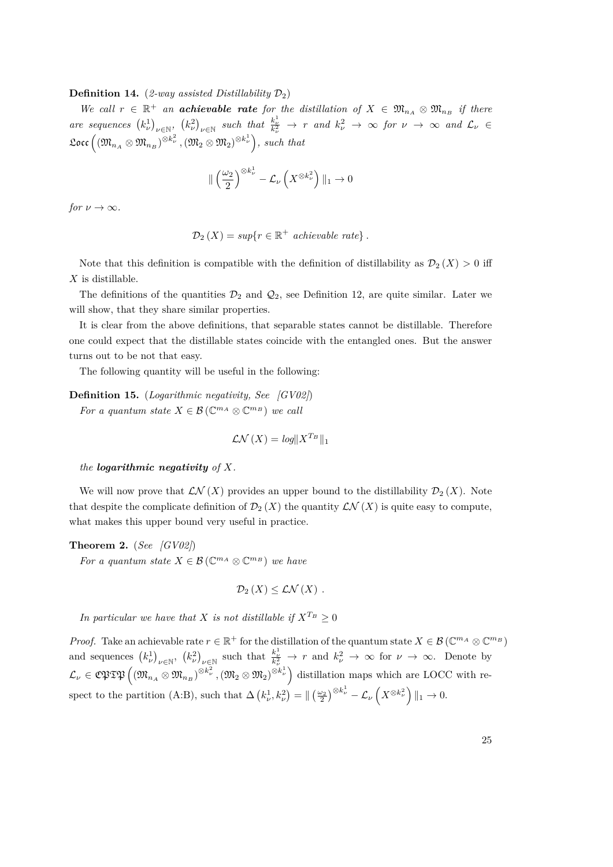#### **Definition 14.** (*2-way assisted Distillability*  $\mathcal{D}_2$ )

*We call*  $r \in \mathbb{R}^+$  *an* **achievable rate** for the distillation of  $X \in \mathfrak{M}_{n_A} \otimes \mathfrak{M}_{n_B}$  if there are sequences  $(k_{\nu}^1)_{\nu \in \mathbb{N}}$ ,  $(k_{\nu}^2)_{\nu \in \mathbb{N}}$  such that  $\frac{k_{\nu}^1}{k_{\nu}^2} \to r$  and  $k_{\nu}^2 \to \infty$  for  $\nu \to \infty$  and  $\mathcal{L}_{\nu} \in$  $\mathfrak{Loc} \left( \left( \mathfrak{M}_{n_A} \otimes \mathfrak{M}_{n_B} \right)^{\otimes k_{\nu}^2}, \left( \mathfrak{M}_2 \otimes \mathfrak{M}_2 \right)^{\otimes k_{\nu}^1} \right)$ *, such that* 

$$
\|\left(\frac{\omega_2}{2}\right)^{\otimes k_{\nu}^1} - \mathcal{L}_{\nu}\left(X^{\otimes k_{\nu}^2}\right)\|_1 \to 0
$$

*for*  $\nu \to \infty$ *.* 

$$
\mathcal{D}_2(X) = \sup\{r \in \mathbb{R}^+ \text{ achievable rate}\}.
$$

Note that this definition is compatible with the definition of distillability as  $\mathcal{D}_2(X) > 0$  iff *X* is distillable.

The definitions of the quantities  $\mathcal{D}_2$  and  $\mathcal{Q}_2$ , see Definition [12,](#page-21-0) are quite similar. Later we will show, that they share similar properties.

It is clear from the above definitions, that separable states cannot be distillable. Therefore one could expect that the distillable states coincide with the entangled ones. But the answer turns out to be not that easy.

The following quantity will be useful in the following:

**Definition 15.** (*Logarithmic negativity, See [\[GV02\]](#page-83-4)*) *For a quantum state*  $X \in \mathcal{B}(\mathbb{C}^{m_A} \otimes \mathbb{C}^{m_B})$  *we call* 

$$
\mathcal{LN}\left(X\right) = \log\|X^{T_B}\|_1
$$

#### *the logarithmic negativity of X.*

We will now prove that  $\mathcal{LN}(X)$  provides an upper bound to the distillability  $\mathcal{D}_2(X)$ . Note that despite the complicate definition of  $\mathcal{D}_2(X)$  the quantity  $\mathcal{LN}(X)$  is quite easy to compute, what makes this upper bound very useful in practice.

**Theorem 2.** (*See [\[GV02\]](#page-83-4)*)

*For a quantum state*  $X \in \mathcal{B}(\mathbb{C}^{m_A} \otimes \mathbb{C}^{m_B})$  *we have* 

$$
\mathcal{D}_2(X) \leq \mathcal{LN}(X) .
$$

*In particular we have that X is not distillable if*  $X^{T_B} > 0$ 

*Proof.* Take an achievable rate  $r \in \mathbb{R}^+$  for the distillation of the quantum state  $X \in \mathcal{B}(\mathbb{C}^{m_A} \otimes \mathbb{C}^{m_B})$ and sequences  $(k_{\nu}^1)_{\nu \in \mathbb{N}}$ ,  $(k_{\nu}^2)_{\nu \in \mathbb{N}}$  such that  $\frac{k_{\nu}^1}{k_{\nu}^2} \to r$  and  $k_{\nu}^2 \to \infty$  for  $\nu \to \infty$ . Denote by  $\mathcal{L}_{\nu} \in \mathfrak{CPTP}\Big((\mathfrak{M}_{n_A} \otimes \mathfrak{M}_{n_B})^{\otimes k_{\nu}^2}, (\mathfrak{M}_2 \otimes \mathfrak{M}_2)^{\otimes k_{\nu}^1}\Big)$  distillation maps which are LOCC with respect to the partition (A:B), such that  $\Delta \left( k_{\nu}^{1}, k_{\nu}^{2} \right) = \| \left( \frac{\omega_{2}}{2} \right)^{\otimes k_{\nu}^{1}} - \mathcal{L}_{\nu} \left( X^{\otimes k_{\nu}^{2}} \right) \|_{1} \to 0.$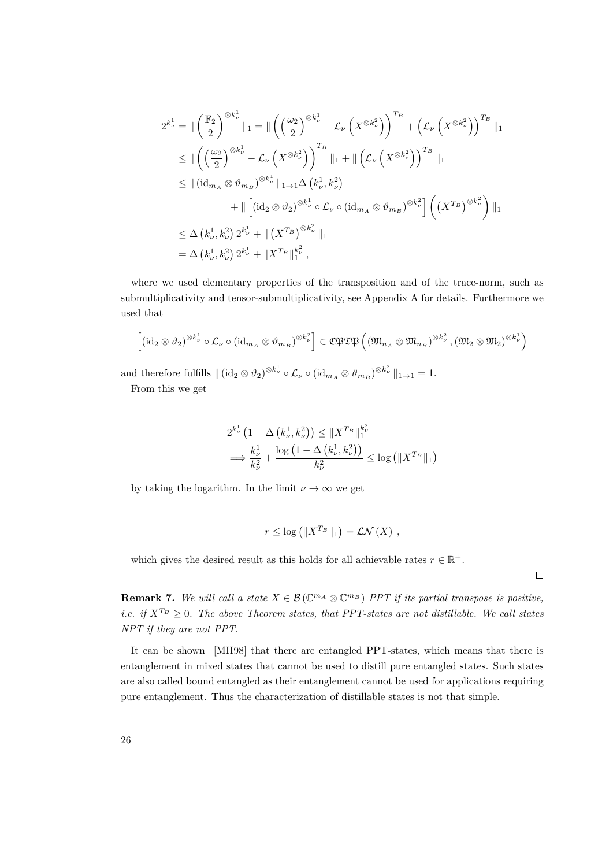$$
2^{k_{\nu}^{1}} = \|\left(\frac{\mathbb{F}_{2}}{2}\right)^{\otimes k_{\nu}^{1}}\|_{1} = \|\left(\left(\frac{\omega_{2}}{2}\right)^{\otimes k_{\nu}^{1}} - \mathcal{L}_{\nu}\left(X^{\otimes k_{\nu}^{2}}\right)\right)^{T_{B}} + \left(\mathcal{L}_{\nu}\left(X^{\otimes k_{\nu}^{2}}\right)\right)^{T_{B}}\|_{1}
$$
  
\n
$$
\leq \|\left(\left(\frac{\omega_{2}}{2}\right)^{\otimes k_{\nu}^{1}} - \mathcal{L}_{\nu}\left(X^{\otimes k_{\nu}^{2}}\right)\right)^{T_{B}}\|_{1} + \|\left(\mathcal{L}_{\nu}\left(X^{\otimes k_{\nu}^{2}}\right)\right)^{T_{B}}\|_{1}
$$
  
\n
$$
\leq \|\left(\mathrm{id}_{m_{A}} \otimes \vartheta_{m_{B}}\right)^{\otimes k_{\nu}^{1}}\|_{1 \to 1} \Delta\left(k_{\nu}^{1}, k_{\nu}^{2}\right)
$$
  
\n
$$
+ \|\left[\left(\mathrm{id}_{2} \otimes \vartheta_{2}\right)^{\otimes k_{\nu}^{1}} \circ \mathcal{L}_{\nu} \circ \left(\mathrm{id}_{m_{A}} \otimes \vartheta_{m_{B}}\right)^{\otimes k_{\nu}^{2}}\right] \left(\left(X^{T_{B}}\right)^{\otimes k_{\nu}^{2}}\right) \|_{1}
$$
  
\n
$$
\leq \Delta\left(k_{\nu}^{1}, k_{\nu}^{2}\right) 2^{k_{\nu}^{1}} + \|\left(X^{T_{B}}\right)^{\otimes k_{\nu}^{2}} \|_{1}
$$
  
\n
$$
= \Delta\left(k_{\nu}^{1}, k_{\nu}^{2}\right) 2^{k_{\nu}^{1}} + \|X^{T_{B}}\|_{1}^{k_{\nu}^{2}} ,
$$

where we used elementary properties of the transposition and of the trace-norm, such as submultiplicativity and tensor-submultiplicativity, see Appendix A for details. Furthermore we used that

$$
\left[ \left( \mathrm{id}_2 \otimes \vartheta_2 \right)^{\otimes k_{\nu}^1} \circ \mathcal{L}_{\nu} \circ \left( \mathrm{id}_{m_A} \otimes \vartheta_{m_B} \right)^{\otimes k_{\nu}^2} \right] \in \mathfrak{C}\mathfrak{PT}\mathfrak{P} \left( \left( \mathfrak{M}_{n_A} \otimes \mathfrak{M}_{n_B} \right)^{\otimes k_{\nu}^2}, \left( \mathfrak{M}_2 \otimes \mathfrak{M}_2 \right)^{\otimes k_{\nu}^1} \right)
$$

and therefore fulfills  $\| (\mathrm{id}_2 \otimes \vartheta_2)^{\otimes k_\nu^1} \circ \mathcal{L}_{\nu} \circ (\mathrm{id}_{m_A} \otimes \vartheta_{m_B})^{\otimes k_\nu^2} \|_{1 \to 1} = 1.$ From this we get

$$
2^{k_{\nu}^{1}} (1 - \Delta \left(k_{\nu}^{1}, k_{\nu}^{2}\right)) \leq \|X^{T_{B}}\|_{1}^{k_{\nu}^{2}}
$$
  

$$
\implies \frac{k_{\nu}^{1}}{k_{\nu}^{2}} + \frac{\log (1 - \Delta \left(k_{\nu}^{1}, k_{\nu}^{2}\right))}{k_{\nu}^{2}} \leq \log \left(\|X^{T_{B}}\|_{1}\right)
$$

by taking the logarithm. In the limit  $\nu \to \infty$  we get

$$
r \leq \log \left( \|X^{T_B}\|_1 \right) = \mathcal{LN}(X) ,
$$

which gives the desired result as this holds for all achievable rates  $r \in \mathbb{R}^+$ .

 $\Box$ 

**Remark 7.** We will call a state  $X \in \mathcal{B}(\mathbb{C}^{m_A} \otimes \mathbb{C}^{m_B})$  *PPT* if its partial transpose is positive, *i.e.* if  $X^{T_B} \geq 0$ . The above Theorem states, that PPT-states are not distillable. We call states *NPT if they are not PPT.*

It can be shown [\[MH98\]](#page-84-5) that there are entangled PPT-states, which means that there is entanglement in mixed states that cannot be used to distill pure entangled states. Such states are also called bound entangled as their entanglement cannot be used for applications requiring pure entanglement. Thus the characterization of distillable states is not that simple.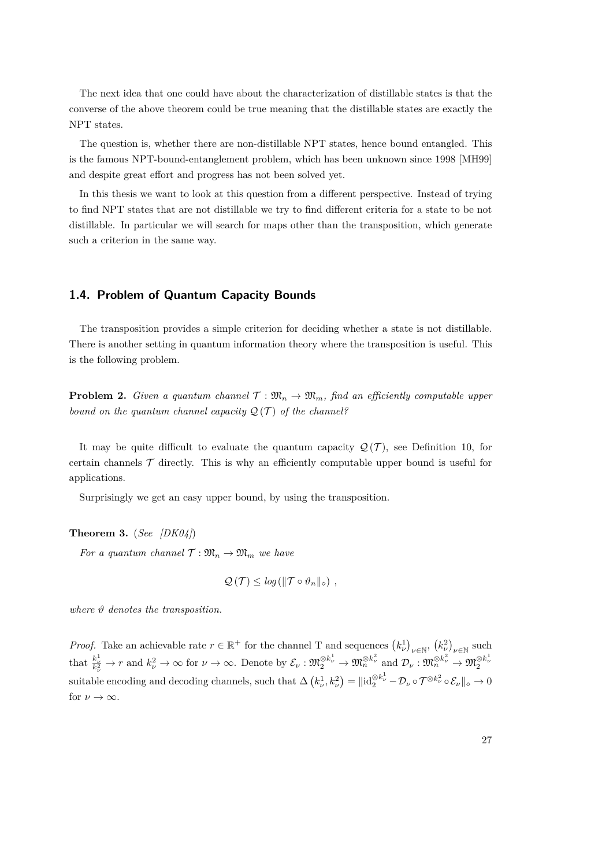The next idea that one could have about the characterization of distillable states is that the converse of the above theorem could be true meaning that the distillable states are exactly the NPT states.

The question is, whether there are non-distillable NPT states, hence bound entangled. This is the famous NPT-bound-entanglement problem, which has been unknown since 1998 [\[MH99\]](#page-84-6) and despite great effort and progress has not been solved yet.

In this thesis we want to look at this question from a different perspective. Instead of trying to find NPT states that are not distillable we try to find different criteria for a state to be not distillable. In particular we will search for maps other than the transposition, which generate such a criterion in the same way.

# <span id="page-26-0"></span>**1.4. Problem of Quantum Capacity Bounds**

The transposition provides a simple criterion for deciding whether a state is not distillable. There is another setting in quantum information theory where the transposition is useful. This is the following problem.

**Problem 2.** *Given a quantum channel*  $\mathcal{T}: \mathfrak{M}_n \to \mathfrak{M}_m$ *, find an efficiently computable upper bound on the quantum channel capacity*  $\mathcal{Q}(\mathcal{T})$  *of the channel?* 

It may be quite difficult to evaluate the quantum capacity  $\mathcal{Q}(\mathcal{T})$ , see Definition [10,](#page-20-0) for certain channels  $\mathcal T$  directly. This is why an efficiently computable upper bound is useful for applications.

Surprisingly we get an easy upper bound, by using the transposition.

**Theorem 3.** (*See [\[DK04\]](#page-83-3)*)

*For a quantum channel*  $\mathcal{T}: \mathfrak{M}_n \to \mathfrak{M}_m$  *we have* 

$$
\mathcal{Q}(\mathcal{T}) \leq \log \left( \|\mathcal{T} \circ \vartheta_n\|_{\diamond} \right) ,
$$

*where ϑ denotes the transposition.*

*Proof.* Take an achievable rate  $r \in \mathbb{R}^+$  for the channel T and sequences  $(k_\nu^1)_{\nu \in \mathbb{N}}$ ,  $(k_\nu^2)_{\nu \in \mathbb{N}}$  such that  $\frac{k_{\nu}^1}{k_{\nu}^2} \to r$  and  $k_{\nu}^2 \to \infty$  for  $\nu \to \infty$ . Denote by  $\mathcal{E}_{\nu} : \mathfrak{M}_{2}^{\otimes k_{\nu}^{1}} \to \mathfrak{M}_{n}^{\otimes k_{\nu}^{2}}$  and  $\mathcal{D}_{\nu} : \mathfrak{M}_{n}^{\otimes k_{\nu}^{2}} \to \mathfrak{M}_{2}^{\otimes k_{\nu}^{1}}$  $\text{switch}$  encoding and decoding channels, such that  $\Delta \left( k_{\nu}^1, k_{\nu}^2 \right) = ||\text{id}_{2}^{\otimes k_{\nu}^1} - \mathcal{D}_{\nu} \circ \mathcal{T}^{\otimes k_{\nu}^2} \circ \mathcal{E}_{\nu}||_{\diamond} \to 0$ for  $\nu \to \infty$ .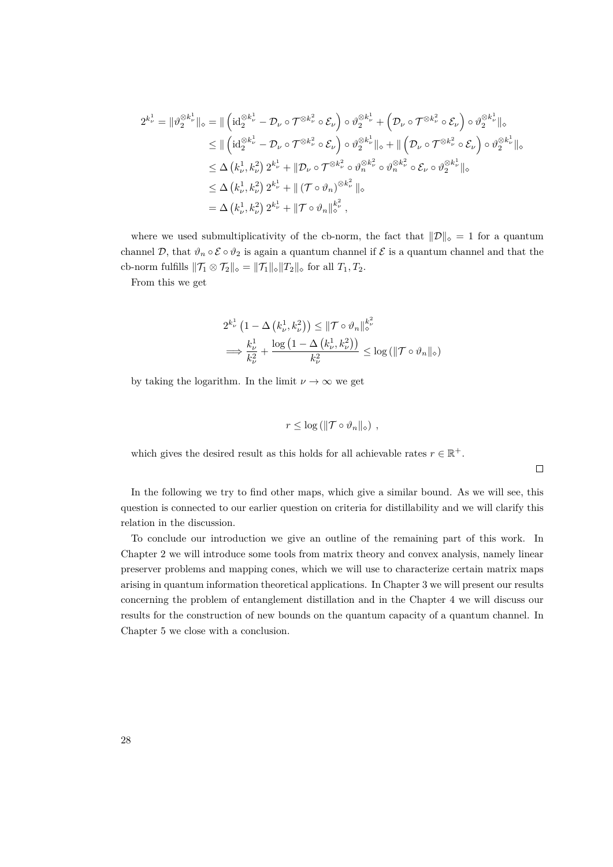$$
2^{k_{\nu}^{1}} = \|\vartheta_{2}^{\otimes k_{\nu}^{1}}\|_{\diamond} = \|\left(\mathrm{id}_{2}^{\otimes k_{\nu}^{1}} - \mathcal{D}_{\nu} \circ \mathcal{T}^{\otimes k_{\nu}^{2}} \circ \mathcal{E}_{\nu}\right) \circ \vartheta_{2}^{\otimes k_{\nu}^{1}} + \left(\mathcal{D}_{\nu} \circ \mathcal{T}^{\otimes k_{\nu}^{2}} \circ \mathcal{E}_{\nu}\right) \circ \vartheta_{2}^{\otimes k_{\nu}^{1}}\|_{\diamond}
$$
  
\n
$$
\leq \|\left(\mathrm{id}_{2}^{\otimes k_{\nu}^{1}} - \mathcal{D}_{\nu} \circ \mathcal{T}^{\otimes k_{\nu}^{2}} \circ \mathcal{E}_{\nu}\right) \circ \vartheta_{2}^{\otimes k_{\nu}^{1}}\|_{\diamond} + \|\left(\mathcal{D}_{\nu} \circ \mathcal{T}^{\otimes k_{\nu}^{2}} \circ \mathcal{E}_{\nu}\right) \circ \vartheta_{2}^{\otimes k_{\nu}^{1}}\|_{\diamond}
$$
  
\n
$$
\leq \Delta \left(k_{\nu}^{1}, k_{\nu}^{2}\right) 2^{k_{\nu}^{1}} + \|\mathcal{D}_{\nu} \circ \mathcal{T}^{\otimes k_{\nu}^{2}} \circ \vartheta_{n}^{\otimes k_{\nu}^{2}} \circ \vartheta_{n}^{\otimes k_{\nu}^{2}} \circ \mathcal{E}_{\nu} \circ \vartheta_{2}^{\otimes k_{\nu}^{1}}\|_{\diamond}
$$
  
\n
$$
\leq \Delta \left(k_{\nu}^{1}, k_{\nu}^{2}\right) 2^{k_{\nu}^{1}} + \|\left(\mathcal{T} \circ \vartheta_{n}\right)^{\otimes k_{\nu}^{2}}\|_{\diamond}
$$
  
\n
$$
= \Delta \left(k_{\nu}^{1}, k_{\nu}^{2}\right) 2^{k_{\nu}^{1}} + \|\mathcal{T} \circ \vartheta_{n}\|_{\diamond}^{k_{\nu}^{2}},
$$

where we used submultiplicativity of the cb-norm, the fact that  $\|\mathcal{D}\|_{\diamond} = 1$  for a quantum channel  $\mathcal{D}$ , that  $\vartheta_n \circ \mathcal{E} \circ \vartheta_2$  is again a quantum channel if  $\mathcal{E}$  is a quantum channel and that the cb-norm fulfills  $\|\mathcal{T}_1 \otimes \mathcal{T}_2\|_{\diamond} = \|\mathcal{T}_1\|_{\diamond} \|T_2\|_{\diamond}$  for all  $T_1, T_2$ .

From this we get

$$
2^{k_{\nu}^{1}} (1 - \Delta \left(k_{\nu}^{1}, k_{\nu}^{2}\right)) \leq \|\mathcal{T} \circ \vartheta_{n}\|_{\diamond}^{k_{\nu}^{2}}
$$

$$
\implies \frac{k_{\nu}^{1}}{k_{\nu}^{2}} + \frac{\log (1 - \Delta \left(k_{\nu}^{1}, k_{\nu}^{2}\right))}{k_{\nu}^{2}} \leq \log \left(\|\mathcal{T} \circ \vartheta_{n}\|_{\diamond}\right)
$$

by taking the logarithm. In the limit  $\nu \to \infty$  we get

$$
r \leq \log \left( \|\mathcal{T} \circ \vartheta_n\|_{\diamond} \right) ,
$$

which gives the desired result as this holds for all achievable rates  $r \in \mathbb{R}^+$ .

 $\Box$ 

In the following we try to find other maps, which give a similar bound. As we will see, this question is connected to our earlier question on criteria for distillability and we will clarify this relation in the discussion.

To conclude our introduction we give an outline of the remaining part of this work. In Chapter 2 we will introduce some tools from matrix theory and convex analysis, namely linear preserver problems and mapping cones, which we will use to characterize certain matrix maps arising in quantum information theoretical applications. In Chapter 3 we will present our results concerning the problem of entanglement distillation and in the Chapter 4 we will discuss our results for the construction of new bounds on the quantum capacity of a quantum channel. In Chapter 5 we close with a conclusion.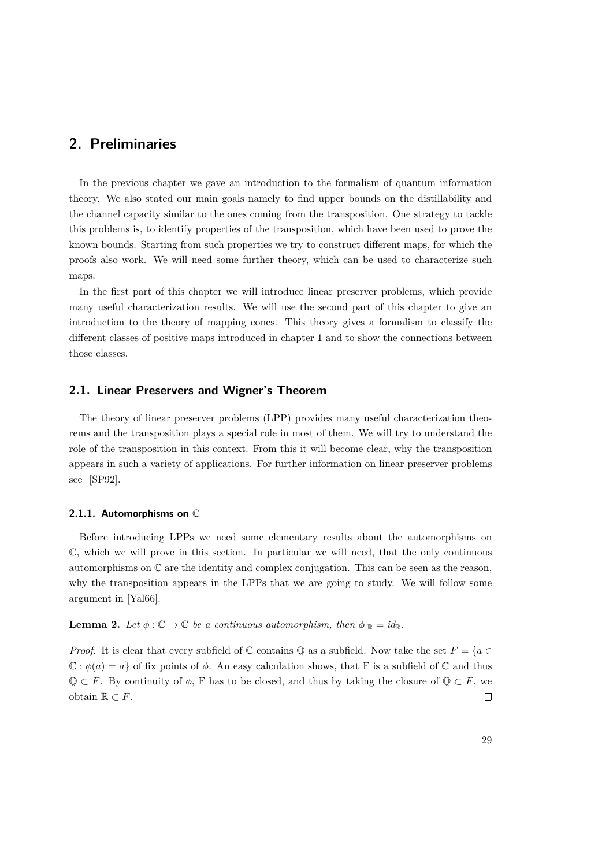# <span id="page-28-0"></span>**2. Preliminaries**

In the previous chapter we gave an introduction to the formalism of quantum information theory. We also stated our main goals namely to find upper bounds on the distillability and the channel capacity similar to the ones coming from the transposition. One strategy to tackle this problems is, to identify properties of the transposition, which have been used to prove the known bounds. Starting from such properties we try to construct different maps, for which the proofs also work. We will need some further theory, which can be used to characterize such maps.

In the first part of this chapter we will introduce linear preserver problems, which provide many useful characterization results. We will use the second part of this chapter to give an introduction to the theory of mapping cones. This theory gives a formalism to classify the different classes of positive maps introduced in chapter 1 and to show the connections between those classes.

# <span id="page-28-1"></span>**2.1. Linear Preservers and Wigner's Theorem**

The theory of linear preserver problems (LPP) provides many useful characterization theorems and the transposition plays a special role in most of them. We will try to understand the role of the transposition in this context. From this it will become clear, why the transposition appears in such a variety of applications. For further information on linear preserver problems see [\[SP92\]](#page-84-7).

#### <span id="page-28-2"></span>**2.1.1. Automorphisms on** C

Before introducing LPPs we need some elementary results about the automorphisms on C, which we will prove in this section. In particular we will need, that the only continuous automorphisms on C are the identity and complex conjugation. This can be seen as the reason, why the transposition appears in the LPPs that we are going to study. We will follow some argument in [\[Yal66\]](#page-85-1).

# <span id="page-28-3"></span>**Lemma 2.** Let  $\phi: \mathbb{C} \to \mathbb{C}$  be a continuous automorphism, then  $\phi|_{\mathbb{R}} = id_{\mathbb{R}}$ .

*Proof.* It is clear that every subfield of  $\mathbb C$  contains  $\mathbb Q$  as a subfield. Now take the set  $F = \{a \in$  $\mathbb{C}: \phi(a) = a$  of fix points of  $\phi$ . An easy calculation shows, that F is a subfield of  $\mathbb{C}$  and thus  $\mathbb{Q} \subset F$ . By continuity of  $\phi$ , F has to be closed, and thus by taking the closure of  $\mathbb{Q} \subset F$ , we obtain  $\mathbb{R}$  ⊂  $F$ .  $\Box$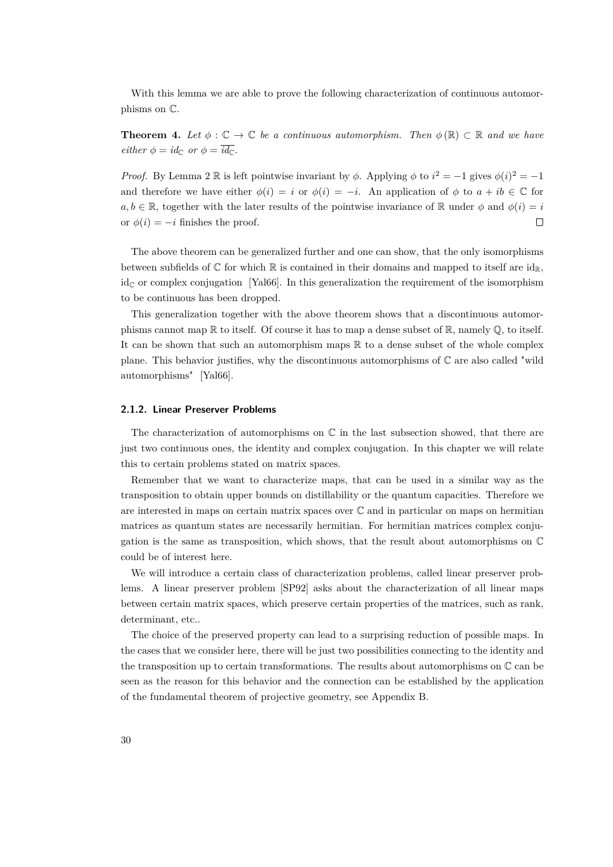With this lemma we are able to prove the following characterization of continuous automorphisms on C.

<span id="page-29-1"></span>**Theorem 4.** Let  $\phi : \mathbb{C} \to \mathbb{C}$  be a continuous automorphism. Then  $\phi(\mathbb{R}) \subset \mathbb{R}$  and we have *either*  $\phi = id_{\mathbb{C}}$  *or*  $\phi = \overline{id_{\mathbb{C}}}$ *.* 

*Proof.* By Lemma [2](#page-28-3) R is left pointwise invariant by  $\phi$ . Applying  $\phi$  to  $i^2 = -1$  gives  $\phi(i)^2 = -1$ and therefore we have either  $\phi(i) = i$  or  $\phi(i) = -i$ . An application of  $\phi$  to  $a + ib \in \mathbb{C}$  for  $a, b \in \mathbb{R}$ , together with the later results of the pointwise invariance of  $\mathbb{R}$  under  $\phi$  and  $\phi(i) = i$ or  $\phi(i) = -i$  finishes the proof.  $\Box$ 

The above theorem can be generalized further and one can show, that the only isomorphisms between subfields of  $\mathbb C$  for which  $\mathbb R$  is contained in their domains and mapped to itself are  $id_{\mathbb R}$ ,  $id_{\mathbb{C}}$  or complex conjugation [\[Yal66\]](#page-85-1). In this generalization the requirement of the isomorphism to be continuous has been dropped.

This generalization together with the above theorem shows that a discontinuous automorphisms cannot map  $\mathbb R$  to itself. Of course it has to map a dense subset of  $\mathbb R$ , namely  $\mathbb Q$ , to itself. It can be shown that such an automorphism maps  $\mathbb R$  to a dense subset of the whole complex plane. This behavior justifies, why the discontinuous automorphisms of  $\mathbb C$  are also called "wild automorphisms" [\[Yal66\]](#page-85-1).

#### <span id="page-29-0"></span>**2.1.2. Linear Preserver Problems**

The characterization of automorphisms on  $\mathbb C$  in the last subsection showed, that there are just two continuous ones, the identity and complex conjugation. In this chapter we will relate this to certain problems stated on matrix spaces.

Remember that we want to characterize maps, that can be used in a similar way as the transposition to obtain upper bounds on distillability or the quantum capacities. Therefore we are interested in maps on certain matrix spaces over C and in particular on maps on hermitian matrices as quantum states are necessarily hermitian. For hermitian matrices complex conjugation is the same as transposition, which shows, that the result about automorphisms on C could be of interest here.

We will introduce a certain class of characterization problems, called linear preserver problems. A linear preserver problem [\[SP92\]](#page-84-7) asks about the characterization of all linear maps between certain matrix spaces, which preserve certain properties of the matrices, such as rank, determinant, etc..

The choice of the preserved property can lead to a surprising reduction of possible maps. In the cases that we consider here, there will be just two possibilities connecting to the identity and the transposition up to certain transformations. The results about automorphisms on  $\mathbb C$  can be seen as the reason for this behavior and the connection can be established by the application of the fundamental theorem of projective geometry, see Appendix B.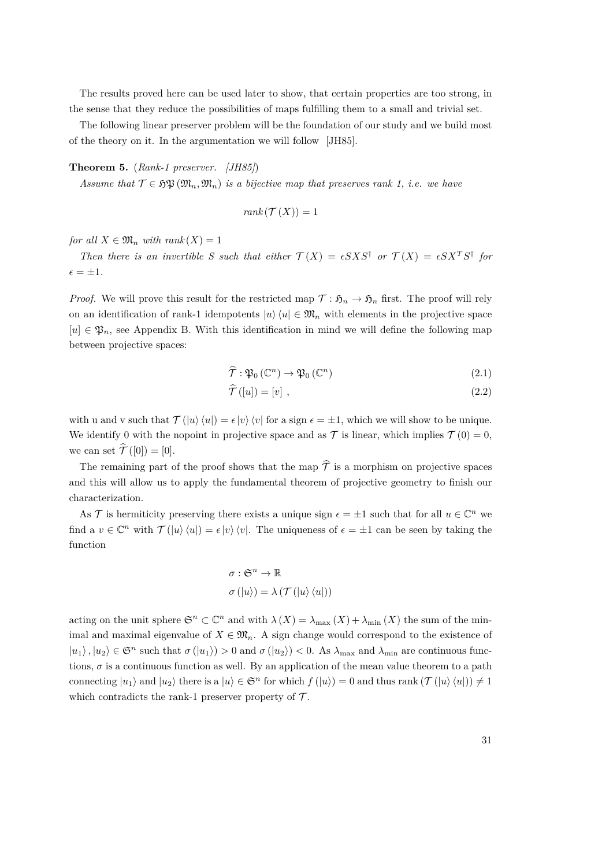The results proved here can be used later to show, that certain properties are too strong, in the sense that they reduce the possibilities of maps fulfilling them to a small and trivial set.

The following linear preserver problem will be the foundation of our study and we build most of the theory on it. In the argumentation we will follow [\[JH85\]](#page-83-5).

<span id="page-30-0"></span>**Theorem 5.** (*Rank-1 preserver. [\[JH85\]](#page-83-5)*)

*Assume that*  $\mathcal{T} \in \mathfrak{FP}(\mathfrak{M}_n, \mathfrak{M}_n)$  *is a bijective map that preserves rank 1, i.e. we have* 

$$
rank(\mathcal{T}(X)) = 1
$$

*for all*  $X \in \mathfrak{M}_n$  *with rank*  $(X) = 1$ 

*Then there is an invertible S such that either*  $\mathcal{T}(X) = \epsilon S X S^{\dagger}$  *or*  $\mathcal{T}(X) = \epsilon S X^T S^{\dagger}$  *for*  $\epsilon = \pm 1.$ 

*Proof.* We will prove this result for the restricted map  $\mathcal{T}: \mathfrak{H}_n \to \mathfrak{H}_n$  first. The proof will rely on an identification of rank-1 idempotents  $|u\rangle\langle u| \in \mathfrak{M}_n$  with elements in the projective space  $[u] \in \mathfrak{P}_n$ , see Appendix B. With this identification in mind we will define the following map between projective spaces:

$$
\widehat{\mathcal{T}}: \mathfrak{P}_0\left(\mathbb{C}^n\right) \to \mathfrak{P}_0\left(\mathbb{C}^n\right) \tag{2.1}
$$

$$
\mathcal{T}([u]) = [v], \qquad (2.2)
$$

with u and v such that  $\mathcal{T}(\ket{u}\bra{u}) = \epsilon \ket{v}\bra{v}$  for a sign  $\epsilon = \pm 1$ , which we will show to be unique. We identify 0 with the nopoint in projective space and as  $\mathcal T$  is linear, which implies  $\mathcal T(0) = 0$ , we can set  $\hat{\mathcal{T}}([0]) = [0].$ 

The remaining part of the proof shows that the map  $\hat{\mathcal{T}}$  is a morphism on projective spaces and this will allow us to apply the fundamental theorem of projective geometry to finish our characterization.

As T is hermiticity preserving there exists a unique sign  $\epsilon = \pm 1$  such that for all  $u \in \mathbb{C}^n$  we find a  $v \in \mathbb{C}^n$  with  $\mathcal{T}(\ket{u}\bra{u}) = \epsilon \ket{v}\bra{v}$ . The uniqueness of  $\epsilon = \pm 1$  can be seen by taking the function

$$
\sigma : \mathfrak{S}^n \to \mathbb{R}
$$

$$
\sigma (\ket{u}) = \lambda (\mathcal{T} (\ket{u} \bra{u}))
$$

acting on the unit sphere  $\mathfrak{S}^n \subset \mathbb{C}^n$  and with  $\lambda(X) = \lambda_{\max}(X) + \lambda_{\min}(X)$  the sum of the minimal and maximal eigenvalue of  $X \in \mathfrak{M}_n$ . A sign change would correspond to the existence of  $|u_1\rangle, |u_2\rangle \in \mathfrak{S}^n$  such that  $\sigma(|u_1\rangle) > 0$  and  $\sigma(|u_2\rangle) < 0$ . As  $\lambda_{\text{max}}$  and  $\lambda_{\text{min}}$  are continuous functions,  $\sigma$  is a continuous function as well. By an application of the mean value theorem to a path connecting  $|u_1\rangle$  and  $|u_2\rangle$  there is a  $|u\rangle \in \mathfrak{S}^n$  for which  $f(|u\rangle) = 0$  and thus rank  $(\mathcal{T}(|u\rangle \langle u|)) \neq 1$ which contradicts the rank-1 preserver property of  $\mathcal{T}$ .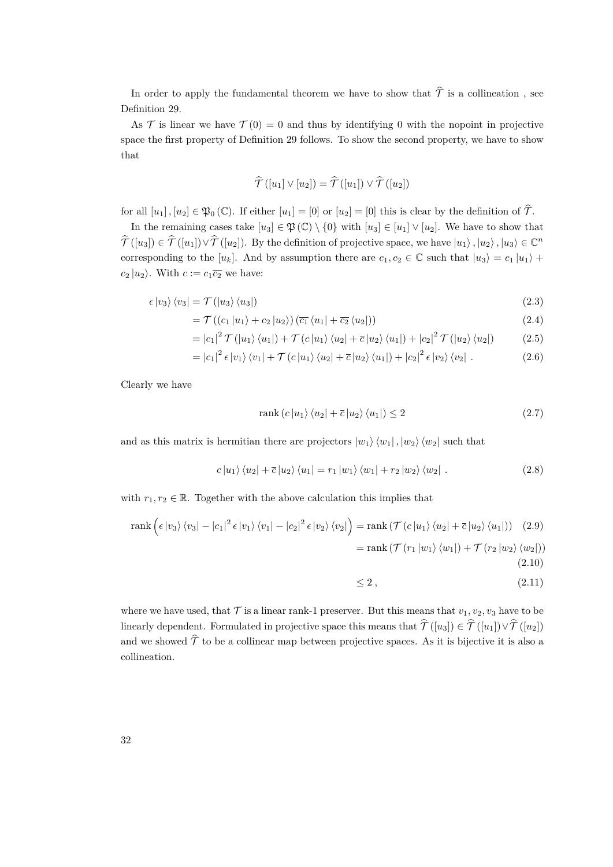In order to apply the fundamental theorem we have to show that  $\hat{\mathcal{T}}$  is a collineation, see Definition [29.](#page-79-0)

As  $\mathcal T$  is linear we have  $\mathcal T(0) = 0$  and thus by identifying 0 with the nopoint in projective space the first property of Definition [29](#page-79-0) follows. To show the second property, we have to show that

$$
\widehat{\mathcal{T}}\left(\left[u_1\right] \vee \left[u_2\right]\right) = \widehat{\mathcal{T}}\left(\left[u_1\right]\right) \vee \widehat{\mathcal{T}}\left(\left[u_2\right]\right)
$$

for all  $[u_1]$ ,  $[u_2] \in \mathfrak{P}_0(\mathbb{C})$ . If either  $[u_1] = [0]$  or  $[u_2] = [0]$  this is clear by the definition of  $\hat{\mathcal{T}}$ .

In the remaining cases take  $[u_3] \in \mathfrak{P}(\mathbb{C}) \setminus \{0\}$  with  $[u_3] \in [u_1] \vee [u_2]$ . We have to show that  $\hat{\mathcal{T}}([u_3]) \in \hat{\mathcal{T}}([u_1]) \vee \hat{\mathcal{T}}([u_2])$ . By the definition of projective space, we have  $|u_1\rangle$ ,  $|u_2\rangle$ ,  $|u_3\rangle \in \mathbb{C}^n$ corresponding to the  $[u_k]$ . And by assumption there are  $c_1, c_2 \in \mathbb{C}$  such that  $|u_3\rangle = c_1 |u_1\rangle + c_2 |u_2\rangle$  $c_2 |u_2\rangle$ . With  $c := c_1 \overline{c_2}$  we have:

$$
\epsilon \left| v_3 \right\rangle \left\langle v_3 \right| = \mathcal{T} \left( \left| u_3 \right\rangle \left\langle u_3 \right| \right) \tag{2.3}
$$

$$
= \mathcal{T}\left(\left(c_1 | u_1\right) + c_2 | u_2\right) \left(\overline{c_1} \left\langle u_1 | + \overline{c_2} \left\langle u_2 | \right\rangle\right)\right) \tag{2.4}
$$

$$
= |c_1|^2 \mathcal{T}(|u_1\rangle \langle u_1|) + \mathcal{T}(c|u_1\rangle \langle u_2| + \overline{c}|u_2\rangle \langle u_1|) + |c_2|^2 \mathcal{T}(|u_2\rangle \langle u_2|)
$$
 (2.5)

$$
= |c_1|^2 \epsilon |v_1\rangle \langle v_1| + \mathcal{T}(c |u_1\rangle \langle u_2| + \overline{c} |u_2\rangle \langle u_1|) + |c_2|^2 \epsilon |v_2\rangle \langle v_2| . \qquad (2.6)
$$

Clearly we have

$$
rank (c |u_1\rangle \langle u_2| + \overline{c} |u_2\rangle \langle u_1|) \le 2
$$
\n(2.7)

and as this matrix is hermitian there are projectors  $|w_1\rangle \langle w_1|$ ,  $|w_2\rangle \langle w_2|$  such that

$$
c|u_1\rangle\langle u_2| + \overline{c}|u_2\rangle\langle u_1| = r_1|w_1\rangle\langle w_1| + r_2|w_2\rangle\langle w_2|.
$$
 (2.8)

with  $r_1, r_2 \in \mathbb{R}$ . Together with the above calculation this implies that

$$
\operatorname{rank}\left(\epsilon\left|v_{3}\right\rangle\left\langle v_{3}\right|-\left|c_{1}\right|^{2}\epsilon\left|v_{1}\right\rangle\left\langle v_{1}\right|-\left|c_{2}\right|^{2}\epsilon\left|v_{2}\right\rangle\left\langle v_{2}\right|\right)=\operatorname{rank}\left(\mathcal{T}\left(c\left|u_{1}\right\rangle\left\langle u_{2}\right|+\overline{c}\left|u_{2}\right\rangle\left\langle u_{1}\right|\right)\right) \quad(2.9)
$$
\n
$$
=\operatorname{rank}\left(\mathcal{T}\left(r_{1}\left|w_{1}\right\rangle\left\langle w_{1}\right|\right)+\mathcal{T}\left(r_{2}\left|w_{2}\right\rangle\left\langle w_{2}\right|\right)\right)
$$
\n
$$
(2.10)
$$

$$
\leq 2\,,\tag{2.11}
$$

where we have used, that  $\mathcal T$  is a linear rank-1 preserver. But this means that  $v_1, v_2, v_3$  have to be linearly dependent. Formulated in projective space this means that  $\hat{\mathcal{T}}([u_3]) \in \hat{\mathcal{T}}([u_1]) \vee \hat{\mathcal{T}}([u_2])$ and we showed  $\hat{\mathcal{T}}$  to be a collinear map between projective spaces. As it is bijective it is also a collineation.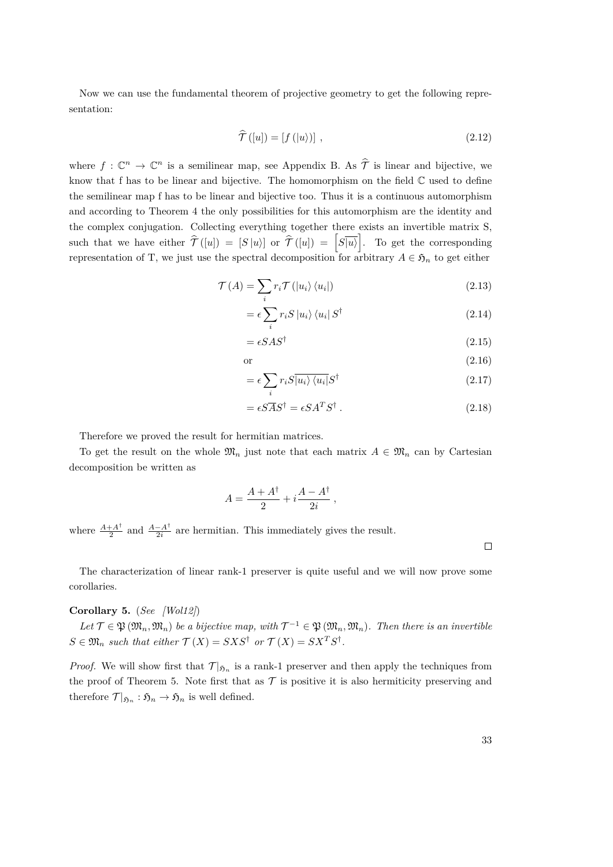Now we can use the fundamental theorem of projective geometry to get the following representation:

$$
\widehat{\mathcal{T}}\left([u]\right) = \left[f\left(|u\rangle\right)\right],\tag{2.12}
$$

where  $f: \mathbb{C}^n \to \mathbb{C}^n$  is a semilinear map, see Appendix B. As  $\hat{\mathcal{T}}$  is linear and bijective, we know that f has to be linear and bijective. The homomorphism on the field C used to define the semilinear map f has to be linear and bijective too. Thus it is a continuous automorphism and according to Theorem [4](#page-29-1) the only possibilities for this automorphism are the identity and the complex conjugation. Collecting everything together there exists an invertible matrix S, such that we have either  $\hat{\mathcal{T}}([u]) = [S | u \rangle]$  or  $\hat{\mathcal{T}}([u]) = [S | u \rangle]$ . To get the corresponding representation of T, we just use the spectral decomposition for arbitrary  $A \in \mathfrak{H}_n$  to get either

$$
\mathcal{T}(A) = \sum_{i} r_i \mathcal{T}(|u_i\rangle \langle u_i|)
$$
\n(2.13)

$$
= \epsilon \sum_{i} r_{i} S \left| u_{i} \right\rangle \left\langle u_{i} \right| S^{\dagger}
$$
\n(2.14)

$$
= \epsilon S A S^{\dagger} \tag{2.15}
$$

$$
\text{or} \quad (2.16)
$$

$$
= \epsilon \sum_{i} r_{i} S \overline{|u_{i}\rangle \langle u_{i}|} S^{\dagger}
$$
\n(2.17)

$$
= \epsilon S \overline{A} S^{\dagger} = \epsilon S A^T S^{\dagger} . \tag{2.18}
$$

Therefore we proved the result for hermitian matrices.

To get the result on the whole  $\mathfrak{M}_n$  just note that each matrix  $A \in \mathfrak{M}_n$  can by Cartesian decomposition be written as

$$
A = \frac{A + A^{\dagger}}{2} + i \frac{A - A^{\dagger}}{2i} ,
$$

where  $\frac{A+A^{\dagger}}{2}$  $\frac{+A^{\dagger}}{2}$  and  $\frac{A-A^{\dagger}}{2i}$  $\frac{-A'}{2i}$  are hermitian. This immediately gives the result.

 $\Box$ 

The characterization of linear rank-1 preserver is quite useful and we will now prove some corollaries.

# **Corollary 5.** (*See [\[Wol12\]](#page-84-3)*)

 $Let \mathcal{T} \in \mathfrak{P}(\mathfrak{M}_n, \mathfrak{M}_n)$  be a bijective map, with  $\mathcal{T}^{-1} \in \mathfrak{P}(\mathfrak{M}_n, \mathfrak{M}_n)$ . Then there is an invertible  $S \in \mathfrak{M}_n$  *such that either*  $\mathcal{T}(X) = S X S^{\dagger}$  *or*  $\mathcal{T}(X) = S X^T S^{\dagger}$ *.* 

*Proof.* We will show first that  $\mathcal{T}|_{\mathfrak{H}_n}$  is a rank-1 preserver and then apply the techniques from the proof of Theorem [5.](#page-30-0) Note first that as  $\mathcal T$  is positive it is also hermiticity preserving and therefore  $\mathcal{T}|_{\mathfrak{H}_n} : \mathfrak{H}_n \to \mathfrak{H}_n$  is well defined.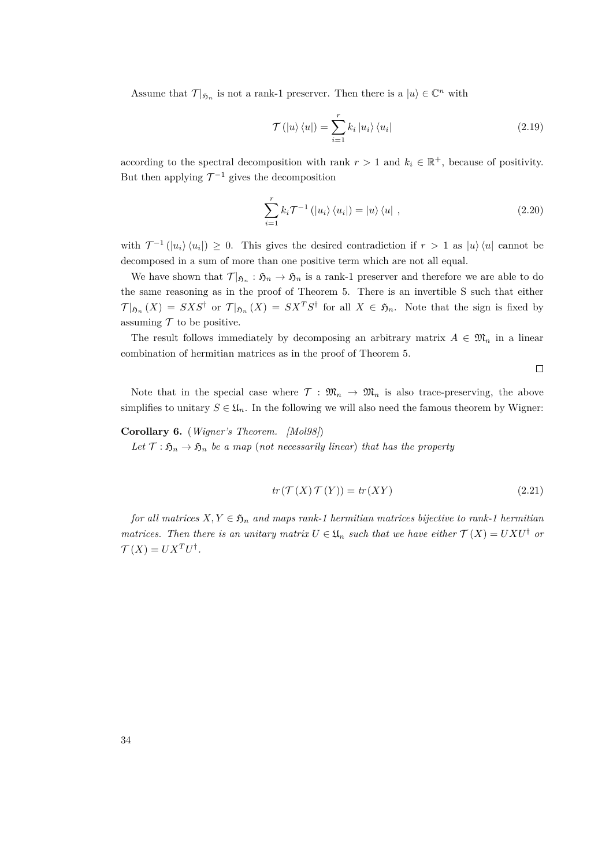Assume that  $\mathcal{T}|_{\mathfrak{H}_n}$  is not a rank-1 preserver. Then there is a  $|u\rangle \in \mathbb{C}^n$  with

$$
\mathcal{T}(|u\rangle\langle u|) = \sum_{i=1}^{r} k_i |u_i\rangle\langle u_i|
$$
\n(2.19)

according to the spectral decomposition with rank  $r > 1$  and  $k_i \in \mathbb{R}^+$ , because of positivity. But then applying  $\mathcal{T}^{-1}$  gives the decomposition

$$
\sum_{i=1}^{r} k_i \mathcal{T}^{-1} \left( |u_i\rangle \langle u_i| \right) = |u\rangle \langle u| \tag{2.20}
$$

with  $\mathcal{T}^{-1}(|u_i\rangle\langle u_i|) \geq 0$ . This gives the desired contradiction if  $r > 1$  as  $|u\rangle\langle u|$  cannot be decomposed in a sum of more than one positive term which are not all equal.

We have shown that  $\mathcal{T}|_{\mathfrak{H}_n} : \mathfrak{H}_n \to \mathfrak{H}_n$  is a rank-1 preserver and therefore we are able to do the same reasoning as in the proof of Theorem [5.](#page-30-0) There is an invertible S such that either  $\mathcal{T}|_{\mathfrak{H}_n}(X) = S X S^{\dagger}$  or  $\mathcal{T}|_{\mathfrak{H}_n}(X) = S X^T S^{\dagger}$  for all  $X \in \mathfrak{H}_n$ . Note that the sign is fixed by assuming  $\mathcal T$  to be positive.

The result follows immediately by decomposing an arbitrary matrix  $A \in \mathfrak{M}_n$  in a linear combination of hermitian matrices as in the proof of Theorem [5.](#page-30-0)

 $\Box$ 

Note that in the special case where  $\mathcal{T}: \mathfrak{M}_n \to \mathfrak{M}_n$  is also trace-preserving, the above simplifies to unitary  $S \in \mathfrak{U}_n$ . In the following we will also need the famous theorem by Wigner:

### **Corollary 6.** (*Wigner's Theorem. [\[Mol98\]](#page-84-8)*)

*Let*  $\mathcal{T} : \mathfrak{H}_n \to \mathfrak{H}_n$  *be a map* (*not necessarily linear*) *that has the property* 

$$
tr(\mathcal{T}(X)\,\mathcal{T}(Y)) = tr(XY) \tag{2.21}
$$

*for all matrices*  $X, Y \in \mathfrak{H}_n$  *and maps rank-1 hermitian matrices bijective to rank-1 hermitian matrices. Then there is an unitary matrix*  $U \in \mathfrak{U}_n$  *such that we have either*  $\mathcal{T}(X) = U X U^{\dagger}$  *or*  $\mathcal{T}(X) = U X^T U^{\dagger}.$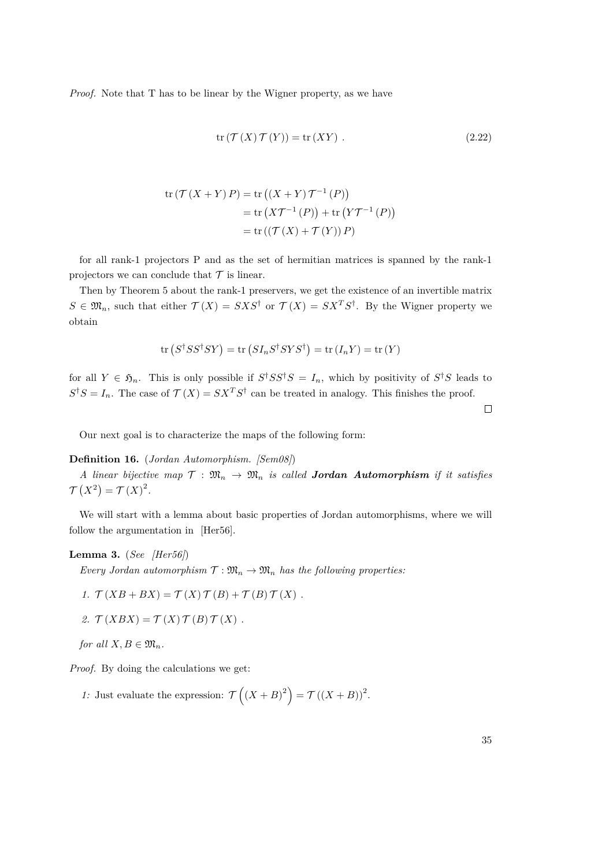*Proof.* Note that T has to be linear by the Wigner property, as we have

$$
\operatorname{tr} \left( \mathcal{T} \left( X \right) \mathcal{T} \left( Y \right) \right) = \operatorname{tr} \left( XY \right) \,. \tag{2.22}
$$

$$
tr(\mathcal{T}(X+Y)P) = tr((X+Y)\mathcal{T}^{-1}(P))
$$
  
= tr(X\mathcal{T}^{-1}(P)) + tr(Y\mathcal{T}^{-1}(P))  
= tr((\mathcal{T}(X) + \mathcal{T}(Y))P)

for all rank-1 projectors P and as the set of hermitian matrices is spanned by the rank-1 projectors we can conclude that  ${\mathcal T}$  is linear.

Then by Theorem [5](#page-30-0) about the rank-1 preservers, we get the existence of an invertible matrix  $S \in \mathfrak{M}_n$ , such that either  $\mathcal{T}(X) = S X S^{\dagger}$  or  $\mathcal{T}(X) = S X^T S^{\dagger}$ . By the Wigner property we obtain

$$
\text{tr}(S^{\dagger}SS^{\dagger}SY) = \text{tr}(SI_nS^{\dagger}SYS^{\dagger}) = \text{tr}(I_nY) = \text{tr}(Y)
$$

for all  $Y \in \mathfrak{H}_n$ . This is only possible if  $S^{\dagger}SS^{\dagger}S = I_n$ , which by positivity of  $S^{\dagger}S$  leads to  $S^{\dagger}S = I_n$ . The case of  $\mathcal{T}(X) = SX^TS^{\dagger}$  can be treated in analogy. This finishes the proof.

 $\Box$ 

Our next goal is to characterize the maps of the following form:

## **Definition 16.** (*Jordan Automorphism. [\[Sem08\]](#page-84-9)*)

*A linear bijective map*  $\mathcal{T} : \mathfrak{M}_n \to \mathfrak{M}_n$  *is called Jordan Automorphism if it satisfies*  $\mathcal{T}(X^2) = \mathcal{T}(X)^2$ .

We will start with a lemma about basic properties of Jordan automorphisms, where we will follow the argumentation in [\[Her56\]](#page-83-6).

#### **Lemma 3.** (*See [\[Her56\]](#page-83-6)*)

*Every Jordan automorphism*  $\mathcal{T} : \mathfrak{M}_n \to \mathfrak{M}_n$  *has the following properties:* 

1. 
$$
\mathcal{T}(XB + BX) = \mathcal{T}(X)\mathcal{T}(B) + \mathcal{T}(B)\mathcal{T}(X).
$$

<span id="page-34-0"></span>2. 
$$
\mathcal{T}(XBX) = \mathcal{T}(X)\mathcal{T}(B)\mathcal{T}(X).
$$

*for all*  $X, B \in \mathfrak{M}_n$ *.* 

*Proof.* By doing the calculations we get:

*1*: Just evaluate the expression:  $\mathcal{T}\left((X+B)^2\right) = \mathcal{T}\left((X+B)\right)^2$ .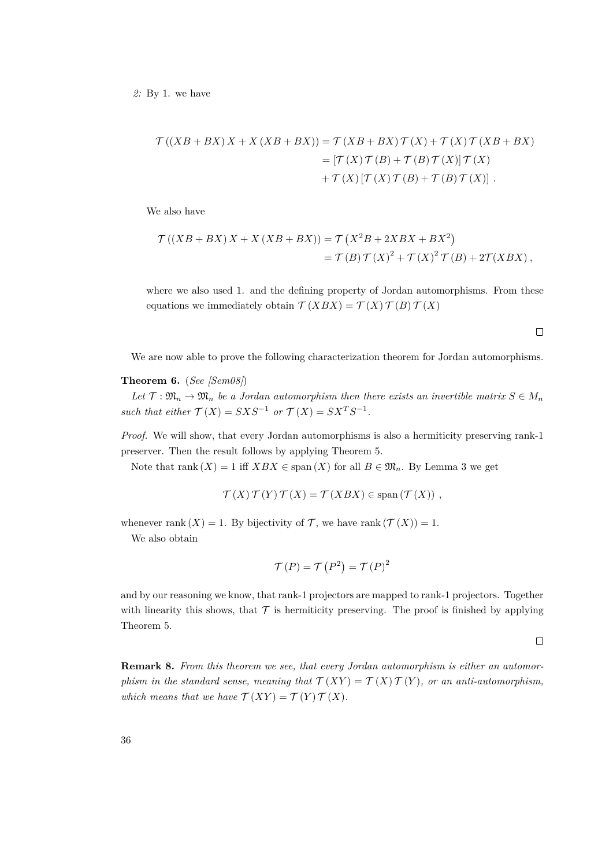*2:* By 1. we have

$$
\mathcal{T}((XB + BX)X + X(XB + BX)) = \mathcal{T}(XB + BX) \mathcal{T}(X) + \mathcal{T}(X) \mathcal{T}(XB + BX)
$$
  
= 
$$
[\mathcal{T}(X) \mathcal{T}(B) + \mathcal{T}(B) \mathcal{T}(X)] \mathcal{T}(X)
$$
  
+ 
$$
\mathcal{T}(X) [\mathcal{T}(X) \mathcal{T}(B) + \mathcal{T}(B) \mathcal{T}(X)].
$$

We also have

$$
\mathcal{T}((XB + BX)X + X(XB + BX)) = \mathcal{T}(X^{2}B + 2XBX + BX^{2})
$$
  
=  $\mathcal{T}(B)\mathcal{T}(X)^{2} + \mathcal{T}(X)^{2}\mathcal{T}(B) + 2\mathcal{T}(XBX),$ 

where we also used 1. and the defining property of Jordan automorphisms. From these equations we immediately obtain  $\mathcal{T}(XBX) = \mathcal{T}(X)\mathcal{T}(B)\mathcal{T}(X)$ 

 $\Box$ 

We are now able to prove the following characterization theorem for Jordan automorphisms.

#### **Theorem 6.** (*See [\[Sem08\]](#page-84-9)*)

Let  $\mathcal{T}: \mathfrak{M}_n \to \mathfrak{M}_n$  be a Jordan automorphism then there exists an invertible matrix  $S \in M_n$ *such that either*  $\mathcal{T}(X) = S X S^{-1}$  *or*  $\mathcal{T}(X) = S X^T S^{-1}$ *.* 

*Proof.* We will show, that every Jordan automorphisms is also a hermiticity preserving rank-1 preserver. Then the result follows by applying Theorem [5.](#page-30-0)

Note that rank  $(X) = 1$  iff  $XBX \in \text{span}(X)$  for all  $B \in \mathfrak{M}_n$ . By Lemma [3](#page-34-0) we get

$$
\mathcal{T}(X)\,\mathcal{T}(Y)\,\mathcal{T}(X) = \mathcal{T}(XBX) \in \text{span}\left(\mathcal{T}(X)\right) \,,
$$

whenever rank  $(X) = 1$ . By bijectivity of  $\mathcal{T}$ , we have rank  $(\mathcal{T}(X)) = 1$ .

We also obtain

$$
\mathcal{T}(P) = \mathcal{T}(P^2) = \mathcal{T}(P)^2
$$

and by our reasoning we know, that rank-1 projectors are mapped to rank-1 projectors. Together with linearity this shows, that  $\mathcal T$  is hermiticity preserving. The proof is finished by applying Theorem [5.](#page-30-0)

 $\Box$ 

**Remark 8.** *From this theorem we see, that every Jordan automorphism is either an automorphism in the standard sense, meaning that*  $\mathcal{T}(XY) = \mathcal{T}(X) \mathcal{T}(Y)$ *, or an anti-automorphism,* which means that we have  $\mathcal{T}(XY) = \mathcal{T}(Y) \mathcal{T}(X)$ .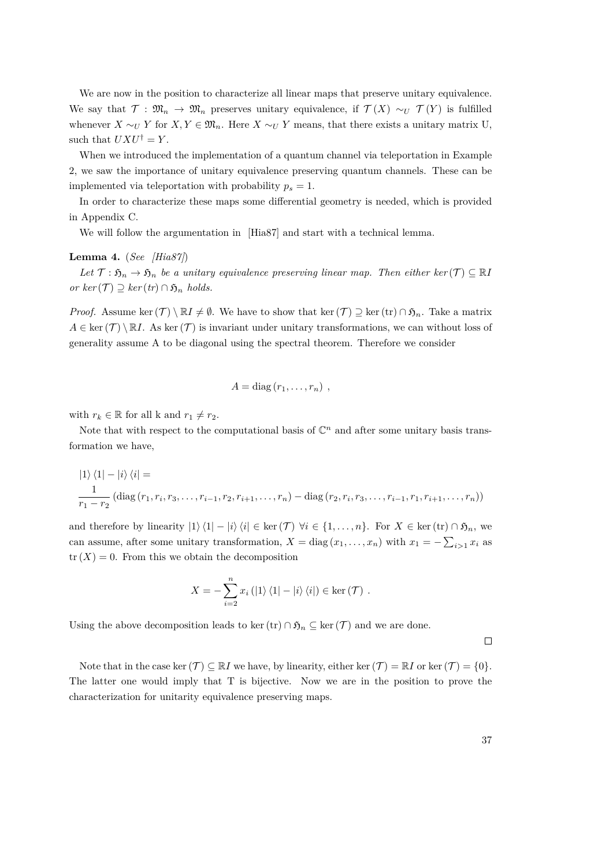We are now in the position to characterize all linear maps that preserve unitary equivalence. We say that  $\mathcal{T}: \mathfrak{M}_n \to \mathfrak{M}_n$  preserves unitary equivalence, if  $\mathcal{T}(X) \sim_U \mathcal{T}(Y)$  is fulfilled whenever  $X \sim_U Y$  for  $X, Y \in \mathfrak{M}_n$ . Here  $X \sim_U Y$  means, that there exists a unitary matrix U, such that  $UXU^{\dagger} = Y$ .

When we introduced the implementation of a quantum channel via teleportation in Example [2,](#page-15-0) we saw the importance of unitary equivalence preserving quantum channels. These can be implemented via teleportation with probability  $p_s = 1$ .

In order to characterize these maps some differential geometry is needed, which is provided in Appendix C.

We will follow the argumentation in [\[Hia87\]](#page-83-0) and start with a technical lemma.

#### <span id="page-36-0"></span>**Lemma 4.** (*See [\[Hia87\]](#page-83-0)*)

*Let*  $\mathcal{T}: \mathfrak{H}_n \to \mathfrak{H}_n$  *be a unitary equivalence preserving linear map. Then either ker*  $(\mathcal{T}) \subseteq \mathbb{R}$ *I*  $or \ ker(\mathcal{T}) \supset \ker(tr) \cap \mathfrak{H}_n$  *holds.* 

*Proof.* Assume ker $(\mathcal{T}) \setminus \mathbb{R}I \neq \emptyset$ . We have to show that ker $(\mathcal{T}) \supseteq \ker(\mathrm{tr}) \cap \mathfrak{H}_n$ . Take a matrix  $A \in \text{ker}(\mathcal{T}) \setminus \mathbb{R}I$ . As ker $(\mathcal{T})$  is invariant under unitary transformations, we can without loss of generality assume A to be diagonal using the spectral theorem. Therefore we consider

$$
A = \mathrm{diag}(r_1, \ldots, r_n) ,
$$

with  $r_k \in \mathbb{R}$  for all k and  $r_1 \neq r_2$ .

Note that with respect to the computational basis of  $\mathbb{C}^n$  and after some unitary basis transformation we have,

$$
|1\rangle\langle 1| - |i\rangle\langle i| =
$$
  

$$
\frac{1}{r_1 - r_2} \left(\text{diag}(r_1, r_i, r_3, \dots, r_{i-1}, r_2, r_{i+1}, \dots, r_n) - \text{diag}(r_2, r_i, r_3, \dots, r_{i-1}, r_1, r_{i+1}, \dots, r_n)\right)
$$

and therefore by linearity  $|1\rangle\langle 1| - |i\rangle\langle i| \in \text{ker}(\mathcal{T})$   $\forall i \in \{1, ..., n\}$ . For  $X \in \text{ker}(\text{tr}) \cap \mathfrak{H}_n$ , we can assume, after some unitary transformation,  $X = \text{diag}(x_1, \ldots, x_n)$  with  $x_1 = -\sum_{i>1} x_i$  as  $tr(X) = 0$ . From this we obtain the decomposition

$$
X = -\sum_{i=2}^{n} x_i (|1\rangle \langle 1| - |i\rangle \langle i|) \in \ker(\mathcal{T}) .
$$

Using the above decomposition leads to ker(tr) ∩  $\mathfrak{H}_n \subseteq \text{ker}(\mathcal{T})$  and we are done.

 $\Box$ 

Note that in the case ker $(\mathcal{T}) \subseteq \mathbb{R}$ *I* we have, by linearity, either ker $(\mathcal{T}) = \mathbb{R}$ *I* or ker $(\mathcal{T}) = \{0\}$ . The latter one would imply that T is bijective. Now we are in the position to prove the characterization for unitarity equivalence preserving maps.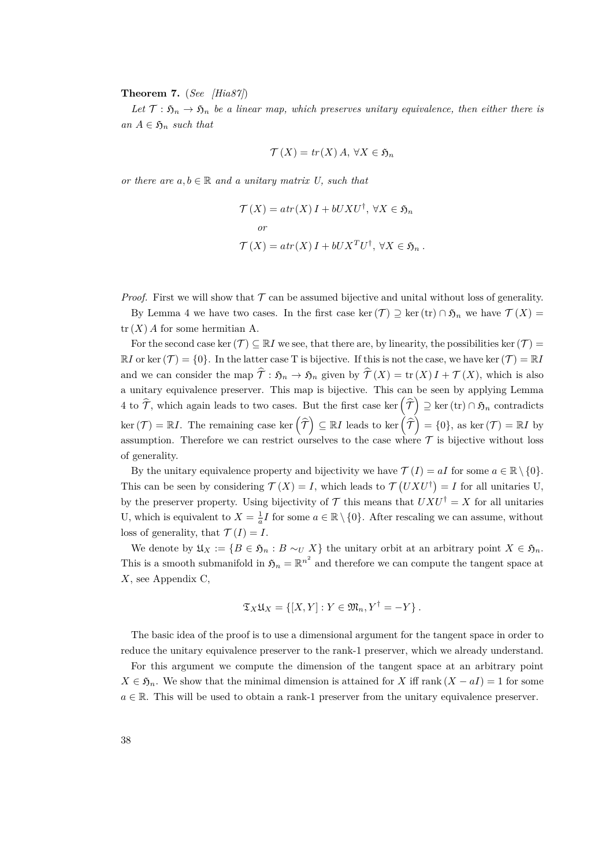<span id="page-37-0"></span>**Theorem 7.** (*See [\[Hia87\]](#page-83-0)*)

Let  $\mathcal{T}: \mathfrak{H}_n \to \mathfrak{H}_n$  be a linear map, which preserves unitary equivalence, then either there is  $an A \in \mathfrak{H}_n$  *such that* 

$$
\mathcal{T}(X) = tr(X) A, \,\forall X \in \mathfrak{H}_n
$$

*or there are*  $a, b \in \mathbb{R}$  *and a unitary matrix U, such that* 

$$
\mathcal{T}(X) = atr(X) I + bUXU^{\dagger}, \forall X \in \mathfrak{H}_n
$$
  
or  

$$
\mathcal{T}(X) = atr(X) I + bUX^TU^{\dagger}, \forall X \in \mathfrak{H}_n.
$$

*Proof.* First we will show that  $\mathcal T$  can be assumed bijective and unital without loss of generality.

By Lemma [4](#page-36-0) we have two cases. In the first case ker(T)  $\supseteq$  ker(tr)  $\cap \mathfrak{H}_n$  we have  $\mathcal{T}(X) =$  $tr(X)$  *A* for some hermitian A.

For the second case ker $(\mathcal{T}) \subseteq \mathbb{R}$ *I* we see, that there are, by linearity, the possibilities ker  $(\mathcal{T})$  =  $\mathbb{R}$ *I* or ker(*T*) = {0}. In the latter case T is bijective. If this is not the case, we have ker(*T*) =  $\mathbb{R}$ *I* and we can consider the map  $\hat{\mathcal{T}} : \mathfrak{H}_n \to \mathfrak{H}_n$  given by  $\hat{\mathcal{T}}(X) = \text{tr}(X)I + \mathcal{T}(X)$ , which is also a unitary equivalence preserver. This map is bijective. This can be seen by applying Lemma [4](#page-36-0) to  $\widehat{\mathcal{T}}$ , which again leads to two cases. But the first case ker  $(\widehat{\mathcal{T}}) \supseteq \ker(\text{tr}) \cap \mathfrak{H}_n$  contradicts  $\text{ker}(\mathcal{T}) = \mathbb{R}I$ . The remaining case  $\text{ker}(\widehat{\mathcal{T}}) \subseteq \mathbb{R}I$  leads to  $\text{ker}(\widehat{\mathcal{T}}) = \{0\}$ , as  $\text{ker}(\mathcal{T}) = \mathbb{R}I$  by assumption. Therefore we can restrict ourselves to the case where  $\mathcal T$  is bijective without loss of generality.

By the unitary equivalence property and bijectivity we have  $\mathcal{T}(I) = aI$  for some  $a \in \mathbb{R} \setminus \{0\}$ . This can be seen by considering  $\mathcal{T}(X) = I$ , which leads to  $\mathcal{T}(UXU^{\dagger}) = I$  for all unitaries U, by the preserver property. Using bijectivity of  $\mathcal T$  this means that  $UXU^{\dagger} = X$  for all unitaries U, which is equivalent to  $X = \frac{1}{a}I$  for some  $a \in \mathbb{R} \setminus \{0\}$ . After rescaling we can assume, without loss of generality, that  $\mathcal{T}(I) = I$ .

We denote by  $\mathfrak{U}_X := \{B \in \mathfrak{H}_n : B \sim_U X\}$  the unitary orbit at an arbitrary point  $X \in \mathfrak{H}_n$ . This is a smooth submanifold in  $\mathfrak{H}_n = \mathbb{R}^{n^2}$  and therefore we can compute the tangent space at *X*, see Appendix C,

$$
\mathfrak{T}_X \mathfrak{U}_X = \{ [X, Y] : Y \in \mathfrak{M}_n, Y^{\dagger} = -Y \}.
$$

The basic idea of the proof is to use a dimensional argument for the tangent space in order to reduce the unitary equivalence preserver to the rank-1 preserver, which we already understand.

For this argument we compute the dimension of the tangent space at an arbitrary point  $X \in \mathfrak{H}_n$ . We show that the minimal dimension is attained for *X* iff rank  $(X - aI) = 1$  for some  $a \in \mathbb{R}$ . This will be used to obtain a rank-1 preserver from the unitary equivalence preserver.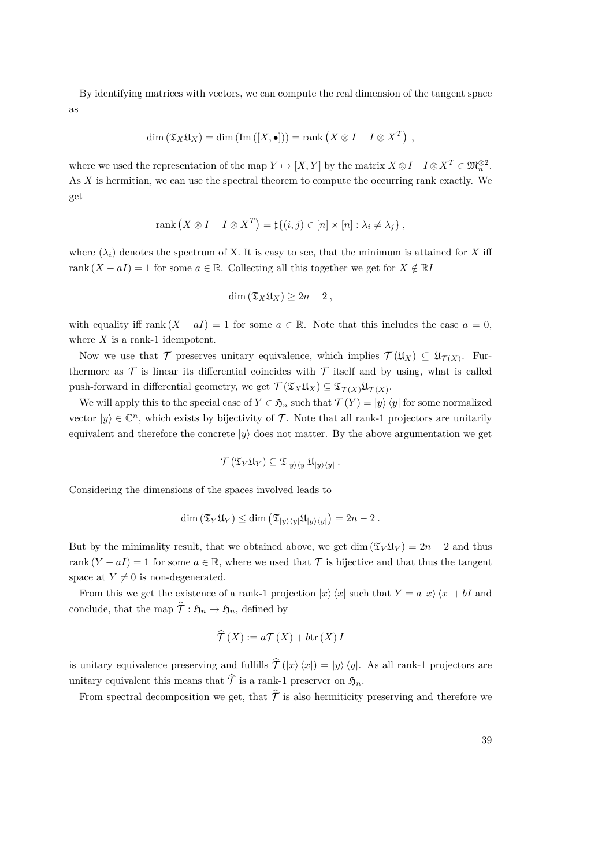By identifying matrices with vectors, we can compute the real dimension of the tangent space as

$$
\dim\left(\mathfrak{T}_X\mathfrak{U}_X\right)=\dim\left(\text{Im}\left(\left[X,\bullet\right]\right)\right)=\text{rank}\left(X\otimes I-I\otimes X^T\right)\;,
$$

where we used the representation of the map  $Y \mapsto [X, Y]$  by the matrix  $X \otimes I - I \otimes X^T \in \mathfrak{M}_n^{\otimes 2}$ . As *X* is hermitian, we can use the spectral theorem to compute the occurring rank exactly. We get

$$
rank (X \otimes I - I \otimes X^T) = \sharp \{(i, j) \in [n] \times [n] : \lambda_i \neq \lambda_j \},
$$

where  $(\lambda_i)$  denotes the spectrum of X. It is easy to see, that the minimum is attained for X iff rank  $(X - aI) = 1$  for some  $a \in \mathbb{R}$ . Collecting all this together we get for  $X \notin \mathbb{R}I$ 

$$
\dim\left(\mathfrak{T}_X\mathfrak{U}_X\right)\geq 2n-2\,,
$$

with equality iff rank  $(X - aI) = 1$  for some  $a \in \mathbb{R}$ . Note that this includes the case  $a = 0$ , where *X* is a rank-1 idempotent.

Now we use that  $\mathcal T$  preserves unitary equivalence, which implies  $\mathcal T(\mathfrak{U}_X) \subseteq \mathfrak{U}_{\mathcal T(X)}$ . Furthermore as  $\mathcal T$  is linear its differential coincides with  $\mathcal T$  itself and by using, what is called push-forward in differential geometry, we get  $\mathcal{T}(\mathfrak{T}_X \mathfrak{U}_X) \subseteq \mathfrak{T}_{\mathcal{T}(X)} \mathfrak{U}_{\mathcal{T}(X)}$ .

We will apply this to the special case of  $Y \in \mathfrak{H}_n$  such that  $\mathcal{T}(Y) = |y\rangle \langle y|$  for some normalized vector  $|y\rangle \in \mathbb{C}^n$ , which exists by bijectivity of T. Note that all rank-1 projectors are unitarily equivalent and therefore the concrete  $|y\rangle$  does not matter. By the above argumentation we get

$$
\mathcal{T}\left(\mathfrak{T}_Y \mathfrak{U}_Y\right) \subseteq \mathfrak{T}_{\ket{y}\bra{y}} \mathfrak{U}_{\ket{y}\bra{y}}\,.
$$

Considering the dimensions of the spaces involved leads to

$$
\dim\left(\mathfrak{T}_{Y}\mathfrak{U}_{Y}\right)\leq\dim\left(\mathfrak{T}_{|y\rangle\langle y|}\mathfrak{U}_{|y\rangle\langle y|}\right)=2n-2.
$$

But by the minimality result, that we obtained above, we get dim  $(\mathfrak{T}_{Y}\mathfrak{U}_{Y}) = 2n - 2$  and thus rank  $(Y - aI) = 1$  for some  $a \in \mathbb{R}$ , where we used that  $\mathcal T$  is bijective and that thus the tangent space at  $Y \neq 0$  is non-degenerated.

From this we get the existence of a rank-1 projection  $|x\rangle\langle x|$  such that  $Y = a|x\rangle\langle x| + bI$  and conclude, that the map  $\hat{\tau}: \mathfrak{H}_n \to \mathfrak{H}_n$ , defined by

$$
\widehat{\mathcal{T}}(X) := a\mathcal{T}(X) + b\text{tr}(X) I
$$

is unitary equivalence preserving and fulfills  $\hat{\mathcal{T}}(|x\rangle\langle x|) = |y\rangle\langle y|$ . As all rank-1 projectors are unitary equivalent this means that  $\hat{\tau}$  is a rank-1 preserver on  $\mathfrak{H}_n$ .

From spectral decomposition we get, that  $\hat{\tau}$  is also hermiticity preserving and therefore we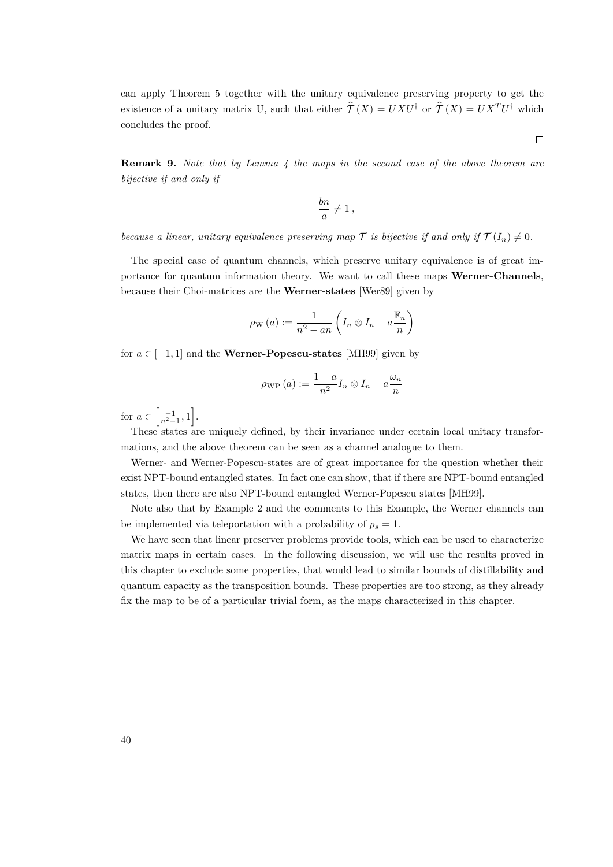can apply Theorem [5](#page-30-0) together with the unitary equivalence preserving property to get the existence of a unitary matrix U, such that either  $\hat{\mathcal{T}}(X) = U X U^{\dagger}$  or  $\hat{\mathcal{T}}(X) = U X^T U^{\dagger}$  which concludes the proof.

 $\Box$ 

<span id="page-39-0"></span>**Remark 9.** *Note that by Lemma [4](#page-36-0) the maps in the second case of the above theorem are bijective if and only if*

$$
-\frac{bn}{a} \neq 1\,,
$$

*because a linear, unitary equivalence preserving map*  $\mathcal T$  *is bijective if and only if*  $\mathcal T(I_n) \neq 0$ *.* 

The special case of quantum channels, which preserve unitary equivalence is of great importance for quantum information theory. We want to call these maps **Werner-Channels**, because their Choi-matrices are the **Werner-states** [\[Wer89\]](#page-84-0) given by

$$
\rho_{\mathrm{W}}\left(a\right) := \frac{1}{n^2 - an} \left(I_n \otimes I_n - a \frac{\mathbb{F}_n}{n}\right)
$$

for  $a \in [-1, 1]$  and the **Werner-Popescu-states** [\[MH99\]](#page-84-1) given by

$$
\rho_{\rm WP}(a) := \frac{1-a}{n^2} I_n \otimes I_n + a \frac{\omega_n}{n}
$$

for  $a \in \left[\frac{-1}{n^2-1}, 1\right]$ .

These states are uniquely defined, by their invariance under certain local unitary transformations, and the above theorem can be seen as a channel analogue to them.

Werner- and Werner-Popescu-states are of great importance for the question whether their exist NPT-bound entangled states. In fact one can show, that if there are NPT-bound entangled states, then there are also NPT-bound entangled Werner-Popescu states [\[MH99\]](#page-84-1).

Note also that by Example [2](#page-15-0) and the comments to this Example, the Werner channels can be implemented via teleportation with a probability of  $p_s = 1$ .

We have seen that linear preserver problems provide tools, which can be used to characterize matrix maps in certain cases. In the following discussion, we will use the results proved in this chapter to exclude some properties, that would lead to similar bounds of distillability and quantum capacity as the transposition bounds. These properties are too strong, as they already fix the map to be of a particular trivial form, as the maps characterized in this chapter.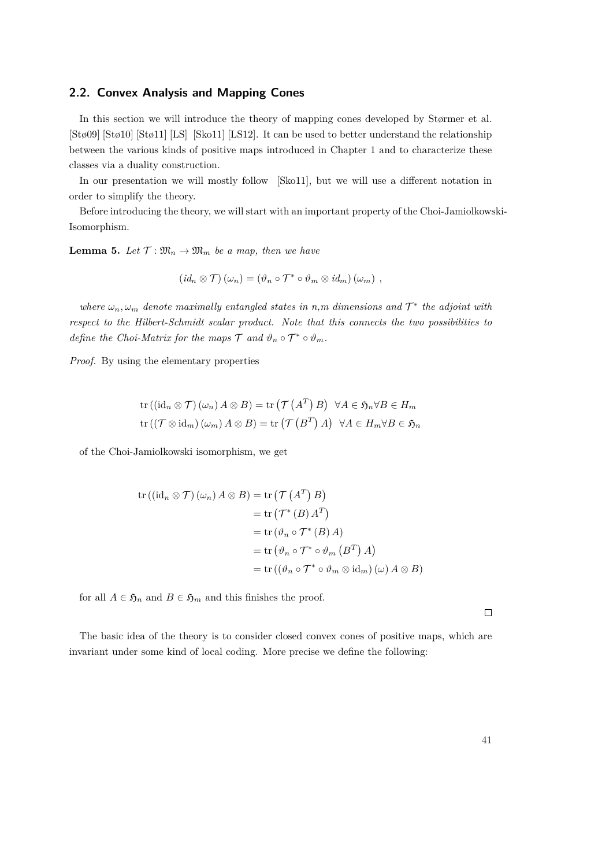## **2.2. Convex Analysis and Mapping Cones**

In this section we will introduce the theory of mapping cones developed by Størmer et al. [\[Stø09\]](#page-84-2) [\[Stø10\]](#page-84-3) [\[Stø11\]](#page-84-4) [\[LS\]](#page-83-1) [\[Sko11\]](#page-84-5) [\[LS12\]](#page-83-2). It can be used to better understand the relationship between the various kinds of positive maps introduced in Chapter 1 and to characterize these classes via a duality construction.

In our presentation we will mostly follow [\[Sko11\]](#page-84-5), but we will use a different notation in order to simplify the theory.

Before introducing the theory, we will start with an important property of the Choi-Jamiolkowski-Isomorphism.

<span id="page-40-0"></span>**Lemma 5.** Let  $\mathcal{T} : \mathfrak{M}_n \to \mathfrak{M}_m$  be a map, then we have

$$
(id_n \otimes \mathcal{T}) (\omega_n) = (\vartheta_n \circ \mathcal{T}^* \circ \vartheta_m \otimes id_m) (\omega_m) ,
$$

*where*  $\omega_n$ ,  $\omega_m$  *denote maximally entangled states in n,m dimensions and*  $\mathcal{T}^*$  *the adjoint with respect to the Hilbert-Schmidt scalar product. Note that this connects the two possibilities to define the Choi-Matrix for the maps*  $\mathcal{T}$  *and*  $\vartheta_n \circ \mathcal{T}^* \circ \vartheta_m$ *.* 

*Proof.* By using the elementary properties

$$
\operatorname{tr}\left((\operatorname{id}_n \otimes \mathcal{T})\left(\omega_n\right)A \otimes B\right) = \operatorname{tr}\left(\mathcal{T}\left(A^T\right)B\right) \quad \forall A \in \mathfrak{H}_n \forall B \in H_m
$$
\n
$$
\operatorname{tr}\left((\mathcal{T} \otimes \operatorname{id}_m)\left(\omega_m\right)A \otimes B\right) = \operatorname{tr}\left(\mathcal{T}\left(B^T\right)A\right) \quad \forall A \in H_m \forall B \in \mathfrak{H}_n
$$

of the Choi-Jamiolkowski isomorphism, we get

$$
tr((id_n \otimes T) (\omega_n) A \otimes B) = tr(T(A^T) B)
$$
  
= tr(T^\*(B) A^T)  
= tr(\vartheta\_n \circ T^\*(B) A)  
= tr(\vartheta\_n \circ T^\* \circ \vartheta\_m (B^T) A)  
= tr((\vartheta\_n \circ T^\* \circ \vartheta\_m \otimes id\_m) (\omega) A \otimes B)

for all  $A \in \mathfrak{H}_n$  and  $B \in \mathfrak{H}_m$  and this finishes the proof.

The basic idea of the theory is to consider closed convex cones of positive maps, which are invariant under some kind of local coding. More precise we define the following:

 $\Box$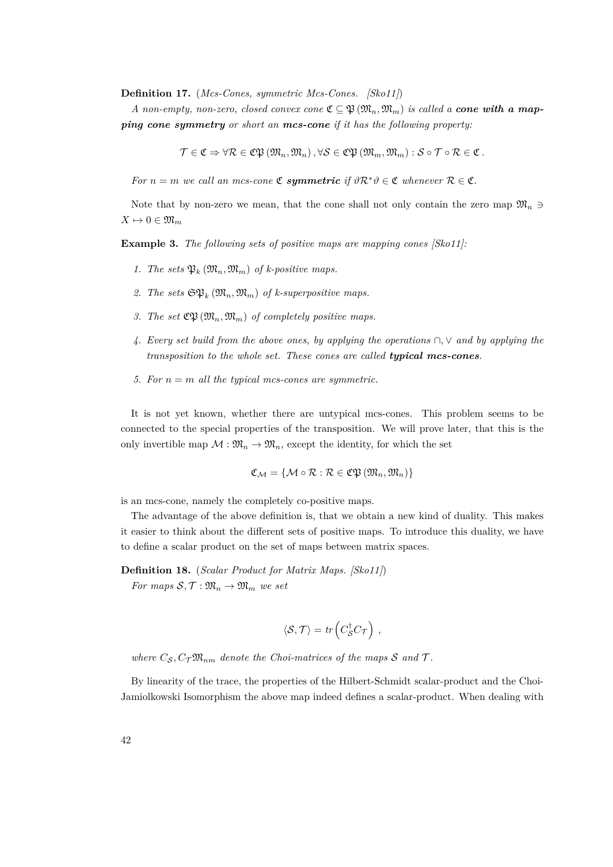**Definition 17.** (*Mcs-Cones, symmetric Mcs-Cones. [\[Sko11\]](#page-84-5)*)

*A non-empty, non-zero, closed convex cone*  $\mathfrak{C} \subseteq \mathfrak{P}(\mathfrak{M}_n, \mathfrak{M}_m)$  *is called a cone with a mapping cone symmetry or short an mcs-cone if it has the following property:*

 $\mathcal{T} \in \mathfrak{C} \Rightarrow \forall \mathcal{R} \in \mathfrak{C} \mathfrak{P}(\mathfrak{M}_n, \mathfrak{M}_n), \forall \mathcal{S} \in \mathfrak{C} \mathfrak{P}(\mathfrak{M}_m, \mathfrak{M}_m) : \mathcal{S} \circ \mathcal{T} \circ \mathcal{R} \in \mathfrak{C}.$ 

*For*  $n = m$  *we call an mcs-cone*  $\mathfrak{C}$  *symmetric if*  $\vartheta \mathcal{R}^* \vartheta \in \mathfrak{C}$  *whenever*  $\mathcal{R} \in \mathfrak{C}$ *.* 

Note that by non-zero we mean, that the cone shall not only contain the zero map  $\mathfrak{M}_n \ni$  $X \mapsto 0 \in \mathfrak{M}_m$ 

**Example 3.** *The following sets of positive maps are mapping cones [\[Sko11\]](#page-84-5):*

- *1. The sets*  $\mathfrak{P}_k(\mathfrak{M}_n, \mathfrak{M}_m)$  *of k-positive maps.*
- 2. The sets  $\mathfrak{SP}_k(\mathfrak{M}_n, \mathfrak{M}_m)$  of k-superpositive maps.
- 3. The set  $\mathfrak{CP}_1(\mathfrak{M}_n, \mathfrak{M}_m)$  of completely positive maps.
- *4. Every set build from the above ones, by applying the operations* ∩*,* ∨ *and by applying the transposition to the whole set. These cones are called typical mcs-cones.*
- <span id="page-41-0"></span>*5. For n* = *m all the typical mcs-cones are symmetric.*

It is not yet known, whether there are untypical mcs-cones. This problem seems to be connected to the special properties of the transposition. We will prove later, that this is the only invertible map  $M : \mathfrak{M}_n \to \mathfrak{M}_n$ , except the identity, for which the set

$$
\mathfrak{C}_{\mathcal{M}} = \{\mathcal{M} \circ \mathcal{R} : \mathcal{R} \in \mathfrak{C}\mathfrak{P}\left(\mathfrak{M}_n, \mathfrak{M}_n\right)\}
$$

is an mcs-cone, namely the completely co-positive maps.

The advantage of the above definition is, that we obtain a new kind of duality. This makes it easier to think about the different sets of positive maps. To introduce this duality, we have to define a scalar product on the set of maps between matrix spaces.

**Definition 18.** (*Scalar Product for Matrix Maps. [\[Sko11\]](#page-84-5)*) *For maps*  $S, \mathcal{T}: \mathfrak{M}_n \to \mathfrak{M}_m$  *we set* 

$$
\langle \mathcal{S}, \mathcal{T} \rangle = tr \left( C_{\mathcal{S}}^{\dagger} C_{\mathcal{T}} \right) ,
$$

where  $C_S$ ,  $C_T \mathfrak{M}_{nm}$  *denote the Choi-matrices of the maps* S and T.

By linearity of the trace, the properties of the Hilbert-Schmidt scalar-product and the Choi-Jamiolkowski Isomorphism the above map indeed defines a scalar-product. When dealing with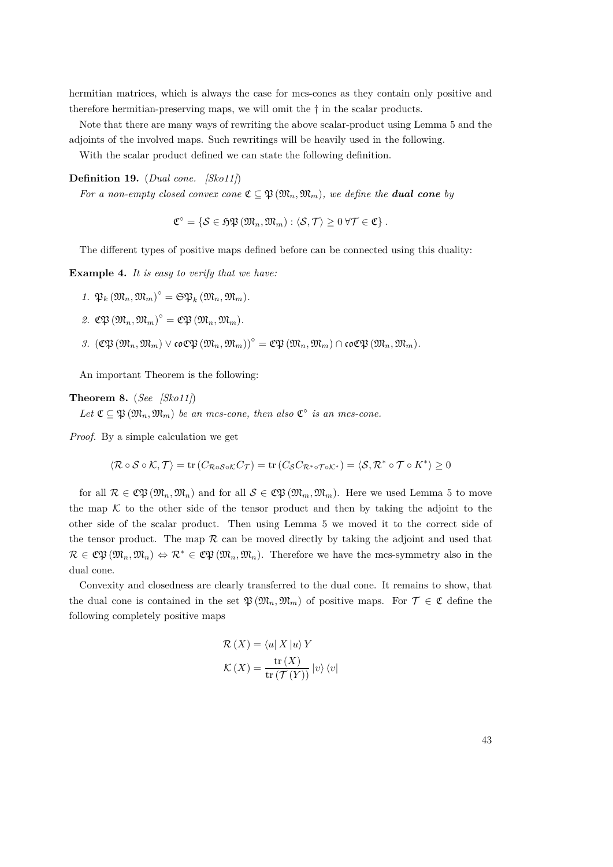hermitian matrices, which is always the case for mcs-cones as they contain only positive and therefore hermitian-preserving maps, we will omit the † in the scalar products.

Note that there are many ways of rewriting the above scalar-product using Lemma [5](#page-40-0) and the adjoints of the involved maps. Such rewritings will be heavily used in the following.

With the scalar product defined we can state the following definition.

## **Definition 19.** (*Dual cone. [\[Sko11\]](#page-84-5)*)

*For a non-empty closed convex cone*  $\mathfrak{C} \subseteq \mathfrak{P}(\mathfrak{M}_n, \mathfrak{M}_m)$ *, we define the dual cone by* 

$$
\mathfrak{C}^{\circ} = \{ \mathcal{S} \in \mathfrak{HP} \left( \mathfrak{M}_n, \mathfrak{M}_m \right) : \langle \mathcal{S}, \mathcal{T} \rangle \geq 0 \ \forall \mathcal{T} \in \mathfrak{C} \}.
$$

The different types of positive maps defined before can be connected using this duality:

**Example 4.** *It is easy to verify that we have:*

- $1. \ \mathfrak{P}_k \left( \mathfrak{M}_n, \mathfrak{M}_m \right)^{\circ} = \mathfrak{S} \mathfrak{P}_k \left( \mathfrak{M}_n, \mathfrak{M}_m \right)$ .
- $2.$   $\mathfrak{C}\mathfrak{P}\left(\mathfrak{M}_n,\mathfrak{M}_m\right)^{\circ}=\mathfrak{C}\mathfrak{P}\left(\mathfrak{M}_n,\mathfrak{M}_m\right).$
- <span id="page-42-0"></span> $3.$   $({\mathfrak C}{\mathfrak P}({\mathfrak M}_n,{\mathfrak M}_m) \vee {\mathfrak c} {\mathfrak o} {\mathfrak C}{\mathfrak P}({\mathfrak M}_n,{\mathfrak M}_m) \circ = {\mathfrak C}{\mathfrak P}({\mathfrak M}_n,{\mathfrak M}_m) \cap {\mathfrak c} {\mathfrak o} {\mathfrak C}{\mathfrak P}({\mathfrak M}_n,{\mathfrak M}_m).$

An important Theorem is the following:

**Theorem 8.** (*See [\[Sko11\]](#page-84-5)*)

Let  $\mathfrak{C} \subseteq \mathfrak{P}(\mathfrak{M}_n, \mathfrak{M}_m)$  be an mcs-cone, then also  $\mathfrak{C}^\circ$  is an mcs-cone.

*Proof.* By a simple calculation we get

$$
\langle \mathcal{R} \circ \mathcal{S} \circ \mathcal{K}, \mathcal{T} \rangle = \text{tr}(C_{\mathcal{R} \circ \mathcal{S} \circ \mathcal{K}} C_{\mathcal{T}}) = \text{tr}(C_{\mathcal{S}} C_{\mathcal{R}^* \circ \mathcal{T} \circ \mathcal{K}^*}) = \langle \mathcal{S}, \mathcal{R}^* \circ \mathcal{T} \circ \mathcal{K}^* \rangle \ge 0
$$

for all  $\mathcal{R} \in \mathfrak{C} \mathfrak{P}(\mathfrak{M}_n, \mathfrak{M}_n)$  and for all  $\mathcal{S} \in \mathfrak{C} \mathfrak{P}(\mathfrak{M}_m, \mathfrak{M}_m)$ . Here we used Lemma [5](#page-40-0) to move the map  $K$  to the other side of the tensor product and then by taking the adjoint to the other side of the scalar product. Then using Lemma [5](#page-40-0) we moved it to the correct side of the tensor product. The map  $R$  can be moved directly by taking the adjoint and used that  $\mathcal{R} \in \mathfrak{C} \mathfrak{P}(\mathfrak{M}_n, \mathfrak{M}_n) \Leftrightarrow \mathcal{R}^* \in \mathfrak{C} \mathfrak{P}(\mathfrak{M}_n, \mathfrak{M}_n)$ . Therefore we have the mcs-symmetry also in the dual cone.

Convexity and closedness are clearly transferred to the dual cone. It remains to show, that the dual cone is contained in the set  $\mathfrak{P}(\mathfrak{M}_n,\mathfrak{M}_m)$  of positive maps. For  $\mathcal{T} \in \mathfrak{C}$  define the following completely positive maps

$$
\mathcal{R}(X) = \langle u | X | u \rangle Y
$$

$$
\mathcal{K}(X) = \frac{\text{tr}(X)}{\text{tr}(\mathcal{T}(Y))} |v\rangle \langle v|
$$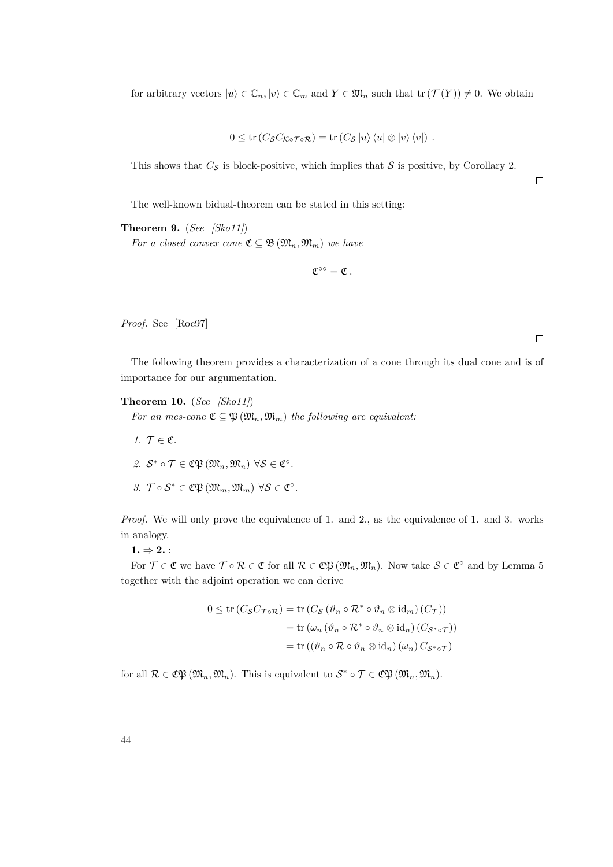for arbitrary vectors  $|u\rangle \in \mathbb{C}_n, |v\rangle \in \mathbb{C}_m$  and  $Y \in \mathfrak{M}_n$  such that  $tr(\mathcal{T}(Y)) \neq 0$ . We obtain

$$
0 \leq \operatorname{tr} (C_{\mathcal{S}} C_{\mathcal{K} \circ \mathcal{T} \circ \mathcal{R}}) = \operatorname{tr} (C_{\mathcal{S}} |u\rangle \langle u| \otimes |v\rangle \langle v|) .
$$

This shows that  $C_{\mathcal{S}}$  is block-positive, which implies that  $\mathcal{S}$  is positive, by Corollary [2.](#page-13-0)

The well-known bidual-theorem can be stated in this setting:

<span id="page-43-0"></span>**Theorem 9.** (*See [\[Sko11\]](#page-84-5)*)

*For a closed convex cone*  $\mathfrak{C} \subseteq \mathfrak{B}(\mathfrak{M}_n, \mathfrak{M}_m)$  *we have* 

 $\mathfrak{C}^{\circ\circ}=\mathfrak{C}$ .

*Proof.* See [\[Roc97\]](#page-84-6)

 $\Box$ 

 $\Box$ 

The following theorem provides a characterization of a cone through its dual cone and is of importance for our argumentation.

**Theorem 10.** (*See [\[Sko11\]](#page-84-5)*)

*For an mcs-cone*  $\mathfrak{C} \subseteq \mathfrak{P}(\mathfrak{M}_n, \mathfrak{M}_m)$  *the following are equivalent:* 

- *1.*  $\mathcal{T} \in \mathfrak{C}$ *.*
- $2. S^* \circ \mathcal{T} \in \mathfrak{C} \mathfrak{P} \left( \mathfrak{M}_n, \mathfrak{M}_n \right) \forall \mathcal{S} \in \mathfrak{C}^\circ.$

<span id="page-43-1"></span>3. 
$$
\mathcal{T} \circ \mathcal{S}^* \in \mathfrak{C}\mathfrak{P}(\mathfrak{M}_m, \mathfrak{M}_m) \ \forall \mathcal{S} \in \mathfrak{C}^\circ.
$$

*Proof.* We will only prove the equivalence of 1. and 2., as the equivalence of 1. and 3. works in analogy.

 $1. \Rightarrow 2.$ 

For  $\mathcal{T} \in \mathfrak{C}$  we have  $\mathcal{T} \circ \mathcal{R} \in \mathfrak{C}$  for all  $\mathcal{R} \in \mathfrak{C} \mathfrak{P}(\mathfrak{M}_n, \mathfrak{M}_n)$ . Now take  $\mathcal{S} \in \mathfrak{C}^{\circ}$  and by Lemma [5](#page-40-0) together with the adjoint operation we can derive

$$
0 \leq \operatorname{tr}\left(C_{\mathcal{S}}C_{\mathcal{T}\circ\mathcal{R}}\right) = \operatorname{tr}\left(C_{\mathcal{S}}\left(\vartheta_n \circ \mathcal{R}^* \circ \vartheta_n \otimes \operatorname{id}_m\right)(C_{\mathcal{T}})\right)
$$

$$
= \operatorname{tr}\left(\omega_n\left(\vartheta_n \circ \mathcal{R}^* \circ \vartheta_n \otimes \operatorname{id}_n\right)(C_{\mathcal{S}^*\circ\mathcal{T}})\right)
$$

$$
= \operatorname{tr}\left(\left(\vartheta_n \circ \mathcal{R} \circ \vartheta_n \otimes \operatorname{id}_n\right)(\omega_n)C_{\mathcal{S}^*\circ\mathcal{T}}\right)
$$

for all  $\mathcal{R} \in \mathfrak{C} \mathfrak{P} \left( \mathfrak{M}_n, \mathfrak{M}_n \right)$ . This is equivalent to  $\mathcal{S}^* \circ \mathcal{T} \in \mathfrak{C} \mathfrak{P} \left( \mathfrak{M}_n, \mathfrak{M}_n \right)$ .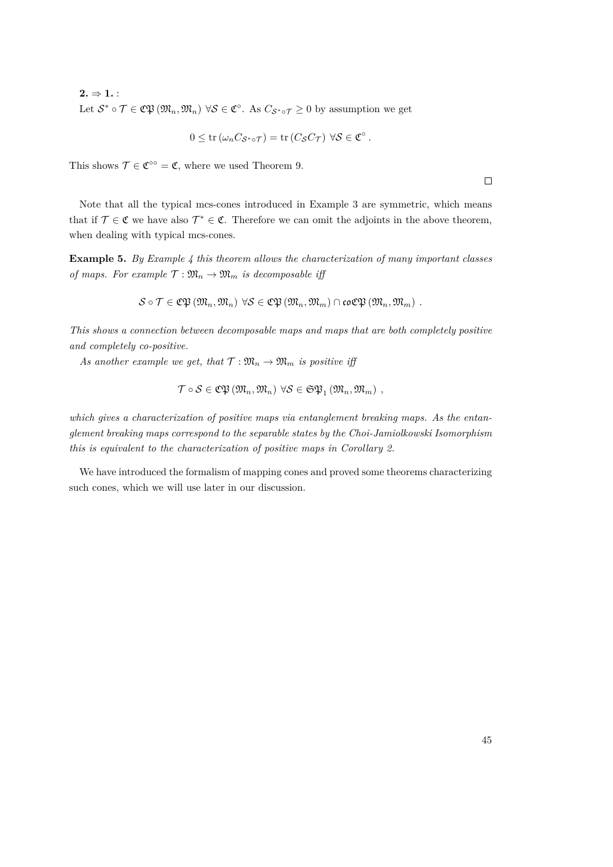$2. \Rightarrow 1.$ Let  $S^* \circ \mathcal{T} \in \mathfrak{C} \mathfrak{P}(\mathfrak{M}_n, \mathfrak{M}_n) \ \forall S \in \mathfrak{C}^{\circ}$ . As  $C_{S^* \circ \mathcal{T}} \geq 0$  by assumption we get

$$
0 \leq \operatorname{tr} (\omega_n C_{\mathcal{S}^*\circ \mathcal{T}}) = \operatorname{tr} (C_{\mathcal{S}} C_{\mathcal{T}}) \ \forall \mathcal{S} \in \mathfrak{C}^\circ.
$$

This shows  $\mathcal{T} \in \mathfrak{C}^{\circ\circ} = \mathfrak{C}$ , where we used Theorem [9.](#page-43-0)

Note that all the typical mcs-cones introduced in Example [3](#page-41-0) are symmetric, which means that if  $\mathcal{T} \in \mathfrak{C}$  we have also  $\mathcal{T}^* \in \mathfrak{C}$ . Therefore we can omit the adjoints in the above theorem, when dealing with typical mcs-cones.

**Example 5.** *By Example [4](#page-42-0) this theorem allows the characterization of many important classes of maps. For example*  $\mathcal{T} : \mathfrak{M}_n \to \mathfrak{M}_m$  *is decomposable iff* 

$$
\mathcal{S} \circ \mathcal{T} \in \mathfrak{C}\mathfrak{P}\left(\mathfrak{M}_n, \mathfrak{M}_n\right) \ \forall \mathcal{S} \in \mathfrak{C}\mathfrak{P}\left(\mathfrak{M}_n, \mathfrak{M}_m\right) \cap \mathfrak{co}\mathfrak{C}\mathfrak{P}\left(\mathfrak{M}_n, \mathfrak{M}_m\right) \ .
$$

*This shows a connection between decomposable maps and maps that are both completely positive and completely co-positive.*

As another example we get, that  $\mathcal{T} : \mathfrak{M}_n \to \mathfrak{M}_m$  is positive iff

$$
\mathcal{T}\circ\mathcal{S}\in\mathfrak{CP}\left(\mathfrak{M}_n,\mathfrak{M}_n\right)\,\forall\mathcal{S}\in\mathfrak{SP}_1\left(\mathfrak{M}_n,\mathfrak{M}_m\right)\,,
$$

*which gives a characterization of positive maps via entanglement breaking maps. As the entanglement breaking maps correspond to the separable states by the Choi-Jamiolkowski Isomorphism this is equivalent to the characterization of positive maps in Corollary [2.](#page-13-0)*

We have introduced the formalism of mapping cones and proved some theorems characterizing such cones, which we will use later in our discussion.

 $\Box$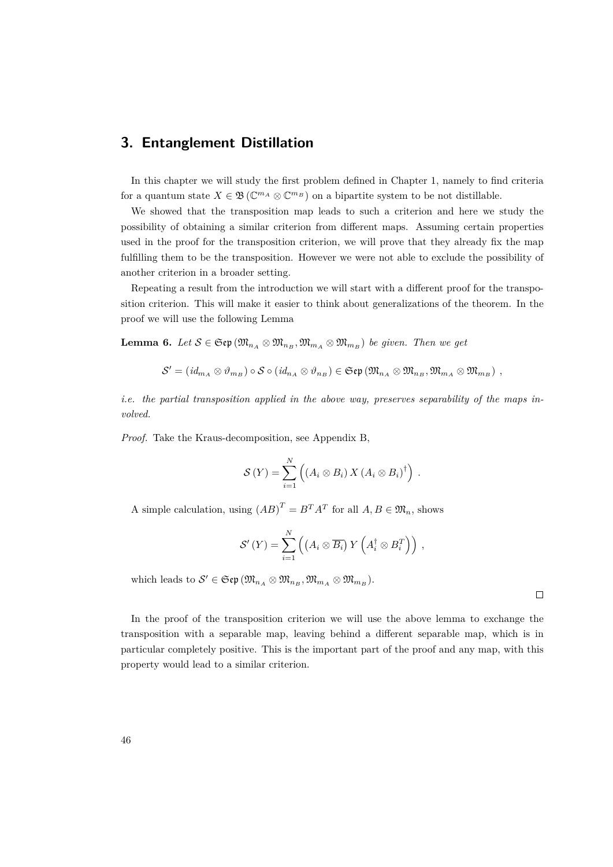# **3. Entanglement Distillation**

In this chapter we will study the first problem defined in Chapter 1, namely to find criteria for a quantum state  $X \in \mathfrak{B}(\mathbb{C}^{m_A} \otimes \mathbb{C}^{m_B})$  on a bipartite system to be not distillable.

We showed that the transposition map leads to such a criterion and here we study the possibility of obtaining a similar criterion from different maps. Assuming certain properties used in the proof for the transposition criterion, we will prove that they already fix the map fulfilling them to be the transposition. However we were not able to exclude the possibility of another criterion in a broader setting.

Repeating a result from the introduction we will start with a different proof for the transposition criterion. This will make it easier to think about generalizations of the theorem. In the proof we will use the following Lemma

<span id="page-45-0"></span>**Lemma 6.** *Let*  $S \in \mathfrak{Sep}(\mathfrak{M}_{n_A} \otimes \mathfrak{M}_{n_B}, \mathfrak{M}_{m_A} \otimes \mathfrak{M}_{m_B})$  *be given. Then we get* 

$$
\mathcal{S}'=(\mathit{id}_{m_A}\otimes\vartheta_{m_B})\circ\mathcal{S}\circ(\mathit{id}_{n_A}\otimes\vartheta_{n_B})\in\mathfrak{S}\mathfrak{e}\mathfrak{p}\left(\mathfrak{M}_{n_A}\otimes\mathfrak{M}_{n_B},\mathfrak{M}_{m_A}\otimes\mathfrak{M}_{m_B}\right)\ ,
$$

*i.e. the partial transposition applied in the above way, preserves separability of the maps involved.*

*Proof.* Take the Kraus-decomposition, see Appendix B,

$$
\mathcal{S}(Y) = \sum_{i=1}^N \left( (A_i \otimes B_i) X (A_i \otimes B_i)^{\dagger} \right) .
$$

A simple calculation, using  $(AB)^{T} = B^{T}A^{T}$  for all  $A, B \in \mathfrak{M}_n$ , shows

$$
\mathcal{S}'(Y) = \sum_{i=1}^N \left( \left( A_i \otimes \overline{B_i} \right) Y \left( A_i^{\dagger} \otimes B_i^T \right) \right) ,
$$

 $\text{which leads to } S' \in \mathfrak{Sep}\left(\mathfrak{M}_{n_A} \otimes \mathfrak{M}_{n_B}, \mathfrak{M}_{m_A} \otimes \mathfrak{M}_{m_B}\right).$ 

 $\Box$ 

In the proof of the transposition criterion we will use the above lemma to exchange the transposition with a separable map, leaving behind a different separable map, which is in particular completely positive. This is the important part of the proof and any map, with this property would lead to a similar criterion.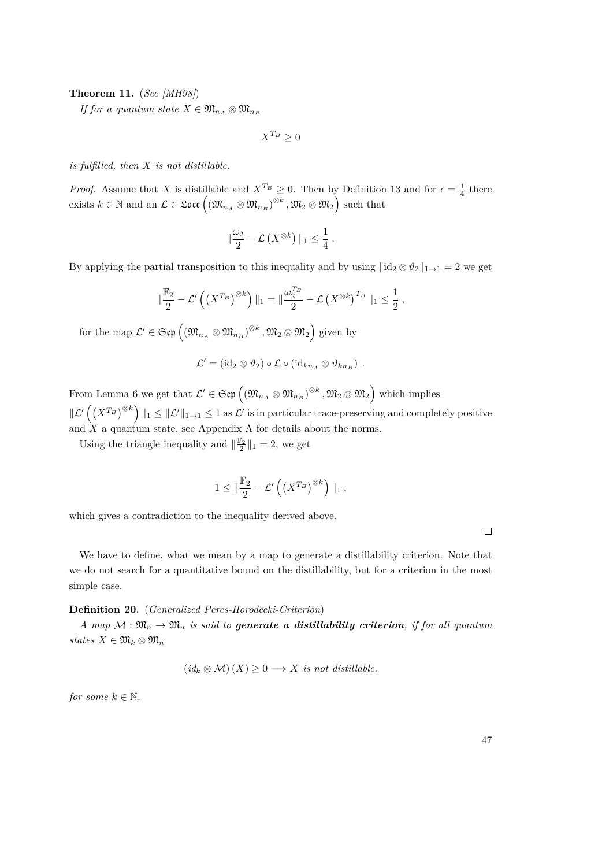## <span id="page-46-1"></span>**Theorem 11.** (*See [\[MH98\]](#page-84-7)*)

*If for a quantum state*  $X \in \mathfrak{M}_{n_A} \otimes \mathfrak{M}_{n_B}$ 

 $X^{T_B} \geq 0$ 

*is fulfilled, then X is not distillable.*

*Proof.* Assume that *X* is distillable and  $X^{T_B} \geq 0$ . Then by Definition [13](#page-23-0) and for  $\epsilon = \frac{1}{4}$  there exists  $k \in \mathbb{N}$  and an  $\mathcal{L} \in \mathfrak{Loc} \left( (\mathfrak{M}_{n_A} \otimes \mathfrak{M}_{n_B})^{\otimes k}$  ,  $\mathfrak{M}_2 \otimes \mathfrak{M}_2 \right)$  such that

$$
\|\frac{\omega_2}{2}-\mathcal{L}\left(X^{\otimes k}\right)\|_1\leq \frac{1}{4}.
$$

By applying the partial transposition to this inequality and by using  $\|\mathrm{id}_2 \otimes \vartheta_2\|_{1\to1} = 2$  we get

$$
\|\frac{\mathbb{F}_2}{2}-\mathcal{L}'\left(\left(X^{T_B}\right)^{\otimes k}\right)\|_1=\|\frac{\omega_2^{T_B}}{2}-\mathcal{L}\left(X^{\otimes k}\right)^{T_B}\|_1\le\frac{1}{2},
$$

for the map  $\mathcal{L}' \in \mathfrak{Sep}\left((\mathfrak{M}_{n_A} \otimes \mathfrak{M}_{n_B})^{\otimes k}, \mathfrak{M}_2 \otimes \mathfrak{M}_2\right)$  given by

$$
\mathcal{L}' = (\mathrm{id}_2 \otimes \vartheta_2) \circ \mathcal{L} \circ (\mathrm{id}_{kn_A} \otimes \vartheta_{kn_B}) \ .
$$

From Lemma [6](#page-45-0) we get that  $\mathcal{L}' \in \mathfrak{Sep}\left(\left(\mathfrak{M}_{n_A}\otimes\mathfrak{M}_{n_B}\right)^{\otimes k},\mathfrak{M}_2\otimes\mathfrak{M}_2\right)$  which implies  $\|\mathcal{L}^{\prime}\left(\left(X^{T_B}\right)^{\otimes k}\right)\|_1 \leq \|\mathcal{L}^{\prime}\|_{1\to 1} \leq 1$  as  $\mathcal{L}^{\prime}$  is in particular trace-preserving and completely positive and  $\hat{X}$  a quantum state, see Appendix A for details about the norms.

Using the triangle inequality and  $\|\frac{\mathbb{F}_2}{2}\|_1 = 2$ , we get

$$
1 \leq \|\frac{\mathbb{F}_2}{2} - \mathcal{L}'\left(\left(X^{T_B}\right)^{\otimes k}\right)\|_1,
$$

which gives a contradiction to the inequality derived above.

 $\Box$ 

We have to define, what we mean by a map to generate a distillability criterion. Note that we do not search for a quantitative bound on the distillability, but for a criterion in the most simple case.

#### <span id="page-46-0"></span>**Definition 20.** (*Generalized Peres-Horodecki-Criterion*)

*A* map  $M : \mathfrak{M}_n \to \mathfrak{M}_n$  *is said to generate a distillability criterion, if for all quantum*  $states X ∈ \mathfrak{M}_k ⊗ \mathfrak{M}_n$ 

$$
(id_k \otimes M)(X) \geq 0 \Longrightarrow X \text{ is not distillable.}
$$

*for some*  $k \in \mathbb{N}$ *.*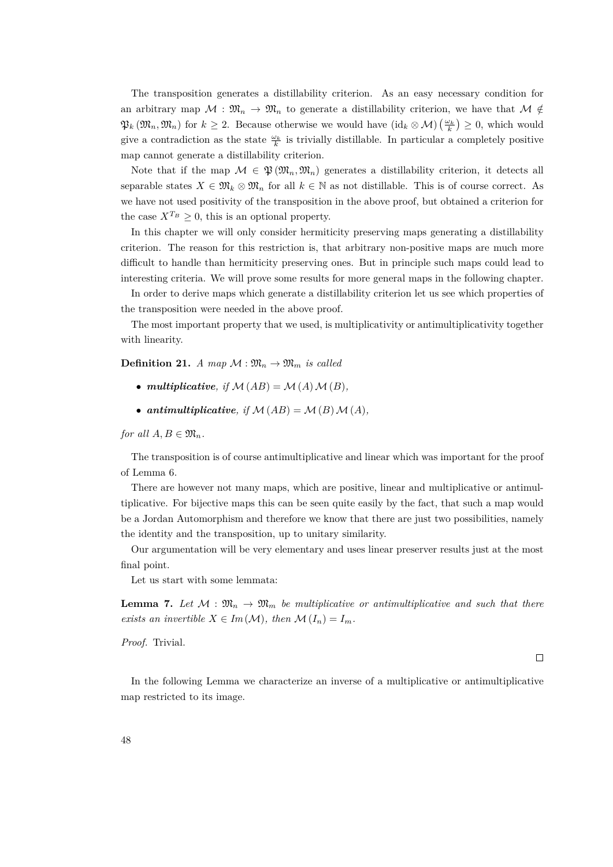The transposition generates a distillability criterion. As an easy necessary condition for an arbitrary map  $\mathcal{M}: \mathfrak{M}_n \to \mathfrak{M}_n$  to generate a distillability criterion, we have that  $\mathcal{M} \notin$  $\mathfrak{P}_k(\mathfrak{M}_n, \mathfrak{M}_n)$  for  $k \geq 2$ . Because otherwise we would have  $(\mathrm{id}_k \otimes \mathcal{M})\left(\frac{\omega_k}{k}\right) \geq 0$ , which would give a contradiction as the state  $\frac{\omega_k}{k}$  is trivially distillable. In particular a completely positive map cannot generate a distillability criterion.

Note that if the map  $M \in \mathfrak{P}(\mathfrak{M}_n, \mathfrak{M}_n)$  generates a distillability criterion, it detects all separable states  $X \in \mathfrak{M}_k \otimes \mathfrak{M}_n$  for all  $k \in \mathbb{N}$  as not distillable. This is of course correct. As we have not used positivity of the transposition in the above proof, but obtained a criterion for the case  $X^{T_B} \geq 0$ , this is an optional property.

In this chapter we will only consider hermiticity preserving maps generating a distillability criterion. The reason for this restriction is, that arbitrary non-positive maps are much more difficult to handle than hermiticity preserving ones. But in principle such maps could lead to interesting criteria. We will prove some results for more general maps in the following chapter.

In order to derive maps which generate a distillability criterion let us see which properties of the transposition were needed in the above proof.

The most important property that we used, is multiplicativity or antimultiplicativity together with linearity.

**Definition 21.** *A map*  $\mathcal{M} : \mathfrak{M}_n \to \mathfrak{M}_m$  *is called* 

- *multiplicative, if*  $M(AB) = M(A) M(B)$ *,*
- *antimultiplicative, if*  $M(AB) = M(B) M(A)$ *,*

*for all*  $A, B \in \mathfrak{M}_n$ *.* 

The transposition is of course antimultiplicative and linear which was important for the proof of Lemma [6.](#page-45-0)

There are however not many maps, which are positive, linear and multiplicative or antimultiplicative. For bijective maps this can be seen quite easily by the fact, that such a map would be a Jordan Automorphism and therefore we know that there are just two possibilities, namely the identity and the transposition, up to unitary similarity.

Our argumentation will be very elementary and uses linear preserver results just at the most final point.

Let us start with some lemmata:

<span id="page-47-0"></span>**Lemma 7.** Let  $\mathcal{M}: \mathfrak{M}_n \to \mathfrak{M}_m$  be multiplicative or antimultiplicative and such that there *exists an invertible*  $X \in Im(\mathcal{M})$ *, then*  $\mathcal{M}(I_n) = I_m$ *.* 

*Proof.* Trivial.

 $\Box$ 

In the following Lemma we characterize an inverse of a multiplicative or antimultiplicative map restricted to its image.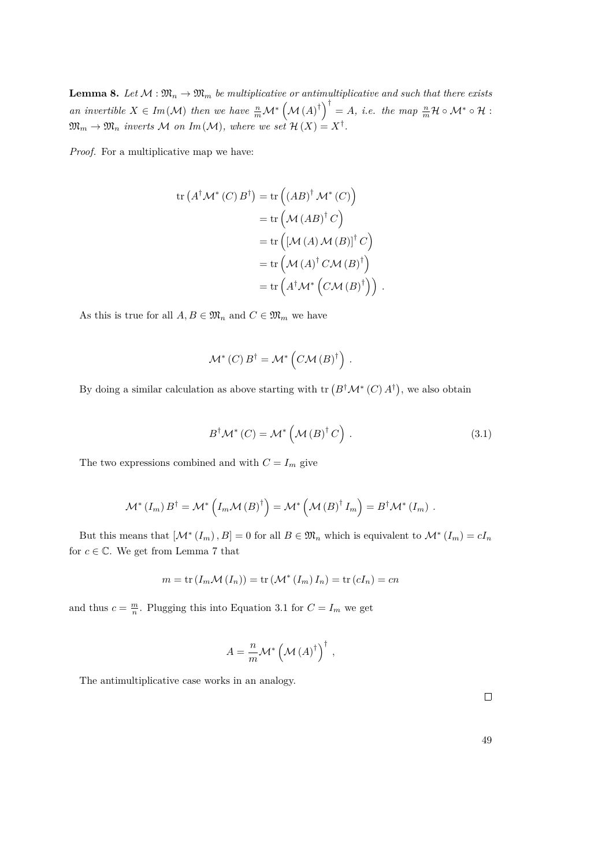<span id="page-48-1"></span>**Lemma 8.** Let  $M : \mathfrak{M}_n \to \mathfrak{M}_m$  be multiplicative or antimultiplicative and such that there exists *an invertible*  $X \in Im(\mathcal{M})$  *then we have*  $\frac{n}{m}\mathcal{M}^*\left(\mathcal{M}(A)^{\dagger}\right)^{\dagger} = A$ , *i.e. the map*  $\frac{n}{m}\mathcal{H} \circ \mathcal{M}^* \circ \mathcal{H}$ :  $\mathfrak{M}_m \to \mathfrak{M}_n$  inverts M on Im(M), where we set  $\mathcal{H}(X) = X^{\dagger}$ .

*Proof.* For a multiplicative map we have:

$$
\operatorname{tr} (A^{\dagger} \mathcal{M}^* (C) B^{\dagger}) = \operatorname{tr} ((AB)^{\dagger} \mathcal{M}^* (C))
$$
  

$$
= \operatorname{tr} (\mathcal{M} (AB)^{\dagger} C)
$$
  

$$
= \operatorname{tr} ([\mathcal{M} (A) \mathcal{M} (B)]^{\dagger} C)
$$
  

$$
= \operatorname{tr} (\mathcal{M} (A)^{\dagger} C \mathcal{M} (B)^{\dagger})
$$
  

$$
= \operatorname{tr} (A^{\dagger} \mathcal{M}^* (C \mathcal{M} (B)^{\dagger})).
$$

As this is true for all  $A, B \in \mathfrak{M}_n$  and  $C \in \mathfrak{M}_m$  we have

$$
\mathcal{M}^*(C) B^{\dagger} = \mathcal{M}^*\left(C\mathcal{M}\left(B\right)^{\dagger}\right)
$$

By doing a similar calculation as above starting with  $\text{tr}(B^{\dagger} \mathcal{M}^*(C) A^{\dagger})$ , we also obtain

$$
B^{\dagger} \mathcal{M}^* (C) = \mathcal{M}^* \left( \mathcal{M} (B)^{\dagger} C \right) . \tag{3.1}
$$

<span id="page-48-0"></span>*.*

The two expressions combined and with  $C = I_m$  give

$$
\mathcal{M}^*\left(I_m\right)B^{\dagger} = \mathcal{M}^*\left(I_m\mathcal{M}\left(B\right)^{\dagger}\right) = \mathcal{M}^*\left(\mathcal{M}\left(B\right)^{\dagger}I_m\right) = B^{\dagger}\mathcal{M}^*\left(I_m\right).
$$

But this means that  $[\mathcal{M}^*(I_m), B] = 0$  for all  $B \in \mathfrak{M}_n$  which is equivalent to  $\mathcal{M}^*(I_m) = cI_n$ for  $c \in \mathbb{C}$ . We get from Lemma [7](#page-47-0) that

$$
m = \text{tr} (I_m \mathcal{M}(I_n)) = \text{tr} (\mathcal{M}^*(I_m) I_n) = \text{tr} (cI_n) = cn
$$

and thus  $c = \frac{m}{n}$ . Plugging this into Equation [3.1](#page-48-0) for  $C = I_m$  we get

$$
A = \frac{n}{m} \mathcal{M}^* \left( \mathcal{M} \left( A \right)^{\dagger} \right)^{\dagger} ,
$$

The antimultiplicative case works in an analogy.

49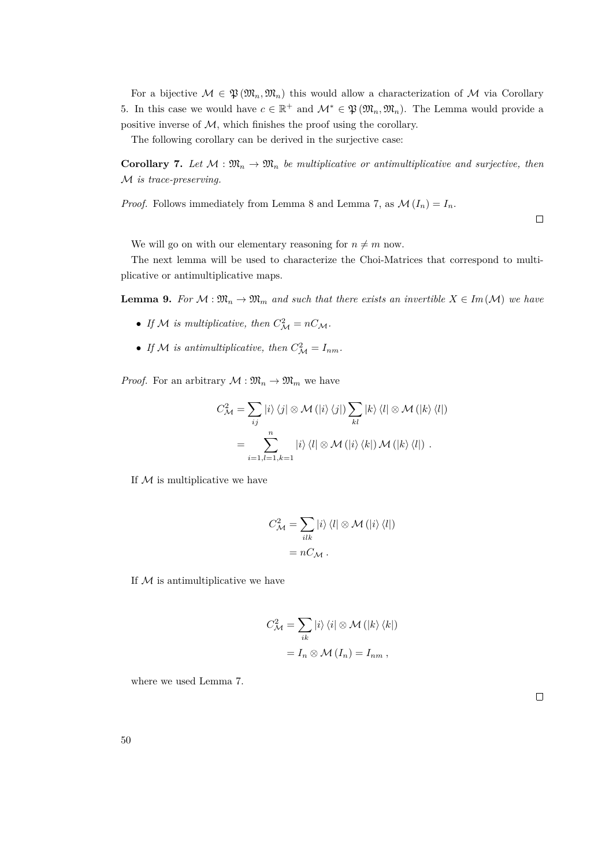For a bijective  $M \in \mathfrak{P}(\mathfrak{M}_n, \mathfrak{M}_n)$  this would allow a characterization of M via Corollary [5.](#page-32-0) In this case we would have  $c \in \mathbb{R}^+$  and  $\mathcal{M}^* \in \mathfrak{P}(\mathfrak{M}_n, \mathfrak{M}_n)$ . The Lemma would provide a positive inverse of  $M$ , which finishes the proof using the corollary.

The following corollary can be derived in the surjective case:

**Corollary 7.** Let  $M : \mathfrak{M}_n \to \mathfrak{M}_n$  be multiplicative or antimultiplicative and surjective, then M *is trace-preserving.*

*Proof.* Follows immediately from Lemma [8](#page-48-1) and Lemma [7,](#page-47-0) as  $\mathcal{M}(I_n) = I_n$ .

 $\Box$ 

We will go on with our elementary reasoning for  $n \neq m$  now.

The next lemma will be used to characterize the Choi-Matrices that correspond to multiplicative or antimultiplicative maps.

<span id="page-49-0"></span>**Lemma 9.** For  $M : \mathfrak{M}_n \to \mathfrak{M}_m$  and such that there exists an invertible  $X \in Im(M)$  we have

- If M is multiplicative, then  $C^2_{\mathcal{M}} = nC_{\mathcal{M}}$ .
- If M is antimultiplicative, then  $C^2_{\mathcal{M}} = I_{nm}$ .

*Proof.* For an arbitrary  $\mathcal{M} : \mathfrak{M}_n \to \mathfrak{M}_m$  we have

$$
C_{\mathcal{M}}^{2} = \sum_{ij} \left| i \right\rangle \left\langle j \right| \otimes \mathcal{M} \left( \left| i \right\rangle \left\langle j \right| \right) \sum_{kl} \left| k \right\rangle \left\langle l \right| \otimes \mathcal{M} \left( \left| k \right\rangle \left\langle l \right| \right)
$$

$$
= \sum_{i=1,l=1,k=1}^{n} \left| i \right\rangle \left\langle l \right| \otimes \mathcal{M} \left( \left| i \right\rangle \left\langle k \right| \right) \mathcal{M} \left( \left| k \right\rangle \left\langle l \right| \right) .
$$

If  $M$  is multiplicative we have

$$
C_{\mathcal{M}}^{2} = \sum_{i l k} |i\rangle \langle l| \otimes \mathcal{M} (|i\rangle \langle l|)
$$

$$
= n C_{\mathcal{M}}.
$$

If  $M$  is antimultiplicative we have

$$
C_{\mathcal{M}}^{2} = \sum_{ik} |i\rangle \langle i| \otimes \mathcal{M} (|k\rangle \langle k|)
$$

$$
= I_{n} \otimes \mathcal{M} (I_{n}) = I_{nm} ,
$$

where we used Lemma [7.](#page-47-0)

 $\Box$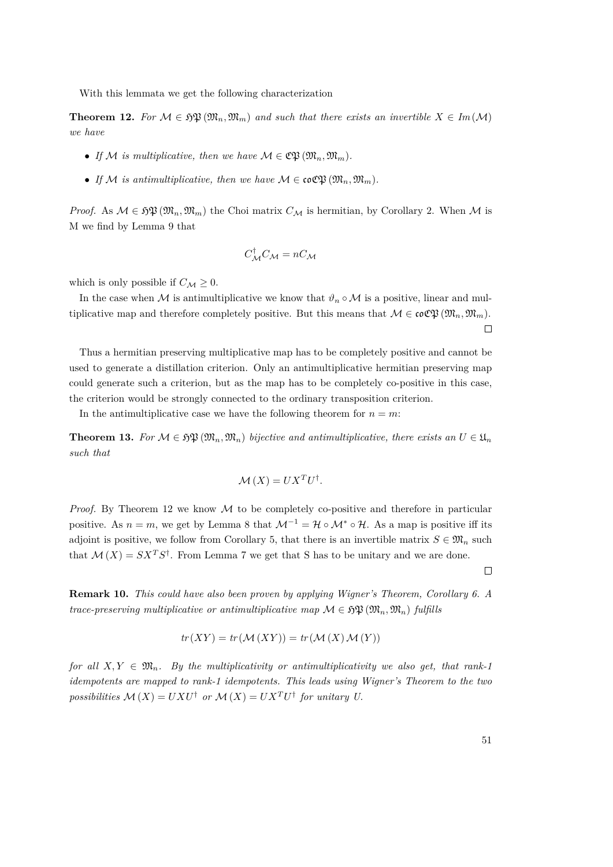With this lemmata we get the following characterization

<span id="page-50-0"></span>**Theorem 12.** For  $M \in \mathfrak{HP}(\mathfrak{M}_n, \mathfrak{M}_m)$  and such that there exists an invertible  $X \in Im(M)$ *we have*

- If M is multiplicative, then we have  $M \in \mathfrak{C}\mathfrak{B}(\mathfrak{M}_n,\mathfrak{M}_m)$ .
- If M is antimultiplicative, then we have  $M \in \mathfrak{coCP}(\mathfrak{M}_n, \mathfrak{M}_m)$ .

*Proof.* As  $M \in \mathfrak{HP}(\mathfrak{M}_n, \mathfrak{M}_m)$  the Choi matrix  $C_M$  is hermitian, by Corollary [2.](#page-13-0) When M is M we find by Lemma [9](#page-49-0) that

$$
C_{\mathcal{M}}^{\dagger}C_{\mathcal{M}}=nC_{\mathcal{M}}
$$

which is only possible if  $C_M \geq 0$ .

In the case when M is antimultiplicative we know that  $\vartheta_n \circ M$  is a positive, linear and multiplicative map and therefore completely positive. But this means that  $\mathcal{M} \in \mathfrak{coC}(\mathfrak{M}_n, \mathfrak{M}_m)$ .  $\Box$ 

Thus a hermitian preserving multiplicative map has to be completely positive and cannot be used to generate a distillation criterion. Only an antimultiplicative hermitian preserving map could generate such a criterion, but as the map has to be completely co-positive in this case, the criterion would be strongly connected to the ordinary transposition criterion.

In the antimultiplicative case we have the following theorem for  $n = m$ :

**Theorem 13.** For  $M \in \mathfrak{HP}(\mathfrak{M}_n, \mathfrak{M}_n)$  bijective and antimultiplicative, there exists an  $U \in \mathfrak{U}_n$ *such that*

$$
\mathcal{M}(X) = U X^T U^{\dagger}.
$$

*Proof.* By Theorem [12](#page-50-0) we know M to be completely co-positive and therefore in particular positive. As  $n = m$ , we get by Lemma [8](#page-48-1) that  $\mathcal{M}^{-1} = \mathcal{H} \circ \mathcal{M}^* \circ \mathcal{H}$ . As a map is positive iff its adjoint is positive, we follow from Corollary [5,](#page-32-0) that there is an invertible matrix  $S \in \mathfrak{M}_n$  such that  $\mathcal{M}(X) = S X^T S^{\dagger}$ . From Lemma [7](#page-47-0) we get that S has to be unitary and we are done.

 $\Box$ 

**Remark 10.** *This could have also been proven by applying Wigner's Theorem, Corollary [6.](#page-33-0) A trace-preserving multiplicative or antimultiplicative map*  $\mathcal{M} \in \mathfrak{FP}(\mathfrak{M}_n, \mathfrak{M}_n)$  fulfills

$$
tr(XY) = tr(\mathcal{M}(XY)) = tr(\mathcal{M}(X)\mathcal{M}(Y))
$$

*for all*  $X, Y \in \mathfrak{M}_n$ . By the multiplicativity or antimultiplicativity we also get, that rank-1 *idempotents are mapped to rank-1 idempotents. This leads using Wigner's Theorem to the two possibilities*  $\mathcal{M}(X) = UXU^{\dagger}$  *or*  $\mathcal{M}(X) = UX^TU^{\dagger}$  *for unitary U.*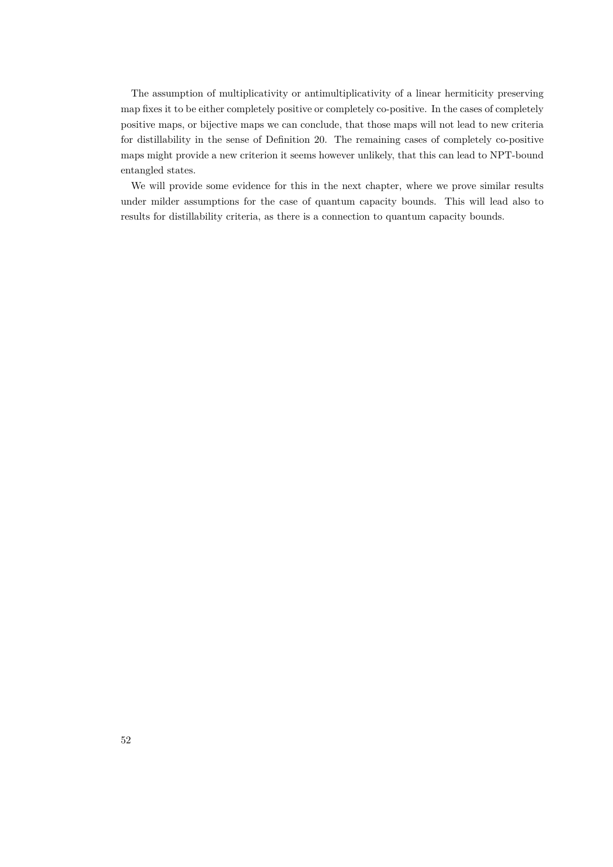The assumption of multiplicativity or antimultiplicativity of a linear hermiticity preserving map fixes it to be either completely positive or completely co-positive. In the cases of completely positive maps, or bijective maps we can conclude, that those maps will not lead to new criteria for distillability in the sense of Definition [20.](#page-46-0) The remaining cases of completely co-positive maps might provide a new criterion it seems however unlikely, that this can lead to NPT-bound entangled states.

We will provide some evidence for this in the next chapter, where we prove similar results under milder assumptions for the case of quantum capacity bounds. This will lead also to results for distillability criteria, as there is a connection to quantum capacity bounds.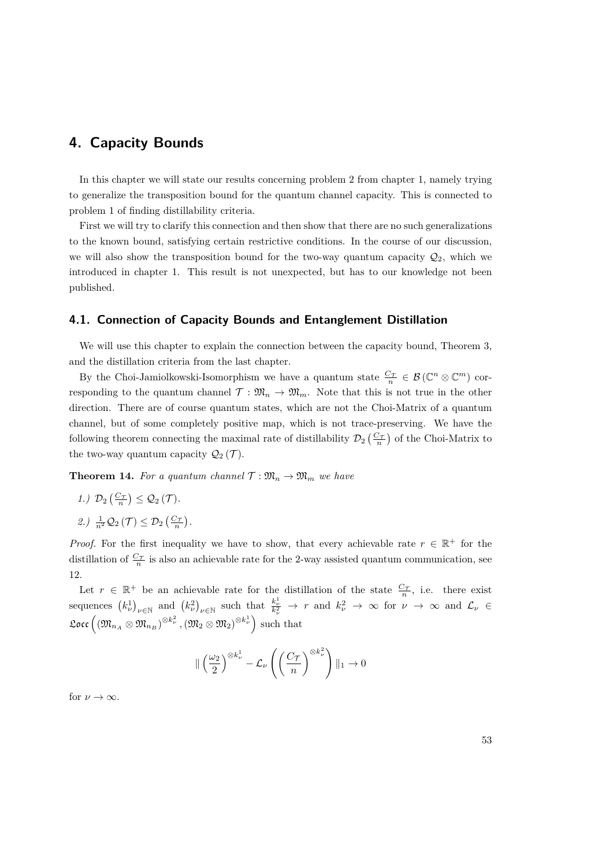## **4. Capacity Bounds**

In this chapter we will state our results concerning problem 2 from chapter 1, namely trying to generalize the transposition bound for the quantum channel capacity. This is connected to problem 1 of finding distillability criteria.

First we will try to clarify this connection and then show that there are no such generalizations to the known bound, satisfying certain restrictive conditions. In the course of our discussion, we will also show the transposition bound for the two-way quantum capacity  $\mathcal{Q}_2$ , which we introduced in chapter 1. This result is not unexpected, but has to our knowledge not been published.

## **4.1. Connection of Capacity Bounds and Entanglement Distillation**

We will use this chapter to explain the connection between the capacity bound, Theorem [3,](#page-26-0) and the distillation criteria from the last chapter.

By the Choi-Jamiolkowski-Isomorphism we have a quantum state  $\frac{C_{\mathcal{T}}}{n} \in \mathcal{B}(\mathbb{C}^n \otimes \mathbb{C}^m)$  corresponding to the quantum channel  $\mathcal{T}: \mathfrak{M}_n \to \mathfrak{M}_m$ . Note that this is not true in the other direction. There are of course quantum states, which are not the Choi-Matrix of a quantum channel, but of some completely positive map, which is not trace-preserving. We have the following theorem connecting the maximal rate of distillability  $\mathcal{D}_2\left(\frac{C_{\mathcal{T}}}{n}\right)$  of the Choi-Matrix to the two-way quantum capacity  $\mathcal{Q}_2(\mathcal{T})$ .

**Theorem 14.** For a quantum channel  $\mathcal{T}: \mathfrak{M}_n \to \mathfrak{M}_m$  we have

- 1.)  $\mathcal{D}_2\left(\frac{C_{\mathcal{T}}}{n}\right) \leq \mathcal{Q}_2(\mathcal{T})$ *.*
- 2.)  $\frac{1}{n^2} \mathcal{Q}_2(\mathcal{T}) \leq \mathcal{D}_2\left(\frac{C_{\mathcal{T}}}{n}\right)$ .

*Proof.* For the first inequality we have to show, that every achievable rate  $r \in \mathbb{R}^+$  for the distillation of  $\frac{C_{\mathcal{T}}}{n}$  is also an achievable rate for the 2-way assisted quantum communication, see [12.](#page-21-0)

Let  $r \in \mathbb{R}^+$  be an achievable rate for the distillation of the state  $\frac{C_{\mathcal{T}}}{n}$ , i.e. there exist  $\mathcal{L}$  **sequences**  $(k_{\nu}^1)_{\nu \in \mathbb{N}}$  and  $(k_{\nu}^2)_{\nu \in \mathbb{N}}$  such that  $\frac{k_{\nu}^1}{k_{\nu}^2} \to r$  and  $k_{\nu}^2 \to \infty$  for  $\nu \to \infty$  and  $\mathcal{L}_{\nu} \in \mathbb{N}$  $\mathfrak{Loc} \left( (\mathfrak{M}_{n_A} \otimes \mathfrak{M}_{n_B})^{\otimes k_{\nu}^2}, (\mathfrak{M}_2 \otimes \mathfrak{M}_2)^{\otimes k_{\nu}^1} \right) \text{ such that }$ 

$$
\| \left(\frac{\omega_2}{2}\right)^{\otimes k_{\nu}^1} - \mathcal{L}_{\nu} \left( \left(\frac{C_{\mathcal{T}}}{n}\right)^{\otimes k_{\nu}^2} \right) \|_{1} \to 0
$$

for  $\nu \to \infty$ .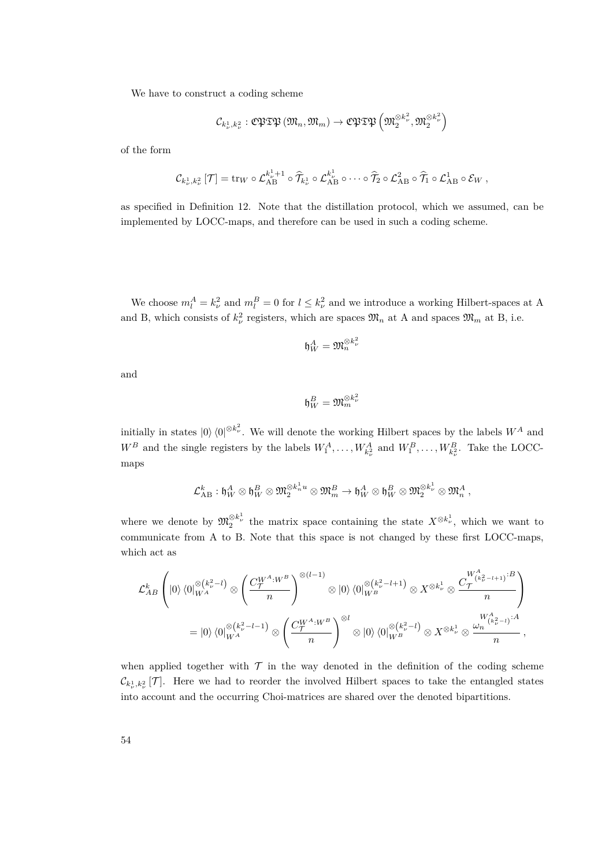We have to construct a coding scheme

$$
\mathcal{C}_{k_\nu^1,k_\nu^2} : \mathfrak{C}\mathfrak{PTP}\left(\mathfrak{M}_n,\mathfrak{M}_m\right) \rightarrow \mathfrak{C}\mathfrak{PTP}\left(\mathfrak{M}_2^{\otimes k_\nu^2},\mathfrak{M}_2^{\otimes k_\nu^2}\right)
$$

of the form

$$
\mathcal{C}_{k_{\nu}^1,k_{\nu}^2}[\mathcal{T}] = \operatorname{tr}_W \circ \mathcal{L}_{AB}^{k_{\nu}^1+1} \circ \widehat{\mathcal{T}}_{k_{\nu}^1} \circ \mathcal{L}_{AB}^{k_{\nu}^1} \circ \cdots \circ \widehat{\mathcal{T}}_2 \circ \mathcal{L}_{AB}^2 \circ \widehat{\mathcal{T}}_1 \circ \mathcal{L}_{AB}^1 \circ \mathcal{E}_W,
$$

as specified in Definition [12.](#page-21-0) Note that the distillation protocol, which we assumed, can be implemented by LOCC-maps, and therefore can be used in such a coding scheme.

We choose  $m_l^A = k_\nu^2$  and  $m_l^B = 0$  for  $l \leq k_\nu^2$  and we introduce a working Hilbert-spaces at A and B, which consists of  $k_{\nu}^2$  registers, which are spaces  $\mathfrak{M}_n$  at A and spaces  $\mathfrak{M}_m$  at B, i.e.

$$
\mathfrak{h}_W^A=\mathfrak{M}_n^{\otimes k_\nu^2}
$$

and

$$
\mathfrak{h}_W^B=\mathfrak{M}_m^{\otimes k_\nu^2}
$$

initially in states  $|0\rangle \langle 0|^{\otimes k_{\nu}^2}$ . We will denote the working Hilbert spaces by the labels  $W^A$  and  $W^B$  and the single registers by the labels  $W_1^A, \ldots, W_{k_\nu}^A$  and  $W_1^B, \ldots, W_{k_\nu}^B$ . Take the LOCCmaps

$$
\mathcal{L}_{AB}^k : \mathfrak{h}_W^A \otimes \mathfrak{h}_W^B \otimes \mathfrak{M}_2^{\otimes k_n^1 u} \otimes \mathfrak{M}_m^B \to \mathfrak{h}_W^A \otimes \mathfrak{h}_W^B \otimes \mathfrak{M}_2^{\otimes k_\nu^1} \otimes \mathfrak{M}_n^A \:,
$$

where we denote by  $\mathfrak{M}_{2}^{\otimes k_{\nu}^{1}}$  the matrix space containing the state  $X^{\otimes k_{\nu}^{1}}$ , which we want to communicate from A to B. Note that this space is not changed by these first LOCC-maps, which act as

$$
\mathcal{L}_{AB}^{k}\left( |0\rangle\langle0|_{W^{A}}^{\otimes (k_{\nu}^{2}-l)}\otimes \left(\frac{C_{\mathcal{T}}^{W^{A}:W^{B}}}{n}\right)^{\otimes (l-1)}\otimes |0\rangle\langle0|_{W^{B}}^{\otimes (k_{\nu}^{2}-l+1)}\otimes X^{\otimes k_{\nu}^{1}}\otimes \frac{C_{\mathcal{T}}^{W^{A}_{(k_{\nu}^{2}-l+1)}:B}}{n}\right) = |0\rangle\langle0|_{W^{A}}^{\otimes (k_{\nu}^{2}-l-1)}\otimes \left(\frac{C_{\mathcal{T}}^{W^{A}:W^{B}}}{n}\right)^{\otimes l}\otimes |0\rangle\langle0|_{W^{B}}^{\otimes (k_{\nu}^{2}-l)}\otimes X^{\otimes k_{\nu}^{1}}\otimes \frac{\omega_{n}^{W^{A}_{(k_{\nu}^{2}-l)}:A}}{n},
$$

when applied together with  $\mathcal T$  in the way denoted in the definition of the coding scheme  $\mathcal{C}_{k_{\nu}^1,k_{\nu}^2}[\mathcal{T}]$ . Here we had to reorder the involved Hilbert spaces to take the entangled states into account and the occurring Choi-matrices are shared over the denoted bipartitions.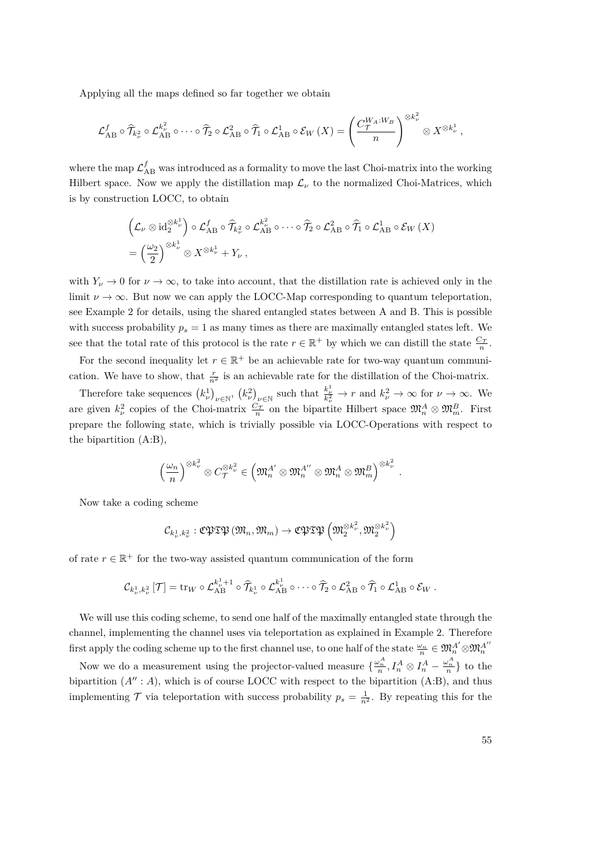Applying all the maps defined so far together we obtain

$$
\mathcal{L}_{AB}^f \circ \widehat{\mathcal{T}}_{k_\nu^2} \circ \mathcal{L}_{AB}^{k_\nu^2} \circ \cdots \circ \widehat{\mathcal{T}}_2 \circ \mathcal{L}_{AB}^2 \circ \widehat{\mathcal{T}}_1 \circ \mathcal{L}_{AB}^1 \circ \mathcal{E}_W(X) = \left(\frac{C_{\mathcal{T}}^{W_A:W_B}}{n}\right)^{\otimes k_\nu^2} \otimes X^{\otimes k_\nu^1},
$$

where the map  $\mathcal{L}_{AB}^f$  was introduced as a formality to move the last Choi-matrix into the working Hilbert space. Now we apply the distillation map  $\mathcal{L}_{\nu}$  to the normalized Choi-Matrices, which is by construction LOCC, to obtain

$$
\left(\mathcal{L}_{\nu}\otimes\mathrm{id}_{2}^{\otimes k_{\nu}^{1}}\right)\circ\mathcal{L}_{\mathrm{AB}}^{f}\circ\widehat{\mathcal{T}}_{k_{\nu}^{2}}\circ\mathcal{L}_{\mathrm{AB}}^{k_{\nu}^{2}}\circ\cdots\circ\widehat{\mathcal{T}}_{2}\circ\mathcal{L}_{\mathrm{AB}}^{2}\circ\widehat{\mathcal{T}}_{1}\circ\mathcal{L}_{\mathrm{AB}}^{1}\circ\mathcal{E}_{W}\left(X\right)
$$

$$
=\left(\frac{\omega_{2}}{2}\right)^{\otimes k_{\nu}^{1}}\otimes X^{\otimes k_{\nu}^{1}}+Y_{\nu}\,,
$$

with  $Y_{\nu} \to 0$  for  $\nu \to \infty$ , to take into account, that the distillation rate is achieved only in the limit  $\nu \to \infty$ . But now we can apply the LOCC-Map corresponding to quantum teleportation, see Example [2](#page-15-0) for details, using the shared entangled states between A and B. This is possible with success probability  $p_s = 1$  as many times as there are maximally entangled states left. We see that the total rate of this protocol is the rate  $r \in \mathbb{R}^+$  by which we can distill the state  $\frac{C_{\mathcal{T}}}{n}$ .

For the second inequality let  $r \in \mathbb{R}^+$  be an achievable rate for two-way quantum communication. We have to show, that  $\frac{r}{n^2}$  is an achievable rate for the distillation of the Choi-matrix.

Therefore take sequences  $(k_{\nu}^1)_{\nu \in \mathbb{N}}$ ,  $(k_{\nu}^2)_{\nu \in \mathbb{N}}$  such that  $\frac{k_{\nu}^1}{k_{\nu}^2} \to r$  and  $k_{\nu}^2 \to \infty$  for  $\nu \to \infty$ . We are given  $k_{\nu}^2$  copies of the Choi-matrix  $\frac{C_{\mathcal{T}}}{n}$  on the bipartite Hilbert space  $\mathfrak{M}_n^A \otimes \mathfrak{M}_m^B$ . First prepare the following state, which is trivially possible via LOCC-Operations with respect to the bipartition (A:B),

$$
\left(\frac{\omega_n}{n}\right)^{\otimes k_{\nu}^2} \otimes C_{\mathcal{T}}^{\otimes k_{\nu}^2} \in \left(\mathfrak{M}_{n}^{A'} \otimes \mathfrak{M}_{n}^{A''} \otimes \mathfrak{M}_{n}^{A} \otimes \mathfrak{M}_{m}^{B}\right)^{\otimes k_{\nu}^2}.
$$

Now take a coding scheme

$$
\mathcal{C}_{k_\nu^1,k_\nu^2} : \mathfrak{C}\mathfrak{PTP}\left(\mathfrak{M}_n,\mathfrak{M}_m\right) \rightarrow \mathfrak{C}\mathfrak{PTP}\left(\mathfrak{M}_2^{\otimes k_\nu^2},\mathfrak{M}_2^{\otimes k_\nu^2}\right)
$$

of rate  $r \in \mathbb{R}^+$  for the two-way assisted quantum communication of the form

$$
\mathcal{C}_{k_{\nu}^1,k_{\nu}^2}[\mathcal{T}] = \operatorname{tr}_W \circ \mathcal{L}_{AB}^{k_{\nu}^1+1} \circ \widehat{\mathcal{T}}_{k_{\nu}^1} \circ \mathcal{L}_{AB}^{k_{\nu}^1} \circ \cdots \circ \widehat{\mathcal{T}}_2 \circ \mathcal{L}_{AB}^2 \circ \widehat{\mathcal{T}}_1 \circ \mathcal{L}_{AB}^1 \circ \mathcal{E}_W.
$$

We will use this coding scheme, to send one half of the maximally entangled state through the channel, implementing the channel uses via teleportation as explained in Example [2.](#page-15-0) Therefore first apply the coding scheme up to the first channel use, to one half of the state  $\frac{\omega_n}{n} \in \mathfrak{M}_n^{A'} \otimes \mathfrak{M}_n^{A''}$ 

Now we do a measurement using the projector-valued measure  $\{\frac{\omega_n^A}{n}, I_n^A \otimes I_n^A - \frac{\omega_n^A}{n}\}$  to the bipartition  $(A'' : A)$ , which is of course LOCC with respect to the bipartition  $(A:B)$ , and thus implementing  $\mathcal T$  via teleportation with success probability  $p_s = \frac{1}{n^2}$ . By repeating this for the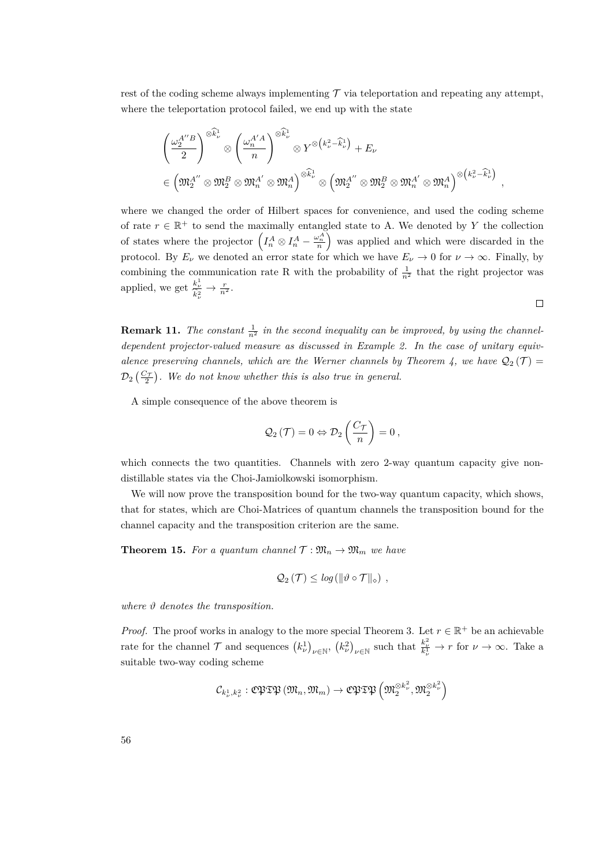rest of the coding scheme always implementing  $\mathcal T$  via teleportation and repeating any attempt, where the teleportation protocol failed, we end up with the state

$$
\begin{split} &\left(\frac{\omega_2^{A''B}}{2}\right)^{\otimes \widehat{k}^1_\nu}\otimes\left(\frac{\omega_n^{A'A}}{n}\right)^{\otimes \widehat{k}^1_\nu}\otimes Y^{\otimes \left(k_\nu^2-\widehat{k}_\nu^1\right)}+E_\nu\\ &\in\left(\mathfrak{M}_2^{A''}\otimes\mathfrak{M}_2^B\otimes\mathfrak{M}_n^{A'}\otimes\mathfrak{M}_n^A\right)^{\otimes \widehat{k}_\nu^1}\otimes\left(\mathfrak{M}_2^{A''}\otimes\mathfrak{M}_2^B\otimes\mathfrak{M}_n^{A'}\otimes\mathfrak{M}_n^A\right)^{\otimes \left(k_\nu^2-\widehat{k}_\nu^1\right)}\;, \end{split}
$$

where we changed the order of Hilbert spaces for convenience, and used the coding scheme of rate  $r \in \mathbb{R}^+$  to send the maximally entangled state to A. We denoted by Y the collection of states where the projector  $\left(I_n^A \otimes I_n^A - \frac{\omega_n^A}{n}\right)$  was applied and which were discarded in the protocol. By  $E_\nu$  we denoted an error state for which we have  $E_\nu \to 0$  for  $\nu \to \infty$ . Finally, by combining the communication rate R with the probability of  $\frac{1}{n^2}$  that the right projector was applied, we get  $\frac{k_{\nu}^1}{\hat{k}_{\nu}^2} \rightarrow \frac{r}{n^2}$ .

**Remark 11.** The constant  $\frac{1}{n^2}$  in the second inequality can be improved, by using the channel*dependent projector-valued measure as discussed in Example [2.](#page-15-0) In the case of unitary equiv-alence preserving channels, which are the Werner channels by Theorem [4,](#page-36-0) we have*  $Q_2(\mathcal{T}) =$  $\mathcal{D}_2\left(\frac{C_{\mathcal{T}}}{2}\right)$ . We do not know whether this is also true in general.

A simple consequence of the above theorem is

$$
\mathcal{Q}_2(\mathcal{T}) = 0 \Leftrightarrow \mathcal{D}_2\left(\frac{C_{\mathcal{T}}}{n}\right) = 0,
$$

which connects the two quantities. Channels with zero 2-way quantum capacity give nondistillable states via the Choi-Jamiolkowski isomorphism.

We will now prove the transposition bound for the two-way quantum capacity, which shows, that for states, which are Choi-Matrices of quantum channels the transposition bound for the channel capacity and the transposition criterion are the same.

<span id="page-55-0"></span>**Theorem 15.** *For a quantum channel*  $\mathcal{T}: \mathfrak{M}_n \to \mathfrak{M}_m$  *we have* 

$$
Q_2(\mathcal{T}) \leq \log(\|\vartheta \circ \mathcal{T}\|_{\diamond}) ,
$$

*where ϑ denotes the transposition.*

*Proof.* The proof works in analogy to the more special Theorem [3.](#page-26-0) Let  $r \in \mathbb{R}^+$  be an achievable rate for the channel  $\mathcal{T}$  and sequences  $(k_{\nu}^1)_{\nu \in \mathbb{N}}$ ,  $(k_{\nu}^2)_{\nu \in \mathbb{N}}$  such that  $\frac{k_{\nu}^2}{k_{\nu}^1} \to r$  for  $\nu \to \infty$ . Take a suitable two-way coding scheme

$$
\mathcal{C}_{k_{\nu}^{1},k_{\nu}^{2}}:\mathfrak{C}\mathfrak{PTP} \left(\mathfrak{M}_{n},\mathfrak{M}_{m}\right)\rightarrow\mathfrak{C}\mathfrak{PTP} \left(\mathfrak{M}_{2}^{\otimes k_{\nu}^{2}},\mathfrak{M}_{2}^{\otimes k_{\nu}^{2}}\right)
$$

 $\Box$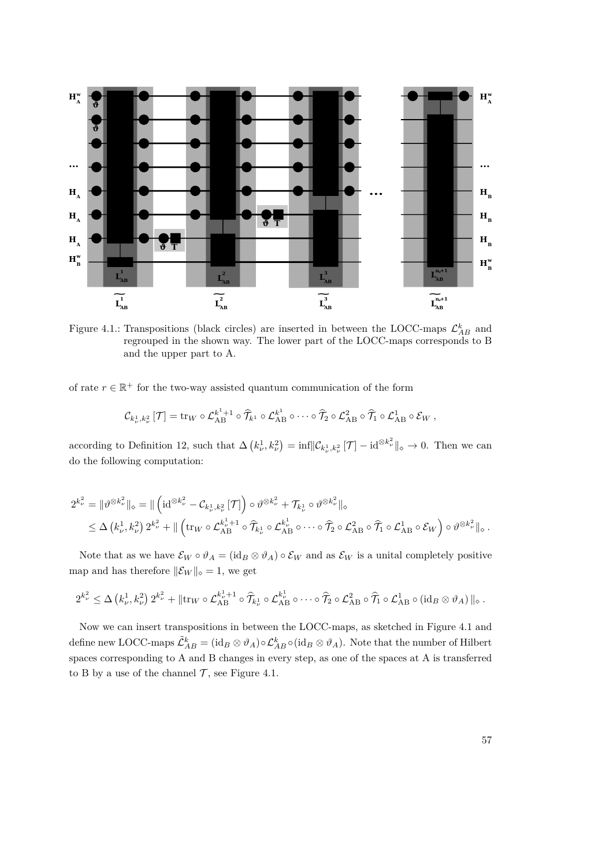

<span id="page-56-0"></span>Figure 4.1.: Transpositions (black circles) are inserted in between the LOCC-maps  $\mathcal{L}_{AB}^k$  and regrouped in the shown way. The lower part of the LOCC-maps corresponds to B and the upper part to A.

of rate  $r \in \mathbb{R}^+$  for the two-way assisted quantum communication of the form

$$
\mathcal{C}_{k_{\nu}^1,k_{\nu}^2}[\mathcal{T}] = \operatorname{tr}_{W} \circ \mathcal{L}_{AB}^{k^1+1} \circ \widehat{\mathcal{T}}_{k^1} \circ \mathcal{L}_{AB}^{k^1} \circ \cdots \circ \widehat{\mathcal{T}}_{2} \circ \mathcal{L}_{AB}^2 \circ \widehat{\mathcal{T}}_{1} \circ \mathcal{L}_{AB}^1 \circ \mathcal{E}_{W},
$$

according to Definition [12,](#page-21-0) such that  $\Delta \left( k_{\nu}^1, k_{\nu}^2 \right) = \inf \lVert \mathcal{C}_{k_{\nu}^1, k_{\nu}^2} \lVert \mathcal{T} \rVert - \mathrm{id}^{\otimes k_{\nu}^2} \rVert_{\diamond} \to 0$ . Then we can do the following computation:

$$
2^{k_{\nu}^{2}} = \|\vartheta^{\otimes k_{\nu}^{2}}\|_{\diamond} = \|\left(\mathrm{id}^{\otimes k_{\nu}^{2}} - \mathcal{C}_{k_{\nu}^{1}, k_{\nu}^{2}}[\mathcal{T}]\right) \circ \vartheta^{\otimes k_{\nu}^{2}} + \mathcal{T}_{k_{\nu}^{1}} \circ \vartheta^{\otimes k_{\nu}^{2}}\|_{\diamond}
$$
  

$$
\leq \Delta \left(k_{\nu}^{1}, k_{\nu}^{2}\right) 2^{k_{\nu}^{2}} + \|\left(\mathrm{tr}_{W} \circ \mathcal{L}_{AB}^{k_{\nu}^{1}+1} \circ \widehat{\mathcal{T}}_{k_{\nu}^{1}} \circ \mathcal{L}_{AB}^{k_{\nu}^{1}} \circ \cdots \circ \widehat{\mathcal{T}}_{2} \circ \mathcal{L}_{AB}^{2} \circ \widehat{\mathcal{T}}_{1} \circ \mathcal{L}_{AB}^{1} \circ \mathcal{E}_{W}\right) \circ \vartheta^{\otimes k_{\nu}^{2}}\|_{\diamond} .
$$

Note that as we have  $\mathcal{E}_W \circ \vartheta_A = (\mathrm{id}_B \otimes \vartheta_A) \circ \mathcal{E}_W$  and as  $\mathcal{E}_W$  is a unital completely positive map and has therefore  $\|\mathcal{E}_W\|_{\diamond} = 1$ , we get

$$
2^{k_{\nu}^2} \leq \Delta \left(k_{\nu}^1, k_{\nu}^2\right) 2^{k_{\nu}^2} + \|\mathrm{tr}_{W} \circ \mathcal{L}_{AB}^{k_{\nu}^1+1} \circ \widehat{\mathcal{T}}_{k_{\nu}^1} \circ \mathcal{L}_{AB}^{k_{\nu}^1} \circ \cdots \circ \widehat{\mathcal{T}}_{2} \circ \mathcal{L}_{AB}^2 \circ \widehat{\mathcal{T}}_{1} \circ \mathcal{L}_{AB}^1 \circ (\mathrm{id}_{B} \otimes \vartheta_{A}) \|_{\diamond}.
$$

Now we can insert transpositions in between the LOCC-maps, as sketched in Figure [4.1](#page-56-0) and define new LOCC-maps  $\tilde{\mathcal{L}}_{AB}^k = (\mathrm{id}_B \otimes \vartheta_A) \circ \mathcal{L}_{AB}^k \circ (\mathrm{id}_B \otimes \vartheta_A)$ . Note that the number of Hilbert spaces corresponding to A and B changes in every step, as one of the spaces at A is transferred to B by a use of the channel  $\mathcal T$ , see Figure [4.1.](#page-56-0)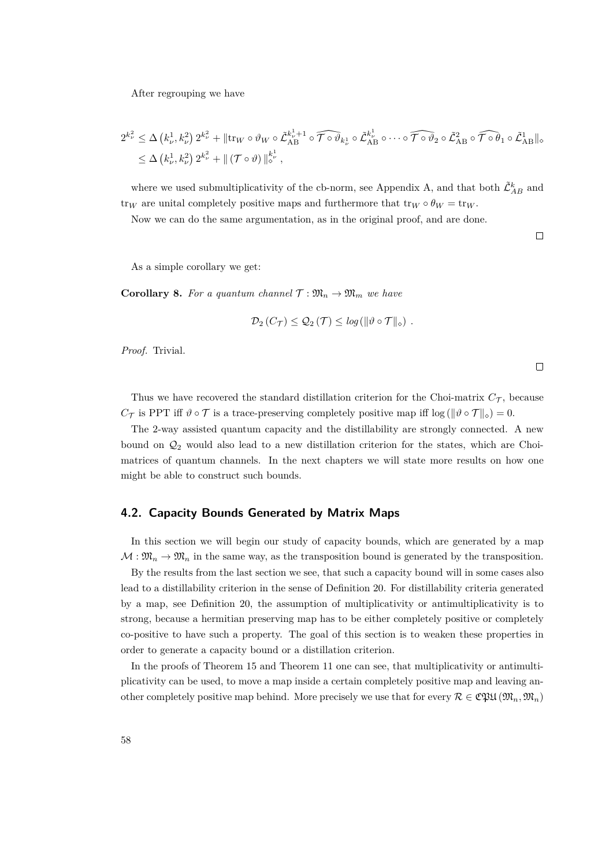After regrouping we have

$$
2^{k_{\nu}^{2}} \leq \Delta \left(k_{\nu}^{1}, k_{\nu}^{2}\right) 2^{k_{\nu}^{2}} + \|\text{tr}_{W} \circ \vartheta_{W} \circ \tilde{\mathcal{L}}_{AB}^{k_{\nu}^{1}+1} \circ \widehat{\mathcal{T} \circ \vartheta}_{k_{\nu}^{1}} \circ \tilde{\mathcal{L}}_{AB}^{k_{\nu}^{1}} \circ \cdots \circ \widehat{\mathcal{T} \circ \vartheta}_{2} \circ \tilde{\mathcal{L}}_{AB}^{2} \circ \widehat{\mathcal{T} \circ \theta}_{1} \circ \tilde{\mathcal{L}}_{AB}^{1}\|_{\diamond}
$$
  

$$
\leq \Delta \left(k_{\nu}^{1}, k_{\nu}^{2}\right) 2^{k_{\nu}^{2}} + \| \left(\mathcal{T} \circ \vartheta\right) \|_{\diamond}^{k_{\nu}^{1}} ,
$$

where we used submultiplicativity of the cb-norm, see Appendix A, and that both  $\tilde{\mathcal{L}}_{AB}^k$  and tr<sub>*W*</sub> are unital completely positive maps and furthermore that  $\text{tr}_W \circ \theta_W = \text{tr}_W$ .

Now we can do the same argumentation, as in the original proof, and are done.

 $\Box$ 

As a simple corollary we get:

**Corollary 8.** For a quantum channel  $\mathcal{T}: \mathfrak{M}_n \to \mathfrak{M}_m$  we have

$$
\mathcal{D}_2(C_{\mathcal{T}}) \leq \mathcal{Q}_2(\mathcal{T}) \leq \log \left( \|\vartheta \circ \mathcal{T}\|_{\diamond} \right) .
$$

*Proof.* Trivial.

Thus we have recovered the standard distillation criterion for the Choi-matrix  $C_{\mathcal{T}}$ , because *C* $\tau$  is PPT iff  $\vartheta \circ \tau$  is a trace-preserving completely positive map iff  $\log (\|\vartheta \circ \tau\|_{\diamond}) = 0$ .

The 2-way assisted quantum capacity and the distillability are strongly connected. A new bound on  $\mathcal{Q}_2$  would also lead to a new distillation criterion for the states, which are Choimatrices of quantum channels. In the next chapters we will state more results on how one might be able to construct such bounds.

## **4.2. Capacity Bounds Generated by Matrix Maps**

In this section we will begin our study of capacity bounds, which are generated by a map  $\mathcal{M} : \mathfrak{M}_n \to \mathfrak{M}_n$  in the same way, as the transposition bound is generated by the transposition.

By the results from the last section we see, that such a capacity bound will in some cases also lead to a distillability criterion in the sense of Definition [20.](#page-46-0) For distillability criteria generated by a map, see Definition [20,](#page-46-0) the assumption of multiplicativity or antimultiplicativity is to strong, because a hermitian preserving map has to be either completely positive or completely co-positive to have such a property. The goal of this section is to weaken these properties in order to generate a capacity bound or a distillation criterion.

In the proofs of Theorem [15](#page-55-0) and Theorem [11](#page-46-1) one can see, that multiplicativity or antimultiplicativity can be used, to move a map inside a certain completely positive map and leaving another completely positive map behind. More precisely we use that for every  $\mathcal{R} \in \mathfrak{C}\mathfrak{P}\mathfrak{U}(\mathfrak{M}_n,\mathfrak{M}_n)$ 

 $\Box$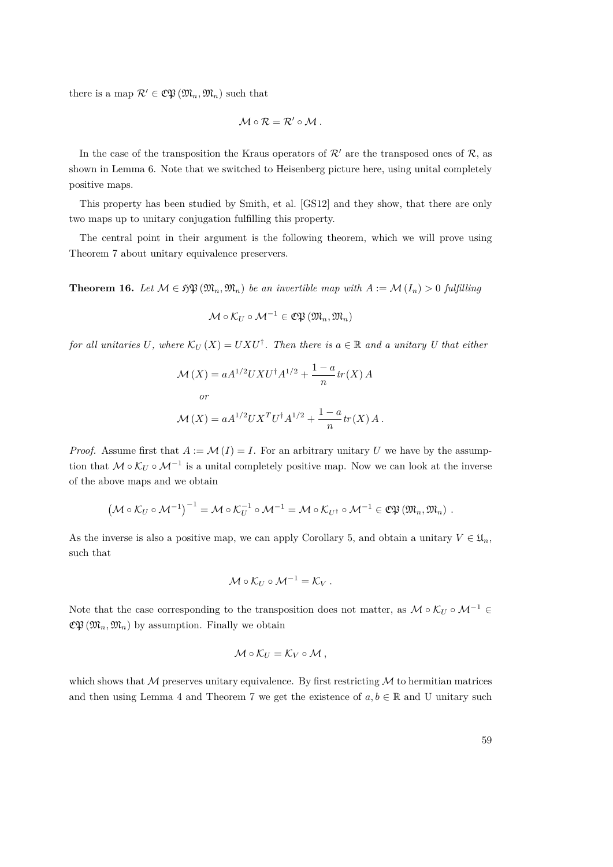there is a map  $\mathcal{R}' \in \mathfrak{C}\mathfrak{P}(\mathfrak{M}_n, \mathfrak{M}_n)$  such that

$$
\mathcal{M}\circ\mathcal{R}=\mathcal{R}'\circ\mathcal{M}.
$$

In the case of the transposition the Kraus operators of  $\mathcal{R}'$  are the transposed ones of  $\mathcal{R}$ , as shown in Lemma [6.](#page-45-0) Note that we switched to Heisenberg picture here, using unital completely positive maps.

This property has been studied by Smith, et al. [\[GS12\]](#page-83-3) and they show, that there are only two maps up to unitary conjugation fulfilling this property.

The central point in their argument is the following theorem, which we will prove using Theorem [7](#page-37-0) about unitary equivalence preservers.

**Theorem 16.** Let  $M \in \mathfrak{HP}(\mathfrak{M}_n, \mathfrak{M}_n)$  be an invertible map with  $A := \mathcal{M}(I_n) > 0$  fulfilling

$$
\mathcal{M}\circ\mathcal{K}_{U}\circ\mathcal{M}^{-1}\in\mathfrak{C}\mathfrak{P}\left(\mathfrak{M}_{n},\mathfrak{M}_{n}\right)
$$

*for all unitaries* U, where  $K_U(X) = UXU^{\dagger}$ . Then there is  $a \in \mathbb{R}$  and a unitary U that either

$$
\mathcal{M}(X) = aA^{1/2}UXU^{\dagger}A^{1/2} + \frac{1-a}{n}tr(X) A
$$
  
*or*  

$$
\mathcal{M}(X) = aA^{1/2}UX^{T}U^{\dagger}A^{1/2} + \frac{1-a}{n}tr(X) A.
$$

*Proof.* Assume first that  $A := \mathcal{M}(I) = I$ . For an arbitrary unitary *U* we have by the assumption that  $\mathcal{M} \circ \mathcal{K}_U \circ \mathcal{M}^{-1}$  is a unital completely positive map. Now we can look at the inverse of the above maps and we obtain

$$
\left(\mathcal{M}\circ\mathcal{K}_U\circ\mathcal{M}^{-1}\right)^{-1}=\mathcal{M}\circ\mathcal{K}_U^{-1}\circ\mathcal{M}^{-1}=\mathcal{M}\circ\mathcal{K}_{U^{\dagger}}\circ\mathcal{M}^{-1}\in\mathfrak{C}\mathfrak{P}\left(\mathfrak{M}_n,\mathfrak{M}_n\right).
$$

As the inverse is also a positive map, we can apply Corollary [5,](#page-32-0) and obtain a unitary  $V \in \mathfrak{U}_n$ , such that

$$
\mathcal{M}\circ\mathcal{K}_U\circ\mathcal{M}^{-1}=\mathcal{K}_V.
$$

Note that the case corresponding to the transposition does not matter, as  $\mathcal{M} \circ \mathcal{K}_U \circ \mathcal{M}^{-1} \in$  $\mathfrak{C}\mathfrak{P}\left(\mathfrak{M}_n,\mathfrak{M}_n\right)$  by assumption. Finally we obtain

$$
\mathcal{M}\circ\mathcal{K}_U=\mathcal{K}_V\circ\mathcal{M},
$$

which shows that  $M$  preserves unitary equivalence. By first restricting  $M$  to hermitian matrices and then using Lemma [4](#page-36-0) and Theorem [7](#page-37-0) we get the existence of  $a, b \in \mathbb{R}$  and U unitary such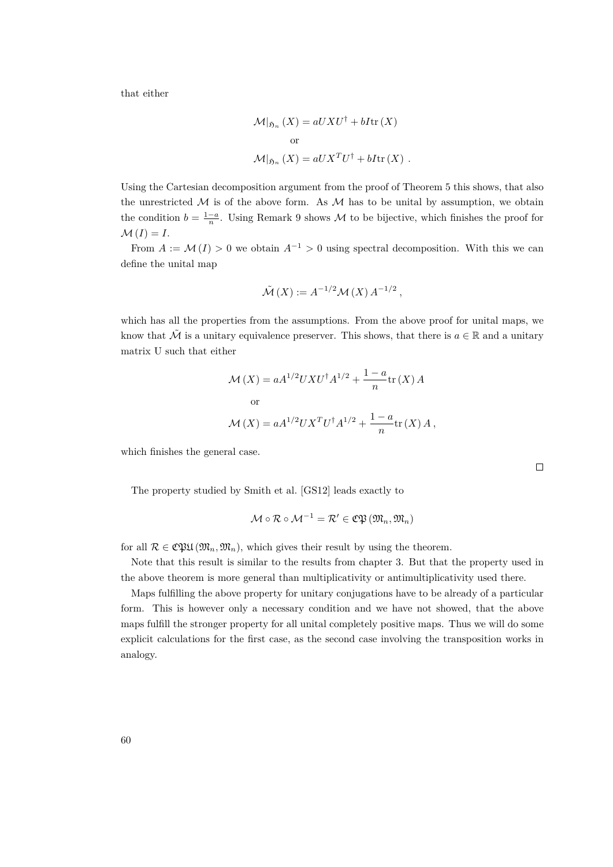that either

$$
\mathcal{M}|_{\mathfrak{H}_n} (X) = aUXU^{\dagger} + bI \text{tr}(X)
$$
  
or  

$$
\mathcal{M}|_{\mathfrak{H}_n} (X) = aUX^TU^{\dagger} + bI \text{tr}(X) .
$$

Using the Cartesian decomposition argument from the proof of Theorem [5](#page-30-0) this shows, that also the unrestricted  $\mathcal M$  is of the above form. As  $\mathcal M$  has to be unital by assumption, we obtain the condition  $b = \frac{1-a}{n}$ . Using Remark [9](#page-39-0) shows M to be bijective, which finishes the proof for  $M(I) = I$ .

From  $A := \mathcal{M}(I) > 0$  we obtain  $A^{-1} > 0$  using spectral decomposition. With this we can define the unital map

$$
\tilde{\mathcal{M}}(X) := A^{-1/2} \mathcal{M}(X) A^{-1/2},
$$

which has all the properties from the assumptions. From the above proof for unital maps, we know that  $\tilde{\mathcal{M}}$  is a unitary equivalence preserver. This shows, that there is  $a \in \mathbb{R}$  and a unitary matrix U such that either

$$
\mathcal{M}(X) = aA^{1/2}UXU^{\dagger}A^{1/2} + \frac{1-a}{n}\text{tr}(X) A
$$
  
or  

$$
\mathcal{M}(X) = aA^{1/2}UX^{T}U^{\dagger}A^{1/2} + \frac{1-a}{n}\text{tr}(X) A,
$$

which finishes the general case.

 $\Box$ 

The property studied by Smith et al. [\[GS12\]](#page-83-3) leads exactly to

$$
\mathcal{M}\circ\mathcal{R}\circ\mathcal{M}^{-1}=\mathcal{R}'\in\mathfrak{C}\mathfrak{P}\left(\mathfrak{M}_n,\mathfrak{M}_n\right)
$$

for all  $\mathcal{R} \in \mathfrak{C}\mathfrak{P}\mathfrak{U}(\mathfrak{M}_n,\mathfrak{M}_n)$ , which gives their result by using the theorem.

Note that this result is similar to the results from chapter 3. But that the property used in the above theorem is more general than multiplicativity or antimultiplicativity used there.

Maps fulfilling the above property for unitary conjugations have to be already of a particular form. This is however only a necessary condition and we have not showed, that the above maps fulfill the stronger property for all unital completely positive maps. Thus we will do some explicit calculations for the first case, as the second case involving the transposition works in analogy.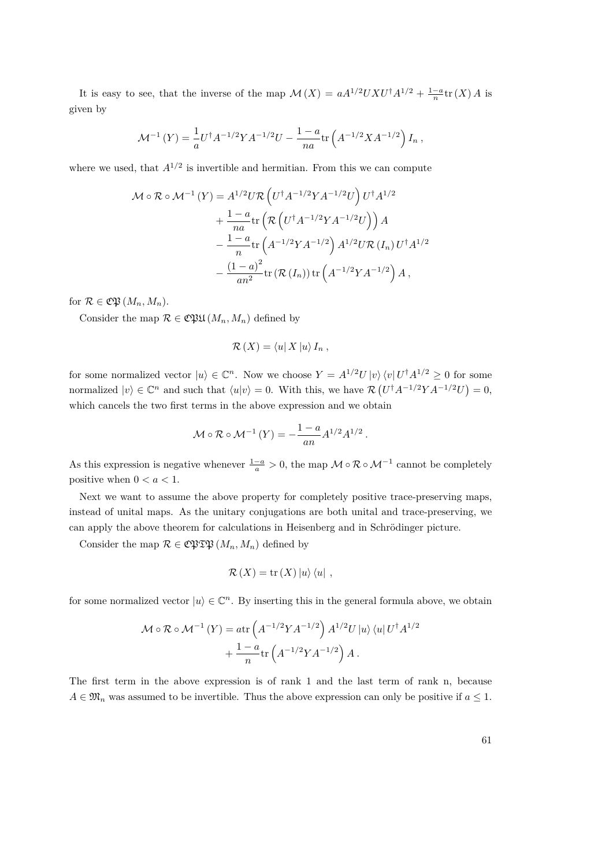It is easy to see, that the inverse of the map  $\mathcal{M}(X) = aA^{1/2}UXU^{\dagger}A^{1/2} + \frac{1-a}{n}tr(X)A$  is given by

$$
\mathcal{M}^{-1}(Y) = \frac{1}{a} U^{\dagger} A^{-1/2} Y A^{-1/2} U - \frac{1-a}{na} \text{tr} \left( A^{-1/2} X A^{-1/2} \right) I_n,
$$

where we used, that  $A^{1/2}$  is invertible and hermitian. From this we can compute

$$
\mathcal{M} \circ \mathcal{R} \circ \mathcal{M}^{-1} (Y) = A^{1/2} U \mathcal{R} \left( U^{\dagger} A^{-1/2} Y A^{-1/2} U \right) U^{\dagger} A^{1/2}
$$
  
+ 
$$
\frac{1 - a}{na} \text{tr} \left( \mathcal{R} \left( U^{\dagger} A^{-1/2} Y A^{-1/2} U \right) \right) A
$$
  
- 
$$
\frac{1 - a}{n} \text{tr} \left( A^{-1/2} Y A^{-1/2} \right) A^{1/2} U \mathcal{R} (I_n) U^{\dagger} A^{1/2}
$$
  
- 
$$
\frac{(1 - a)^2}{an^2} \text{tr} (\mathcal{R} (I_n)) \text{tr} \left( A^{-1/2} Y A^{-1/2} \right) A ,
$$

for  $\mathcal{R} \in \mathfrak{C} \mathfrak{P} (M_n, M_n)$ .

Consider the map  $\mathcal{R} \in \mathfrak{C}\mathfrak{P}\mathfrak{U}(M_n, M_n)$  defined by

$$
\mathcal{R}(X) = \langle u | X | u \rangle I_n,
$$

for some normalized vector  $|u\rangle \in \mathbb{C}^n$ . Now we choose  $Y = A^{1/2}U|v\rangle \langle v|U^{\dagger}A^{1/2} \geq 0$  for some normalized  $|v\rangle \in \mathbb{C}^n$  and such that  $\langle u|v\rangle = 0$ . With this, we have  $\mathcal{R}(U^{\dagger}A^{-1/2}YA^{-1/2}U) = 0$ , which cancels the two first terms in the above expression and we obtain

$$
\mathcal{M} \circ \mathcal{R} \circ \mathcal{M}^{-1} (Y) = -\frac{1-a}{an} A^{1/2} A^{1/2}.
$$

As this expression is negative whenever  $\frac{1-a}{a} > 0$ , the map  $\mathcal{M} \circ \mathcal{R} \circ \mathcal{M}^{-1}$  cannot be completely positive when  $0 < a < 1$ .

Next we want to assume the above property for completely positive trace-preserving maps, instead of unital maps. As the unitary conjugations are both unital and trace-preserving, we can apply the above theorem for calculations in Heisenberg and in Schrödinger picture.

Consider the map  $\mathcal{R} \in \mathfrak{C}\mathfrak{PTB}(M_n, M_n)$  defined by

$$
\mathcal{R}(X) = \text{tr}(X) |u\rangle \langle u|,
$$

for some normalized vector  $|u\rangle \in \mathbb{C}^n$ . By inserting this in the general formula above, we obtain

$$
\mathcal{M} \circ \mathcal{R} \circ \mathcal{M}^{-1} (Y) = \text{atr} \left( A^{-1/2} Y A^{-1/2} \right) A^{1/2} U |u\rangle \langle u| U^{\dagger} A^{1/2} + \frac{1-a}{n} \text{tr} \left( A^{-1/2} Y A^{-1/2} \right) A .
$$

The first term in the above expression is of rank 1 and the last term of rank n, because  $A \in \mathfrak{M}_n$  was assumed to be invertible. Thus the above expression can only be positive if  $a \leq 1$ .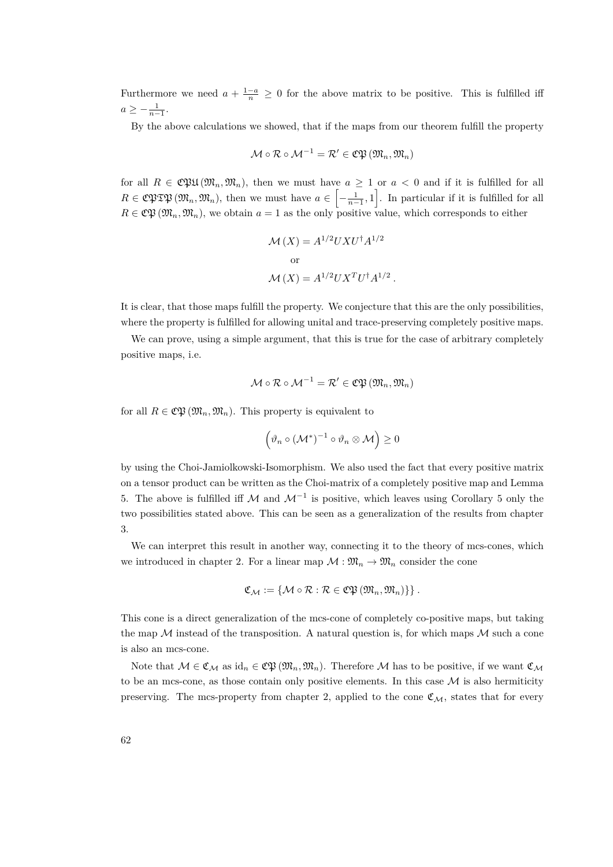Furthermore we need  $a + \frac{1-a}{n} \geq 0$  for the above matrix to be positive. This is fulfilled iff  $a \geq -\frac{1}{n-1}.$ 

By the above calculations we showed, that if the maps from our theorem fulfill the property

$$
\mathcal{M}\circ\mathcal{R}\circ\mathcal{M}^{-1}=\mathcal{R}'\in\mathfrak{C}\mathfrak{P}\left(\mathfrak{M}_n,\mathfrak{M}_n\right)
$$

for all  $R \in \mathfrak{C}\mathfrak{P}\mathfrak{U}(\mathfrak{M}_n, \mathfrak{M}_n)$ , then we must have  $a \geq 1$  or  $a < 0$  and if it is fulfilled for all  $R \in \mathbb{C}$   $\mathfrak{PTP}(\mathfrak{M}_n, \mathfrak{M}_n)$ , then we must have  $a \in \left[-\frac{1}{n-1}, 1\right]$ . In particular if it is fulfilled for all  $R \in \mathfrak{C} \mathfrak{P}(\mathfrak{M}_n, \mathfrak{M}_n)$ , we obtain  $a = 1$  as the only positive value, which corresponds to either

$$
\mathcal{M}(X) = A^{1/2} U X U^{\dagger} A^{1/2}
$$
  
or  

$$
\mathcal{M}(X) = A^{1/2} U X^T U^{\dagger} A^{1/2}.
$$

It is clear, that those maps fulfill the property. We conjecture that this are the only possibilities, where the property is fulfilled for allowing unital and trace-preserving completely positive maps.

We can prove, using a simple argument, that this is true for the case of arbitrary completely positive maps, i.e.

$$
\mathcal{M}\circ\mathcal{R}\circ\mathcal{M}^{-1}=\mathcal{R}'\in\mathfrak{C}\mathfrak{P}\left(\mathfrak{M}_n,\mathfrak{M}_n\right)
$$

for all  $R \in \mathfrak{CP}(\mathfrak{M}_n, \mathfrak{M}_n)$ . This property is equivalent to

$$
\left(\vartheta_n\circ\left(\mathcal{M}^*\right)^{-1}\circ\vartheta_n\otimes\mathcal{M}\right)\geq 0
$$

by using the Choi-Jamiolkowski-Isomorphism. We also used the fact that every positive matrix on a tensor product can be written as the Choi-matrix of a completely positive map and Lemma [5.](#page-40-0) The above is fulfilled iff M and  $\mathcal{M}^{-1}$  is positive, which leaves using Corollary [5](#page-32-0) only the two possibilities stated above. This can be seen as a generalization of the results from chapter 3.

We can interpret this result in another way, connecting it to the theory of mcs-cones, which we introduced in chapter 2. For a linear map  $\mathcal{M} : \mathfrak{M}_n \to \mathfrak{M}_n$  consider the cone

$$
\mathfrak{C}_{\mathcal{M}} := \{ \mathcal{M} \circ \mathcal{R} : \mathcal{R} \in \mathfrak{C} \mathfrak{P} \left( \mathfrak{M}_n, \mathfrak{M}_n \right) \} \}.
$$

This cone is a direct generalization of the mcs-cone of completely co-positive maps, but taking the map  $M$  instead of the transposition. A natural question is, for which maps  $M$  such a cone is also an mcs-cone.

Note that  $M \in \mathfrak{C}_M$  as  $\mathrm{id}_n \in \mathfrak{C} \mathfrak{P}(\mathfrak{M}_n, \mathfrak{M}_n)$ . Therefore M has to be positive, if we want  $\mathfrak{C}_M$ to be an mcs-cone, as those contain only positive elements. In this case  $\mathcal M$  is also hermiticity preserving. The mcs-property from chapter 2, applied to the cone  $\mathfrak{C}_{\mathcal{M}}$ , states that for every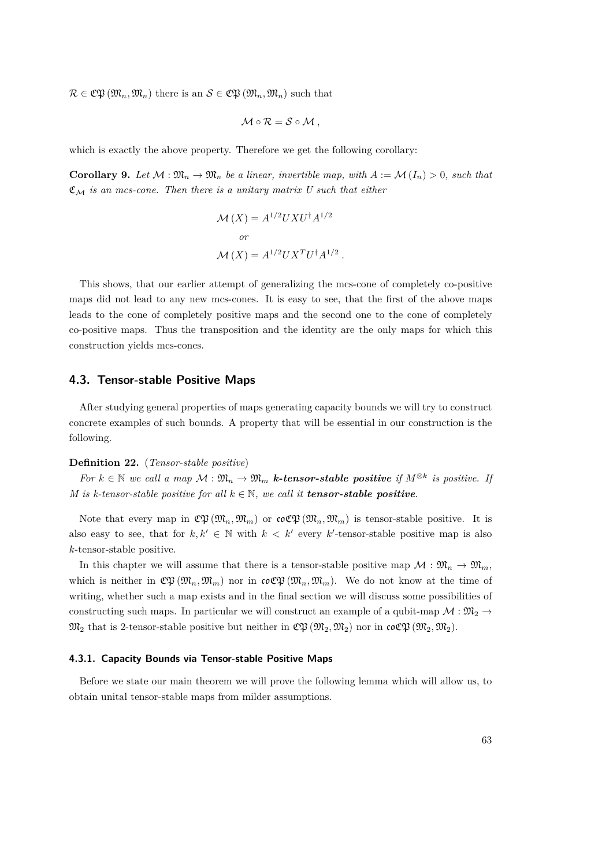$\mathcal{R} \in \mathfrak{C} \mathfrak{P}(\mathfrak{M}_n, \mathfrak{M}_n)$  there is an  $\mathcal{S} \in \mathfrak{C} \mathfrak{P}(\mathfrak{M}_n, \mathfrak{M}_n)$  such that

$$
\mathcal{M}\circ\mathcal{R}=\mathcal{S}\circ\mathcal{M}\ ,
$$

which is exactly the above property. Therefore we get the following corollary:

**Corollary 9.** Let  $\mathcal{M}: \mathfrak{M}_n \to \mathfrak{M}_n$  be a linear, invertible map, with  $A := \mathcal{M}(I_n) > 0$ , such that  $\mathfrak{C}_{\mathcal{M}}$  *is an mcs-cone. Then there is a unitary matrix U such that either* 

$$
\mathcal{M}(X) = A^{1/2}UXU^{\dagger}A^{1/2}
$$
  
or  

$$
\mathcal{M}(X) = A^{1/2}UX^{T}U^{\dagger}A^{1/2}.
$$

This shows, that our earlier attempt of generalizing the mcs-cone of completely co-positive maps did not lead to any new mcs-cones. It is easy to see, that the first of the above maps leads to the cone of completely positive maps and the second one to the cone of completely co-positive maps. Thus the transposition and the identity are the only maps for which this construction yields mcs-cones.

## **4.3. Tensor-stable Positive Maps**

After studying general properties of maps generating capacity bounds we will try to construct concrete examples of such bounds. A property that will be essential in our construction is the following.

#### **Definition 22.** (*Tensor-stable positive*)

*For*  $k \in \mathbb{N}$  *we call a map*  $M : \mathfrak{M}_n \to \mathfrak{M}_m$  *k*-tensor-stable positive if  $M^{\otimes k}$  is positive. If *M* is k-tensor-stable positive for all  $k \in \mathbb{N}$ , we call it **tensor-stable positive**.

Note that every map in  $\mathfrak{C} \mathfrak{P}(\mathfrak{M}_n, \mathfrak{M}_m)$  or  $\mathfrak{co} \mathfrak{C} \mathfrak{P}(\mathfrak{M}_n, \mathfrak{M}_m)$  is tensor-stable positive. It is also easy to see, that for  $k, k' \in \mathbb{N}$  with  $k < k'$  every  $k'$ -tensor-stable positive map is also *k*-tensor-stable positive.

In this chapter we will assume that there is a tensor-stable positive map  $\mathcal{M}: \mathfrak{M}_n \to \mathfrak{M}_m$ , which is neither in  $\mathfrak{C} \mathfrak{P}(\mathfrak{M}_n, \mathfrak{M}_m)$  nor in  $\mathfrak{co} \mathfrak{C} \mathfrak{P}(\mathfrak{M}_n, \mathfrak{M}_m)$ . We do not know at the time of writing, whether such a map exists and in the final section we will discuss some possibilities of constructing such maps. In particular we will construct an example of a qubit-map  $\mathcal{M}: \mathfrak{M}_2 \to$  $\mathfrak{M}_2$  that is 2-tensor-stable positive but neither in  $\mathfrak{C}\mathfrak{P}(\mathfrak{M}_2,\mathfrak{M}_2)$  nor in  $\mathfrak{coC}\mathfrak{P}(\mathfrak{M}_2,\mathfrak{M}_2)$ .

## **4.3.1. Capacity Bounds via Tensor-stable Positive Maps**

Before we state our main theorem we will prove the following lemma which will allow us, to obtain unital tensor-stable maps from milder assumptions.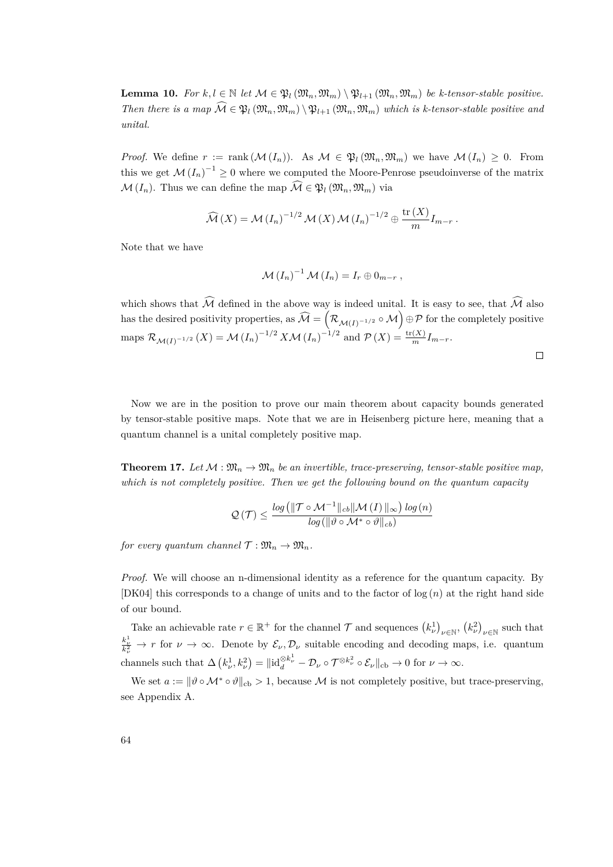<span id="page-63-0"></span>**Lemma 10.** For  $k, l \in \mathbb{N}$  let  $\mathcal{M} \in \mathfrak{P}_l(\mathfrak{M}_n, \mathfrak{M}_m) \setminus \mathfrak{P}_{l+1}(\mathfrak{M}_n, \mathfrak{M}_m)$  be k-tensor-stable positive. *Then there is a map*  $\widehat{M} \in \mathfrak{P}_l(\mathfrak{M}_n, \mathfrak{M}_m) \setminus \mathfrak{P}_{l+1}(\mathfrak{M}_n, \mathfrak{M}_m)$  which is k-tensor-stable positive and *unital.*

*Proof.* We define  $r := \text{rank}(\mathcal{M}(I_n))$ . As  $\mathcal{M} \in \mathfrak{P}_l(\mathfrak{M}_n, \mathfrak{M}_m)$  we have  $\mathcal{M}(I_n) \geq 0$ . From this we get  $\mathcal{M}(I_n)^{-1} \geq 0$  where we computed the Moore-Penrose pseudoinverse of the matrix  $\mathcal{M}(I_n)$ . Thus we can define the map  $\widehat{\mathcal{M}} \in \mathfrak{B}_l(\mathfrak{M}_n,\mathfrak{M}_m)$  via

$$
\widehat{\mathcal{M}}(X) = \mathcal{M}(I_n)^{-1/2} \mathcal{M}(X) \mathcal{M}(I_n)^{-1/2} \oplus \frac{\text{tr}(X)}{m} I_{m-r} .
$$

Note that we have

$$
\mathcal{M}(I_n)^{-1}\,\mathcal{M}(I_n)=I_r\oplus 0_{m-r}\,,
$$

which shows that  $\widehat{\mathcal{M}}$  defined in the above way is indeed unital. It is easy to see, that  $\widehat{\mathcal{M}}$  also has the desired positivity properties, as  $\widehat{\mathcal{M}} = \left(\mathcal{R}_{\mathcal{M}(I)^{-1/2}} \circ \mathcal{M}\right) \oplus \mathcal{P}$  for the completely positive  $\max_{M(I)} \mathcal{R}_{\mathcal{M}(I)^{-1/2}}(X) = \mathcal{M}(I_n)^{-1/2} X \mathcal{M}(I_n)^{-1/2}$  and  $\mathcal{P}(X) = \frac{\text{tr}(X)}{m} I_{m-r}$ .

 $\Box$ 

Now we are in the position to prove our main theorem about capacity bounds generated by tensor-stable positive maps. Note that we are in Heisenberg picture here, meaning that a quantum channel is a unital completely positive map.

**Theorem 17.** Let  $\mathcal{M}: \mathfrak{M}_n \to \mathfrak{M}_n$  be an invertible, trace-preserving, tensor-stable positive map, *which is not completely positive. Then we get the following bound on the quantum capacity*

$$
\mathcal{Q}\left(\mathcal{T}\right) \leq \frac{\log\left(\left\|\mathcal{T}\circ\mathcal{M}^{-1}\|_{cb}\|\mathcal{M}\left(I\right)\|_{\infty}\right)\log\left(n\right)}{\log\left(\left\|\vartheta\circ\mathcal{M}^{*}\circ\vartheta\right\|_{cb}\right)}
$$

*for every quantum channel*  $\mathcal{T}: \mathfrak{M}_n \to \mathfrak{M}_n$ *.* 

*Proof.* We will choose an n-dimensional identity as a reference for the quantum capacity. By [\[DK04\]](#page-83-4) this corresponds to a change of units and to the factor of log (*n*) at the right hand side of our bound.

Take an achievable rate  $r \in \mathbb{R}^+$  for the channel  $\mathcal{T}$  and sequences  $(k_\nu^1)_{\nu \in \mathbb{N}}$ ,  $(k_\nu^2)_{\nu \in \mathbb{N}}$  such that  $\frac{k_{\nu}^{1}}{k_{\nu}^{2}} \to r$  for  $\nu \to \infty$ . Denote by  $\mathcal{E}_{\nu}, \mathcal{D}_{\nu}$  suitable encoding and decoding maps, i.e. quantum channels such that  $\Delta \left( k_{\nu}^1, k_{\nu}^2 \right) = ||id_d^{\otimes k_{\nu}^1} - \mathcal{D}_{\nu} \circ \mathcal{T}^{\otimes k_{\nu}^2} \circ \mathcal{E}_{\nu}||_{cb} \to 0$  for  $\nu \to \infty$ .

We set  $a := ||\vartheta \circ \mathcal{M}^* \circ \vartheta||_{cb} > 1$ , because M is not completely positive, but trace-preserving, see Appendix A.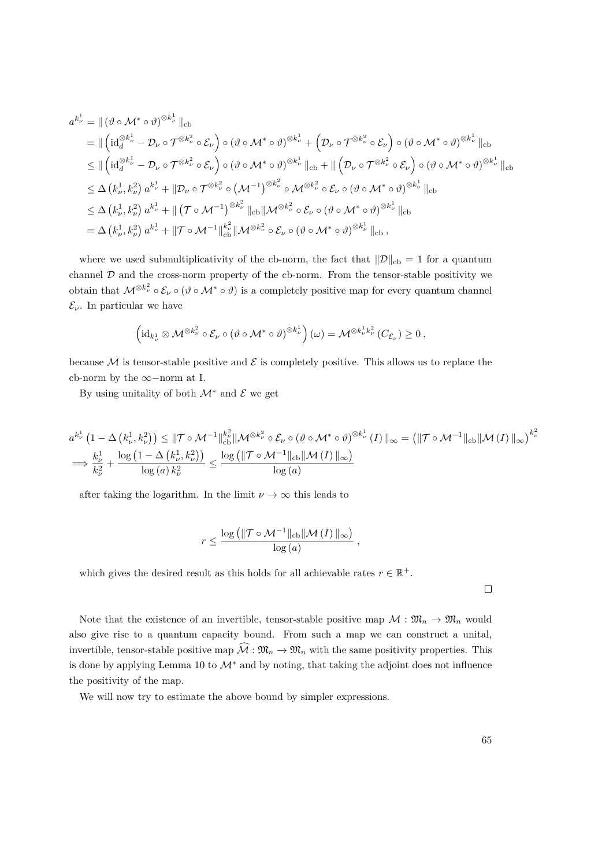$$
a^{k_{\nu}^{1}} = \| (\vartheta \circ M^{*} \circ \vartheta)^{\otimes k_{\nu}^{1}} \|_{cb}
$$
  
\n
$$
= \| (id_{d}^{\otimes k_{\nu}^{1}} - \mathcal{D}_{\nu} \circ \mathcal{T}^{\otimes k_{\nu}^{2}} \circ \mathcal{E}_{\nu}) \circ (\vartheta \circ M^{*} \circ \vartheta)^{\otimes k_{\nu}^{1}} + (\mathcal{D}_{\nu} \circ \mathcal{T}^{\otimes k_{\nu}^{2}} \circ \mathcal{E}_{\nu}) \circ (\vartheta \circ M^{*} \circ \vartheta)^{\otimes k_{\nu}^{1}} \|_{cb}
$$
  
\n
$$
\leq \| (id_{d}^{\otimes k_{\nu}^{1}} - \mathcal{D}_{\nu} \circ \mathcal{T}^{\otimes k_{\nu}^{2}} \circ \mathcal{E}_{\nu}) \circ (\vartheta \circ M^{*} \circ \vartheta)^{\otimes k_{\nu}^{1}} \|_{cb} + \| (\mathcal{D}_{\nu} \circ \mathcal{T}^{\otimes k_{\nu}^{2}} \circ \mathcal{E}_{\nu}) \circ (\vartheta \circ M^{*} \circ \vartheta)^{\otimes k_{\nu}^{1}} \|_{cb}
$$
  
\n
$$
\leq \Delta (k_{\nu}^{1}, k_{\nu}^{2}) a^{k_{\nu}^{1}} + \| \mathcal{D}_{\nu} \circ \mathcal{T}^{\otimes k_{\nu}^{2}} \circ (\mathcal{M}^{-1})^{\otimes k_{\nu}^{2}} \circ \mathcal{M}^{\otimes k_{\nu}^{2}} \circ \mathcal{E}_{\nu} \circ (\vartheta \circ M^{*} \circ \vartheta)^{\otimes k_{\nu}^{1}} \|_{cb}
$$
  
\n
$$
\leq \Delta (k_{\nu}^{1}, k_{\nu}^{2}) a^{k_{\nu}^{1}} + \| (\mathcal{T} \circ \mathcal{M}^{-1})^{\otimes k_{\nu}^{2}} \|_{cb} \| \mathcal{M}^{\otimes k_{\nu}^{2}} \circ \mathcal{E}_{\nu} \circ (\vartheta \circ M^{*} \circ \vartheta)^{\otimes k_{\nu}^{1}} \|_{cb}
$$
  
\n
$$
= \Delta (k_{\nu}^{1}, k_{\nu}^{2}) a^{k_{\nu}^{1}} + \| \mathcal{T} \circ \mathcal{M}^{-1} \|_{cb}^{k_{\nu}^{2}} \| \math
$$

where we used submultiplicativity of the cb-norm, the fact that  $\|\mathcal{D}\|_{cb} = 1$  for a quantum channel  $D$  and the cross-norm property of the cb-norm. From the tensor-stable positivity we obtain that  $M^{\otimes k^2_\nu} \circ \mathcal{E}_\nu \circ (\vartheta \circ M^* \circ \vartheta)$  is a completely positive map for every quantum channel  $\mathcal{E}_{\nu}$ . In particular we have

$$
\left(\mathrm{id}_{k^1_\nu}\otimes \mathcal{M}^{\otimes k^2_\nu}\circ \mathcal{E}_\nu\circ (\vartheta\circ \mathcal{M}^*\circ \vartheta)^{\otimes k^1_\nu}\right)(\omega)=\mathcal{M}^{\otimes k^1_\nu k^2_\nu}(C_{\mathcal{E}_\nu})\geq 0\,,
$$

because  $\mathcal M$  is tensor-stable positive and  $\mathcal E$  is completely positive. This allows us to replace the cb-norm by the ∞−norm at I.

By using unitality of both  $\mathcal{M}^*$  and  $\mathcal E$  we get

$$
a^{k_{\nu}^{1}}\left(1-\Delta\left(k_{\nu}^{1},k_{\nu}^{2}\right)\right) \leq \|\mathcal{T}\circ\mathcal{M}^{-1}\|_{cb}^{k_{\nu}^{2}}\|\mathcal{M}^{\otimes k_{\nu}^{2}} \circ \mathcal{E}_{\nu} \circ \left(\vartheta \circ \mathcal{M}^{*} \circ \vartheta\right)^{\otimes k_{\nu}^{1}}(I)\|_{\infty} = \left(\|\mathcal{T}\circ\mathcal{M}^{-1}\|_{cb}\|\mathcal{M}(I)\|_{\infty}\right)^{k_{\nu}^{2}}
$$

$$
\implies \frac{k_{\nu}^{1}}{k_{\nu}^{2}} + \frac{\log\left(1-\Delta\left(k_{\nu}^{1},k_{\nu}^{2}\right)\right)}{\log\left(a\right)k_{\nu}^{2}} \leq \frac{\log\left(\|\mathcal{T}\circ\mathcal{M}^{-1}\|_{cb}\|\mathcal{M}(I)\|_{\infty}\right)}{\log\left(a\right)}
$$

*,*

after taking the logarithm. In the limit  $\nu \to \infty$  this leads to

$$
r \le \frac{\log \left( \| \mathcal{T} \circ \mathcal{M}^{-1} \|_{\text{cb}} \| \mathcal{M} \left( I \right) \|_{\infty} \right)}{\log \left( a \right)}
$$

which gives the desired result as this holds for all achievable rates  $r \in \mathbb{R}^+$ .

Note that the existence of an invertible, tensor-stable positive map  $\mathcal{M}: \mathfrak{M}_n \to \mathfrak{M}_n$  would also give rise to a quantum capacity bound. From such a map we can construct a unital, invertible, tensor-stable positive map  $\widehat{\mathcal{M}} : \mathfrak{M}_n \to \mathfrak{M}_n$  with the same positivity properties. This is done by applying Lemma [10](#page-63-0) to M<sup>∗</sup> and by noting, that taking the adjoint does not influence the positivity of the map.

We will now try to estimate the above bound by simpler expressions.

 $\Box$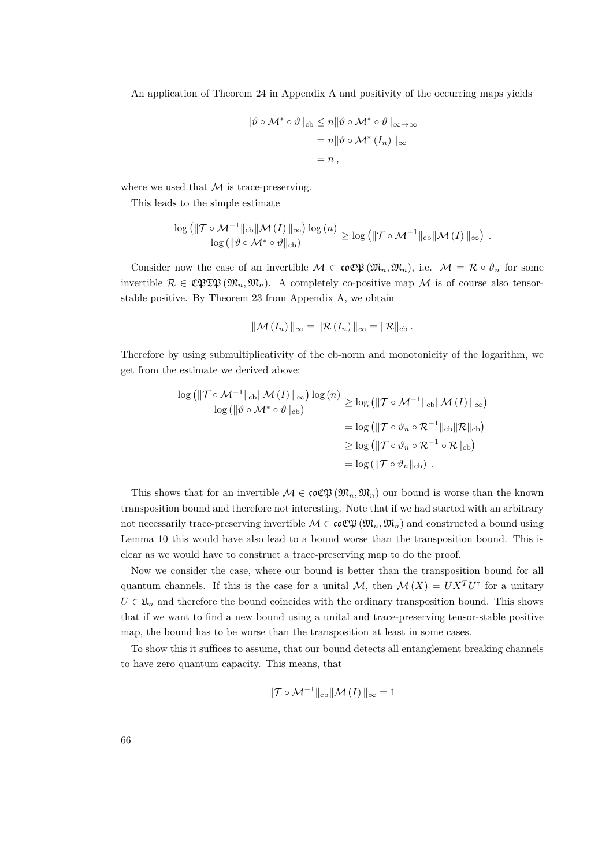An application of Theorem [24](#page-77-0) in Appendix A and positivity of the occurring maps yields

$$
\begin{aligned} \|\vartheta \circ \mathcal{M}^* \circ \vartheta\|_{\text{cb}} &\leq n \|\vartheta \circ \mathcal{M}^* \circ \vartheta\|_{\infty \to \infty} \\ &= n \|\vartheta \circ \mathcal{M}^* \left(I_n\right)\|_{\infty} \\ &= n \,, \end{aligned}
$$

where we used that  $\mathcal M$  is trace-preserving.

This leads to the simple estimate

$$
\frac{\log \left( \|\mathcal{T} \circ \mathcal{M}^{-1}\|_{\mathrm{cb}} \|\mathcal{M}\left(I\right)\|_{\infty}\right) \log\left(n\right)}{\log \left( \|\vartheta \circ \mathcal{M}^* \circ \vartheta\|_{\mathrm{cb}} \right)} \geq \log \left( \|\mathcal{T} \circ \mathcal{M}^{-1}\|_{\mathrm{cb}} \|\mathcal{M}\left(I\right)\|_{\infty}\right) .
$$

Consider now the case of an invertible  $M \in \mathfrak{coCP}(\mathfrak{M}_n,\mathfrak{M}_n)$ , i.e.  $M = \mathcal{R} \circ \vartheta_n$  for some invertible  $\mathcal{R} \in \mathfrak{C}\mathfrak{PTB}(\mathfrak{M}_n, \mathfrak{M}_n)$ . A completely co-positive map M is of course also tensorstable positive. By Theorem [23](#page-77-1) from Appendix A, we obtain

$$
\|\mathcal{M}(I_n)\|_{\infty} = \|\mathcal{R}(I_n)\|_{\infty} = \|\mathcal{R}\|_{\mathrm{cb}}.
$$

Therefore by using submultiplicativity of the cb-norm and monotonicity of the logarithm, we get from the estimate we derived above:

$$
\frac{\log (\|\mathcal{T} \circ \mathcal{M}^{-1}\|_{\mathrm{cb}} \|\mathcal{M}(I)\|_{\infty}) \log (n)}{\log (\|\vartheta \circ \mathcal{M}^* \circ \vartheta\|_{\mathrm{cb}})} \ge \log (\|\mathcal{T} \circ \mathcal{M}^{-1}\|_{\mathrm{cb}} \|\mathcal{M}(I)\|_{\infty})
$$
  
=  $\log (\|\mathcal{T} \circ \vartheta_n \circ \mathcal{R}^{-1}\|_{\mathrm{cb}} \|\mathcal{R}\|_{\mathrm{cb}})$   
 $\ge \log (\|\mathcal{T} \circ \vartheta_n \circ \mathcal{R}^{-1} \circ \mathcal{R}\|_{\mathrm{cb}})$   
=  $\log (\|\mathcal{T} \circ \vartheta_n\|_{\mathrm{cb}}).$ 

This shows that for an invertible  $\mathcal{M} \in \mathfrak{coC}(\mathfrak{M}_n, \mathfrak{M}_n)$  our bound is worse than the known transposition bound and therefore not interesting. Note that if we had started with an arbitrary not necessarily trace-preserving invertible  $\mathcal{M} \in \mathfrak{coC} \mathfrak{P}(\mathfrak{M}_n, \mathfrak{M}_n)$  and constructed a bound using Lemma [10](#page-63-0) this would have also lead to a bound worse than the transposition bound. This is clear as we would have to construct a trace-preserving map to do the proof.

Now we consider the case, where our bound is better than the transposition bound for all quantum channels. If this is the case for a unital  $\mathcal{M}$ , then  $\mathcal{M}(X) = U X^T U^{\dagger}$  for a unitary  $U \in \mathfrak{U}_n$  and therefore the bound coincides with the ordinary transposition bound. This shows that if we want to find a new bound using a unital and trace-preserving tensor-stable positive map, the bound has to be worse than the transposition at least in some cases.

To show this it suffices to assume, that our bound detects all entanglement breaking channels to have zero quantum capacity. This means, that

$$
\|\mathcal{T} \circ \mathcal{M}^{-1}\|_{\mathrm{cb}} \|\mathcal{M}(I)\|_{\infty} = 1
$$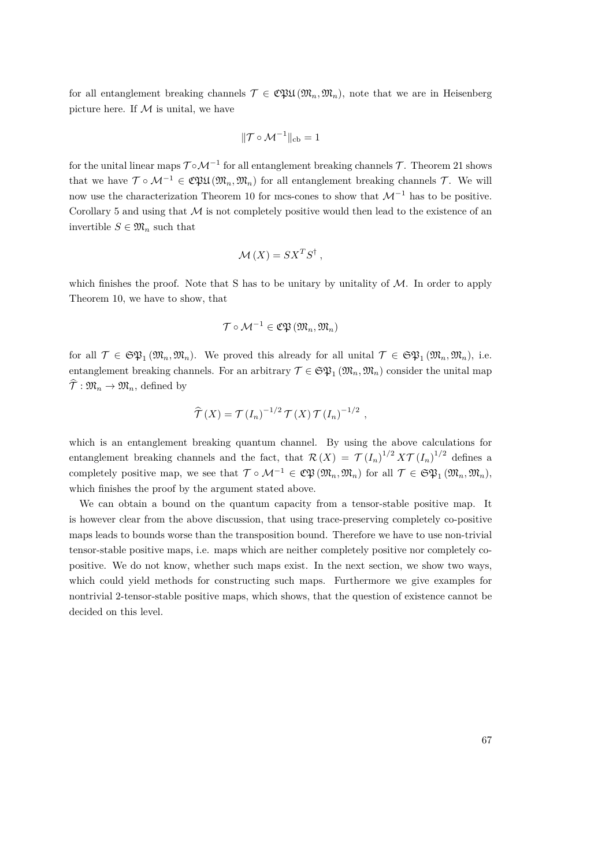for all entanglement breaking channels  $\mathcal{T} \in \mathfrak{C}\mathfrak{P}\mathfrak{U}(\mathfrak{M}_n, \mathfrak{M}_n)$ , note that we are in Heisenberg picture here. If  $M$  is unital, we have

$$
\|\mathcal{T}\circ\mathcal{M}^{-1}\|_{cb}=1
$$

for the unital linear maps  $\mathcal{T} \circ \mathcal{M}^{-1}$  for all entanglement breaking channels  $\mathcal{T}$ . Theorem [21](#page-75-0) shows that we have  $\mathcal{T} \circ \mathcal{M}^{-1} \in \mathfrak{C}\mathfrak{P}\mathfrak{U}(\mathfrak{M}_n, \mathfrak{M}_n)$  for all entanglement breaking channels  $\mathcal{T}$ . We will now use the characterization Theorem [10](#page-43-1) for mcs-cones to show that  $\mathcal{M}^{-1}$  has to be positive. Corollary [5](#page-32-0) and using that  $M$  is not completely positive would then lead to the existence of an invertible  $S \in \mathfrak{M}_n$  such that

$$
\mathcal{M}(X) = S X^T S^{\dagger} ,
$$

which finishes the proof. Note that S has to be unitary by unitality of  $M$ . In order to apply Theorem [10,](#page-43-1) we have to show, that

$$
\mathcal{T}\circ\mathcal{M}^{-1}\in\mathfrak{C}\mathfrak{P}\left(\mathfrak{M}_n,\mathfrak{M}_n\right)
$$

for all  $\mathcal{T} \in \mathfrak{SP}_1(\mathfrak{M}_n, \mathfrak{M}_n)$ . We proved this already for all unital  $\mathcal{T} \in \mathfrak{SP}_1(\mathfrak{M}_n, \mathfrak{M}_n)$ , i.e. entanglement breaking channels. For an arbitrary  $\mathcal{T} \in \mathfrak{SP}_1(\mathfrak{M}_n, \mathfrak{M}_n)$  consider the unital map  $\widehat{\mathcal{T}} : \mathfrak{M}_n \to \mathfrak{M}_n$ , defined by

$$
\widehat{\mathcal{T}}(X) = \mathcal{T}(I_n)^{-1/2} \mathcal{T}(X) \mathcal{T}(I_n)^{-1/2} ,
$$

which is an entanglement breaking quantum channel. By using the above calculations for entanglement breaking channels and the fact, that  $\mathcal{R}(X) = \mathcal{T}(I_n)^{1/2} X \mathcal{T}(I_n)^{1/2}$  defines a completely positive map, we see that  $\mathcal{T} \circ \mathcal{M}^{-1} \in \mathfrak{C} \mathfrak{P}(\mathfrak{M}_n, \mathfrak{M}_n)$  for all  $\mathcal{T} \in \mathfrak{S} \mathfrak{P}_1(\mathfrak{M}_n, \mathfrak{M}_n)$ , which finishes the proof by the argument stated above.

We can obtain a bound on the quantum capacity from a tensor-stable positive map. It is however clear from the above discussion, that using trace-preserving completely co-positive maps leads to bounds worse than the transposition bound. Therefore we have to use non-trivial tensor-stable positive maps, i.e. maps which are neither completely positive nor completely copositive. We do not know, whether such maps exist. In the next section, we show two ways, which could yield methods for constructing such maps. Furthermore we give examples for nontrivial 2-tensor-stable positive maps, which shows, that the question of existence cannot be decided on this level.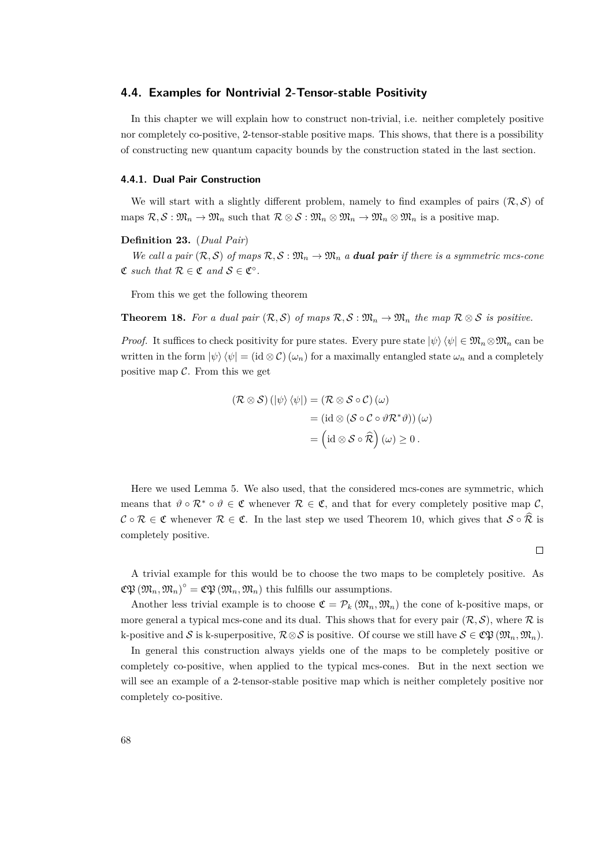## **4.4. Examples for Nontrivial 2-Tensor-stable Positivity**

In this chapter we will explain how to construct non-trivial, i.e. neither completely positive nor completely co-positive, 2-tensor-stable positive maps. This shows, that there is a possibility of constructing new quantum capacity bounds by the construction stated in the last section.

#### **4.4.1. Dual Pair Construction**

We will start with a slightly different problem, namely to find examples of pairs  $(\mathcal{R}, \mathcal{S})$  of maps  $\mathcal{R}, \mathcal{S}: \mathfrak{M}_n \to \mathfrak{M}_n$  such that  $\mathcal{R} \otimes \mathcal{S}: \mathfrak{M}_n \otimes \mathfrak{M}_n \to \mathfrak{M}_n \otimes \mathfrak{M}_n$  is a positive map.

#### **Definition 23.** (*Dual Pair*)

*We call a pair*  $(\mathcal{R}, \mathcal{S})$  *of maps*  $\mathcal{R}, \mathcal{S} : \mathfrak{M}_n \to \mathfrak{M}_n$  *a dual pair if there is a symmetric mcs-cone*  $\mathfrak{C}$  *such that*  $\mathcal{R} \in \mathfrak{C}$  *and*  $\mathcal{S} \in \mathfrak{C}^{\circ}$ *.* 

From this we get the following theorem

**Theorem 18.** For a dual pair  $(\mathcal{R}, \mathcal{S})$  of maps  $\mathcal{R}, \mathcal{S} : \mathfrak{M}_n \to \mathfrak{M}_n$  the map  $\mathcal{R} \otimes \mathcal{S}$  is positive.

*Proof.* It suffices to check positivity for pure states. Every pure state  $|\psi\rangle \langle \psi| \in \mathfrak{M}_n \otimes \mathfrak{M}_n$  can be written in the form  $|\psi\rangle \langle \psi| = (\text{id} \otimes C)(\omega_n)$  for a maximally entangled state  $\omega_n$  and a completely positive map  $C$ . From this we get

$$
(\mathcal{R} \otimes \mathcal{S}) (\ket{\psi} \bra{\psi}) = (\mathcal{R} \otimes \mathcal{S} \circ \mathcal{C}) (\omega)
$$
  
=  $(\mathrm{id} \otimes (\mathcal{S} \circ \mathcal{C} \circ \vartheta \mathcal{R}^* \vartheta)) (\omega)$   
=  $(\mathrm{id} \otimes \mathcal{S} \circ \widehat{\mathcal{R}}) (\omega) \geq 0.$ 

Here we used Lemma [5.](#page-40-0) We also used, that the considered mcs-cones are symmetric, which means that  $\vartheta \circ \mathcal{R}^* \circ \vartheta \in \mathfrak{C}$  whenever  $\mathcal{R} \in \mathfrak{C}$ , and that for every completely positive map  $\mathcal{C}$ ,  $\mathcal{C} \circ \mathcal{R} \in \mathfrak{C}$  whenever  $\mathcal{R} \in \mathfrak{C}$ . In the last step we used Theorem [10,](#page-43-1) which gives that  $\mathcal{S} \circ \widehat{\mathcal{R}}$  is completely positive.

 $\Box$ 

A trivial example for this would be to choose the two maps to be completely positive. As  $\mathfrak{C}\mathfrak{P}\left(\mathfrak{M}_n,\mathfrak{M}_n\right)^\circ = \mathfrak{C}\mathfrak{P}\left(\mathfrak{M}_n,\mathfrak{M}_n\right)$  this fulfills our assumptions.

Another less trivial example is to choose  $\mathfrak{C} = \mathcal{P}_k(\mathfrak{M}_n, \mathfrak{M}_n)$  the cone of k-positive maps, or more general a typical mcs-cone and its dual. This shows that for every pair  $(\mathcal{R}, \mathcal{S})$ , where  $\mathcal R$  is k-positive and S is k-superpositive,  $\mathcal{R}\otimes\mathcal{S}$  is positive. Of course we still have  $\mathcal{S}\in\mathfrak{C}\mathfrak{P}\left(\mathfrak{M}_n,\mathfrak{M}_n\right)$ .

In general this construction always yields one of the maps to be completely positive or completely co-positive, when applied to the typical mcs-cones. But in the next section we will see an example of a 2-tensor-stable positive map which is neither completely positive nor completely co-positive.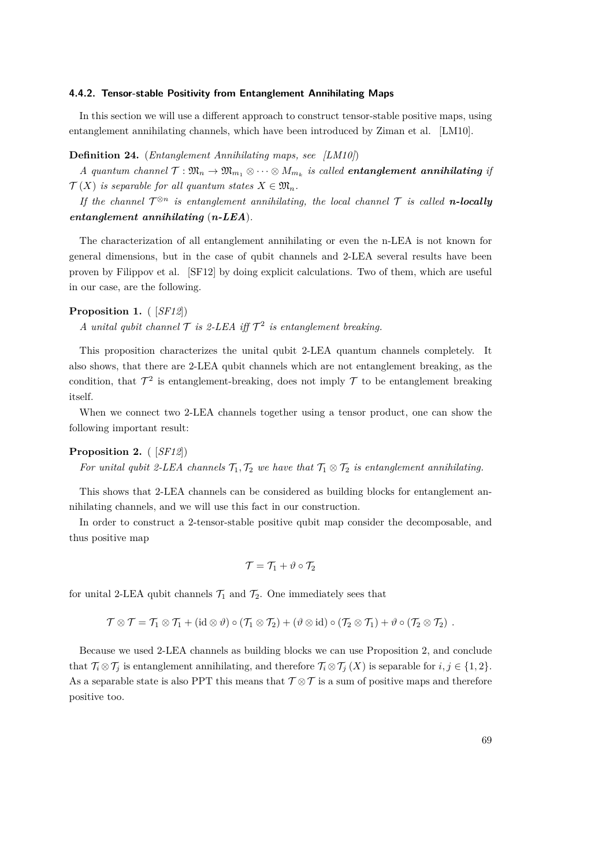#### **4.4.2. Tensor-stable Positivity from Entanglement Annihilating Maps**

In this section we will use a different approach to construct tensor-stable positive maps, using entanglement annihilating channels, which have been introduced by Ziman et al. [\[LM10\]](#page-83-5).

#### **Definition 24.** (*Entanglement Annihilating maps, see [\[LM10\]](#page-83-5)*)

*A* quantum channel  $\mathcal{T}: \mathfrak{M}_n \to \mathfrak{M}_{m_1} \otimes \cdots \otimes M_{m_k}$  is called **entanglement annihilating** if  $\mathcal{T}(X)$  *is separable for all quantum states*  $X \in \mathfrak{M}_n$ .

*If the channel*  $\mathcal{T}^{\otimes n}$  *is entanglement annihilating, the local channel*  $\mathcal{T}$  *is called n***-locally** *entanglement annihilating* (*n-LEA*)*.*

The characterization of all entanglement annihilating or even the n-LEA is not known for general dimensions, but in the case of qubit channels and 2-LEA several results have been proven by Filippov et al. [\[SF12\]](#page-84-8) by doing explicit calculations. Two of them, which are useful in our case, are the following.

#### **Proposition 1.** ( [*[SF12](#page-84-8)*])

*A* unital qubit channel  $\mathcal T$  is 2-LEA iff  $\mathcal T^2$  is entanglement breaking.

This proposition characterizes the unital qubit 2-LEA quantum channels completely. It also shows, that there are 2-LEA qubit channels which are not entanglement breaking, as the condition, that  $\mathcal{T}^2$  is entanglement-breaking, does not imply  $\mathcal T$  to be entanglement breaking itself.

When we connect two 2-LEA channels together using a tensor product, one can show the following important result:

#### **Proposition 2.** ( [*[SF12](#page-84-8)*])

*For unital qubit 2-LEA channels*  $\mathcal{T}_1, \mathcal{T}_2$  *we have that*  $\mathcal{T}_1 \otimes \mathcal{T}_2$  *is entanglement annihilating.* 

This shows that 2-LEA channels can be considered as building blocks for entanglement annihilating channels, and we will use this fact in our construction.

In order to construct a 2-tensor-stable positive qubit map consider the decomposable, and thus positive map

$$
\mathcal{T}=\mathcal{T}_1+\vartheta\circ\mathcal{T}_2
$$

for unital 2-LEA qubit channels  $\mathcal{T}_1$  and  $\mathcal{T}_2$ . One immediately sees that

$$
\mathcal{T} \otimes \mathcal{T} = \mathcal{T}_1 \otimes \mathcal{T}_1 + (\mathrm{id} \otimes \vartheta) \circ (\mathcal{T}_1 \otimes \mathcal{T}_2) + (\vartheta \otimes \mathrm{id}) \circ (\mathcal{T}_2 \otimes \mathcal{T}_1) + \vartheta \circ (\mathcal{T}_2 \otimes \mathcal{T}_2) .
$$

Because we used 2-LEA channels as building blocks we can use Proposition 2, and conclude that  $\mathcal{T}_i \otimes \mathcal{T}_j$  is entanglement annihilating, and therefore  $\mathcal{T}_i \otimes \mathcal{T}_j(X)$  is separable for  $i, j \in \{1, 2\}$ . As a separable state is also PPT this means that  $\mathcal{T} \otimes \mathcal{T}$  is a sum of positive maps and therefore positive too.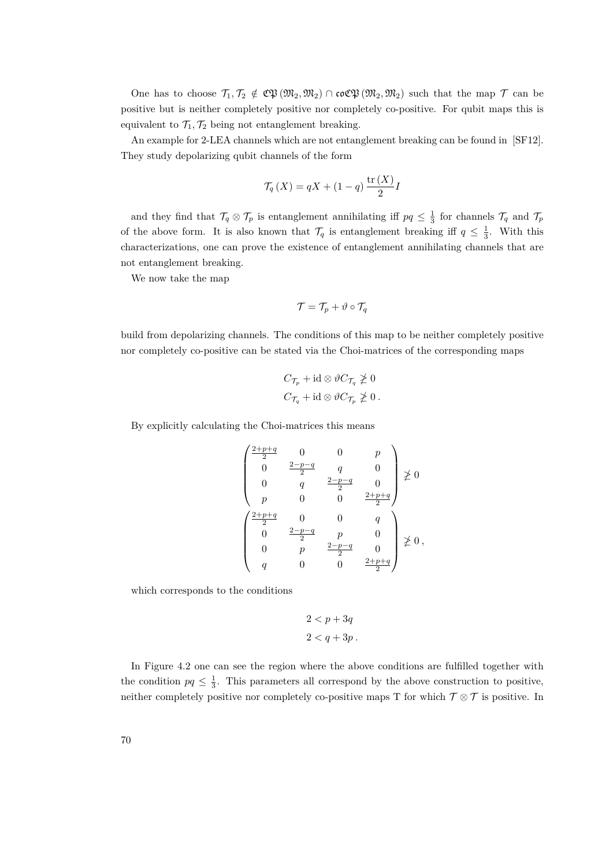One has to choose  $\mathcal{T}_1, \mathcal{T}_2 \notin \mathfrak{CP}(\mathfrak{M}_2, \mathfrak{M}_2) \cap \mathfrak{coCP}(\mathfrak{M}_2, \mathfrak{M}_2)$  such that the map  $\mathcal{T}$  can be positive but is neither completely positive nor completely co-positive. For qubit maps this is equivalent to  $\mathcal{T}_1, \mathcal{T}_2$  being not entanglement breaking.

An example for 2-LEA channels which are not entanglement breaking can be found in [\[SF12\]](#page-84-8). They study depolarizing qubit channels of the form

$$
\mathcal{T}_q(X) = qX + (1 - q) \frac{\text{tr}(X)}{2}I
$$

and they find that  $\mathcal{T}_q \otimes \mathcal{T}_p$  is entanglement annihilating iff  $pq \leq \frac{1}{3}$  for channels  $\mathcal{T}_q$  and  $\mathcal{T}_p$ of the above form. It is also known that  $\mathcal{T}_q$  is entanglement breaking iff  $q \leq \frac{1}{3}$ . With this characterizations, one can prove the existence of entanglement annihilating channels that are not entanglement breaking.

We now take the map

$$
\mathcal{T} = \mathcal{T}_p + \vartheta \circ \mathcal{T}_q
$$

build from depolarizing channels. The conditions of this map to be neither completely positive nor completely co-positive can be stated via the Choi-matrices of the corresponding maps

$$
C_{\mathcal{T}_p} + \mathrm{id} \otimes \vartheta C_{\mathcal{T}_q} \ngeq 0
$$
  

$$
C_{\mathcal{T}_q} + \mathrm{id} \otimes \vartheta C_{\mathcal{T}_p} \ngeq 0.
$$

By explicitly calculating the Choi-matrices this means

$$
\begin{pmatrix}\n\frac{2+p+q}{2} & 0 & 0 & p \\
0 & \frac{2-p-q}{2} & q & 0 \\
0 & q & \frac{2-p-q}{2} & 0 \\
p & 0 & 0 & \frac{2+p+q}{2}\n\end{pmatrix} \not\geq 0
$$
\n
$$
\begin{pmatrix}\n\frac{2+p+q}{2} & 0 & 0 & q \\
0 & \frac{2-p-q}{2} & p & 0 \\
0 & p & \frac{2-p-q}{2} & 0 \\
q & 0 & 0 & \frac{2+p+q}{2}\n\end{pmatrix} \not\geq 0,
$$

which corresponds to the conditions

$$
2 < p + 3q
$$
\n
$$
2 < q + 3p
$$

In Figure [4.2](#page-70-0) one can see the region where the above conditions are fulfilled together with the condition  $pq \leq \frac{1}{3}$ . This parameters all correspond by the above construction to positive, neither completely positive nor completely co-positive maps T for which  $\mathcal{T} \otimes \mathcal{T}$  is positive. In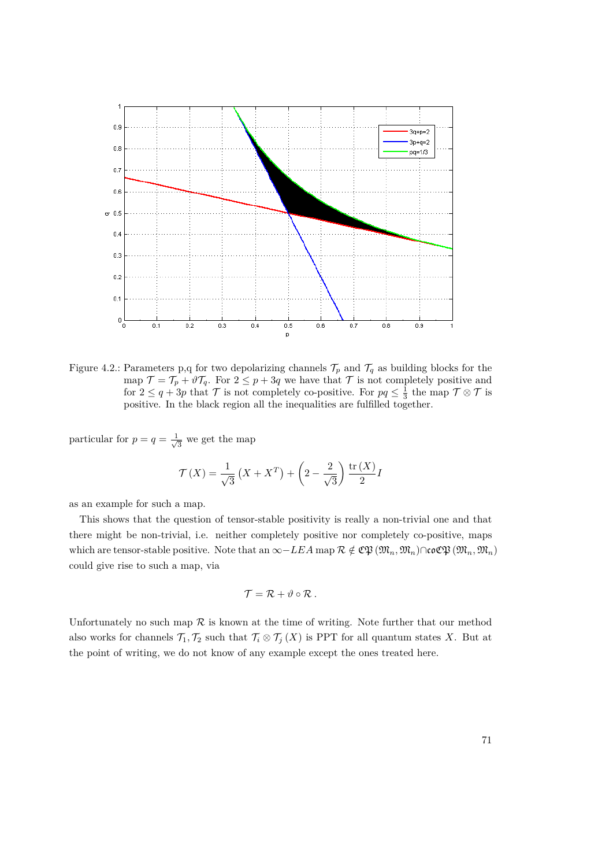

<span id="page-70-0"></span>Figure 4.2.: Parameters p,q for two depolarizing channels  $\mathcal{T}_p$  and  $\mathcal{T}_q$  as building blocks for the map  $\mathcal{T} = \mathcal{T}_p + \vartheta \mathcal{T}_q$ . For  $2 \leq p + 3q$  we have that  $\mathcal{T}$  is not completely positive and for  $2 \leq q + 3p$  that  $\mathcal T$  is not completely co-positive. For  $pq \leq \frac{1}{3}$  the map  $\mathcal T \otimes \mathcal T$  is positive. In the black region all the inequalities are fulfilled together.

particular for  $p = q = \frac{1}{\sqrt{2}}$  $\frac{1}{3}$  we get the map

$$
\mathcal{T}(X) = \frac{1}{\sqrt{3}} \left( X + X^T \right) + \left( 2 - \frac{2}{\sqrt{3}} \right) \frac{\text{tr}(X)}{2} I
$$

as an example for such a map.

This shows that the question of tensor-stable positivity is really a non-trivial one and that there might be non-trivial, i.e. neither completely positive nor completely co-positive, maps which are tensor-stable positive. Note that an  $\infty$ −*LEA* map  $\mathcal{R} \notin \mathfrak{CP}(\mathfrak{M}_n, \mathfrak{M}_n) \cap \mathfrak{coCP}(\mathfrak{M}_n, \mathfrak{M}_n)$ could give rise to such a map, via

$$
\mathcal{T} = \mathcal{R} + \vartheta \circ \mathcal{R} .
$$

Unfortunately no such map  $R$  is known at the time of writing. Note further that our method also works for channels  $\mathcal{T}_1, \mathcal{T}_2$  such that  $\mathcal{T}_i \otimes \mathcal{T}_j(X)$  is PPT for all quantum states *X*. But at the point of writing, we do not know of any example except the ones treated here.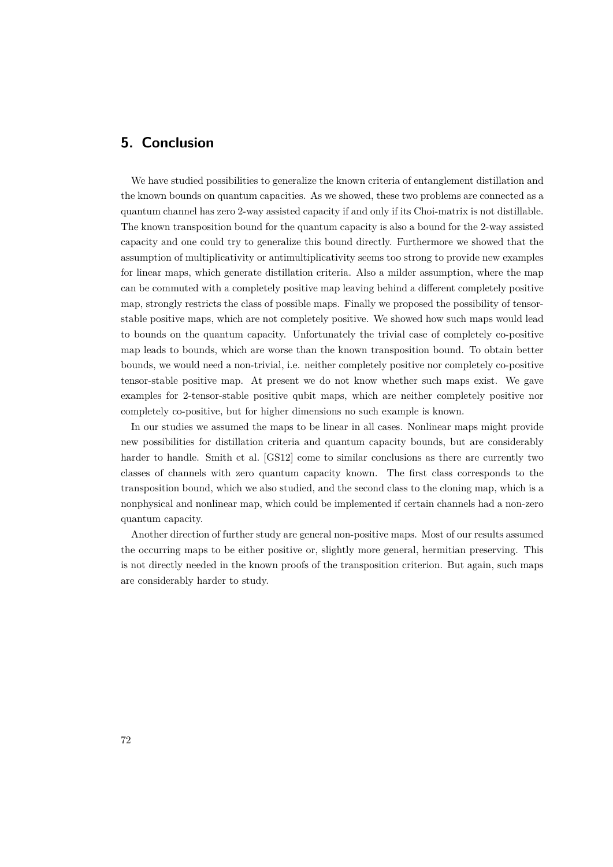# **5. Conclusion**

We have studied possibilities to generalize the known criteria of entanglement distillation and the known bounds on quantum capacities. As we showed, these two problems are connected as a quantum channel has zero 2-way assisted capacity if and only if its Choi-matrix is not distillable. The known transposition bound for the quantum capacity is also a bound for the 2-way assisted capacity and one could try to generalize this bound directly. Furthermore we showed that the assumption of multiplicativity or antimultiplicativity seems too strong to provide new examples for linear maps, which generate distillation criteria. Also a milder assumption, where the map can be commuted with a completely positive map leaving behind a different completely positive map, strongly restricts the class of possible maps. Finally we proposed the possibility of tensorstable positive maps, which are not completely positive. We showed how such maps would lead to bounds on the quantum capacity. Unfortunately the trivial case of completely co-positive map leads to bounds, which are worse than the known transposition bound. To obtain better bounds, we would need a non-trivial, i.e. neither completely positive nor completely co-positive tensor-stable positive map. At present we do not know whether such maps exist. We gave examples for 2-tensor-stable positive qubit maps, which are neither completely positive nor completely co-positive, but for higher dimensions no such example is known.

In our studies we assumed the maps to be linear in all cases. Nonlinear maps might provide new possibilities for distillation criteria and quantum capacity bounds, but are considerably harder to handle. Smith et al. [\[GS12\]](#page-83-3) come to similar conclusions as there are currently two classes of channels with zero quantum capacity known. The first class corresponds to the transposition bound, which we also studied, and the second class to the cloning map, which is a nonphysical and nonlinear map, which could be implemented if certain channels had a non-zero quantum capacity.

Another direction of further study are general non-positive maps. Most of our results assumed the occurring maps to be either positive or, slightly more general, hermitian preserving. This is not directly needed in the known proofs of the transposition criterion. But again, such maps are considerably harder to study.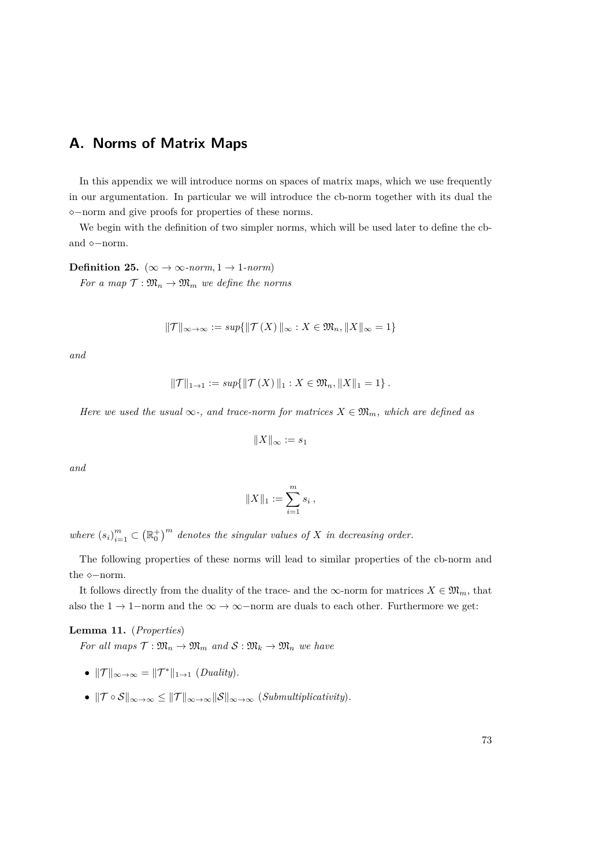## **A. Norms of Matrix Maps**

In this appendix we will introduce norms on spaces of matrix maps, which we use frequently in our argumentation. In particular we will introduce the cb-norm together with its dual the −norm and give proofs for properties of these norms.

We begin with the definition of two simpler norms, which will be used later to define the cband  $\diamond$ -norm.

**Definition 25.** ( $\infty \to \infty$ *-norm*, 1  $\to$  1*-norm*)

*For a map*  $\mathcal{T} : \mathfrak{M}_n \to \mathfrak{M}_m$  *we define the norms* 

$$
\|\mathcal{T}\|_{\infty\to\infty} := \sup\{\|\mathcal{T}(X)\|_{\infty} : X \in \mathfrak{M}_n, \|X\|_{\infty} = 1\}
$$

*and*

$$
||\mathcal{T}||_{1\to 1} := sup\{||\mathcal{T}(X)||_1 : X \in \mathfrak{M}_n, ||X||_1 = 1\}.
$$

*Here we used the usual*  $\infty$ *-, and trace-norm for matrices*  $X \in \mathfrak{M}_m$ *, which are defined as* 

$$
||X||_{\infty} := s_1
$$

*and*

$$
||X||_1 := \sum_{i=1}^m s_i ,
$$

where  $(s_i)_{i=1}^m \subset (\mathbb{R}_0^+)^m$  denotes the singular values of X in decreasing order.

The following properties of these norms will lead to similar properties of the cb-norm and the  $\diamond$ -norm.

It follows directly from the duality of the trace- and the  $\infty$ -norm for matrices  $X \in \mathfrak{M}_m$ , that also the  $1 \rightarrow 1$ -norm and the  $\infty \rightarrow \infty$ -norm are duals to each other. Furthermore we get:

## **Lemma 11.** (*Properties*)

*For all maps*  $\mathcal{T}: \mathfrak{M}_n \to \mathfrak{M}_m$  *and*  $\mathcal{S}: \mathfrak{M}_k \to \mathfrak{M}_n$  *we have* 

- $||\mathcal{T}||_{\infty\to\infty} = ||\mathcal{T}^*||_{1\to 1}$  (*Duality*).
- $\|\mathcal{T} \circ \mathcal{S}\|_{\infty \to \infty} \le \|\mathcal{T}\|_{\infty \to \infty} \|\mathcal{S}\|_{\infty \to \infty}$  (*Submultiplicativity*).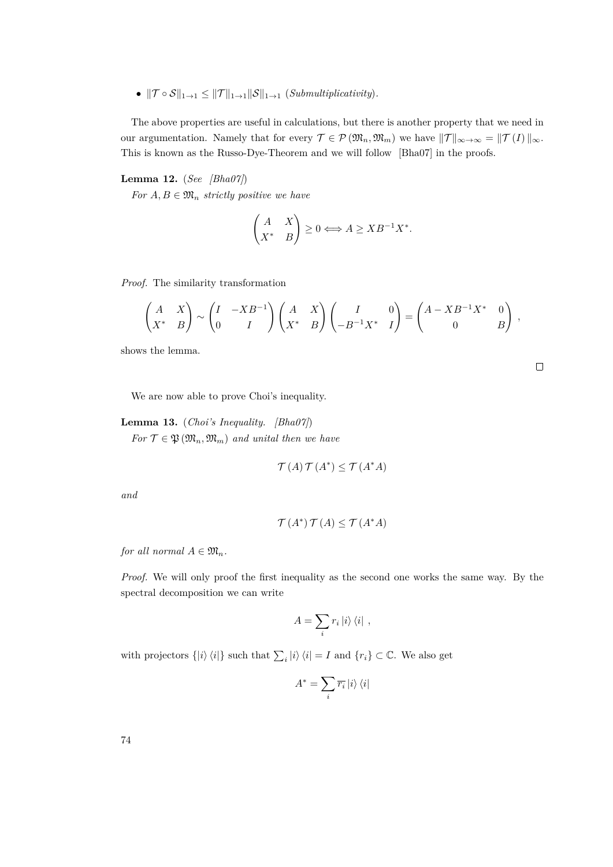•  $||\mathcal{T} \circ \mathcal{S}||_{1\to 1} \leq ||\mathcal{T}||_{1\to 1}||\mathcal{S}||_{1\to 1}$  (*Submultiplicativity*).

The above properties are useful in calculations, but there is another property that we need in our argumentation. Namely that for every  $\mathcal{T} \in \mathcal{P}(\mathfrak{M}_n, \mathfrak{M}_m)$  we have  $||\mathcal{T}||_{\infty \to \infty} = ||\mathcal{T}(I)||_{\infty}$ . This is known as the Russo-Dye-Theorem and we will follow [\[Bha07\]](#page-83-0) in the proofs.

### <span id="page-73-0"></span>**Lemma 12.** (*See [\[Bha07\]](#page-83-0)*)

*For*  $A, B \in \mathfrak{M}_n$  *strictly positive we have* 

$$
\begin{pmatrix} A & X \\ X^* & B \end{pmatrix} \ge 0 \Longleftrightarrow A \ge XB^{-1}X^*.
$$

*Proof.* The similarity transformation

$$
\begin{pmatrix} A & X \\ X^* & B \end{pmatrix} \sim \begin{pmatrix} I & -XB^{-1} \\ 0 & I \end{pmatrix} \begin{pmatrix} A & X \\ X^* & B \end{pmatrix} \begin{pmatrix} I & 0 \\ -B^{-1}X^* & I \end{pmatrix} = \begin{pmatrix} A - XB^{-1}X^* & 0 \\ 0 & B \end{pmatrix},
$$

shows the lemma.

We are now able to prove Choi's inequality.

<span id="page-73-1"></span>**Lemma 13.** (*Choi's Inequality. [\[Bha07\]](#page-83-0)*) *For*  $\mathcal{T} \in \mathfrak{P}(\mathfrak{M}_n, \mathfrak{M}_m)$  *and unital then we have* 

$$
\mathcal{T}(A)\,\mathcal{T}(A^*)\leq \mathcal{T}(A^*A)
$$

*and*

$$
\mathcal{T}(A^*)\,\mathcal{T}(A) \leq \mathcal{T}(A^*A)
$$

*for all normal*  $A \in \mathfrak{M}_n$ *.* 

*Proof.* We will only proof the first inequality as the second one works the same way. By the spectral decomposition we can write

$$
A = \sum_{i} r_{i} |i\rangle \langle i| ,
$$

with projectors  $\{|i\rangle\langle i|\}$  such that  $\sum_i |i\rangle\langle i| = I$  and  $\{r_i\} \subset \mathbb{C}$ . We also get

$$
A^*=\sum_i \overline{r_i}\ket{i}\bra{i}
$$

74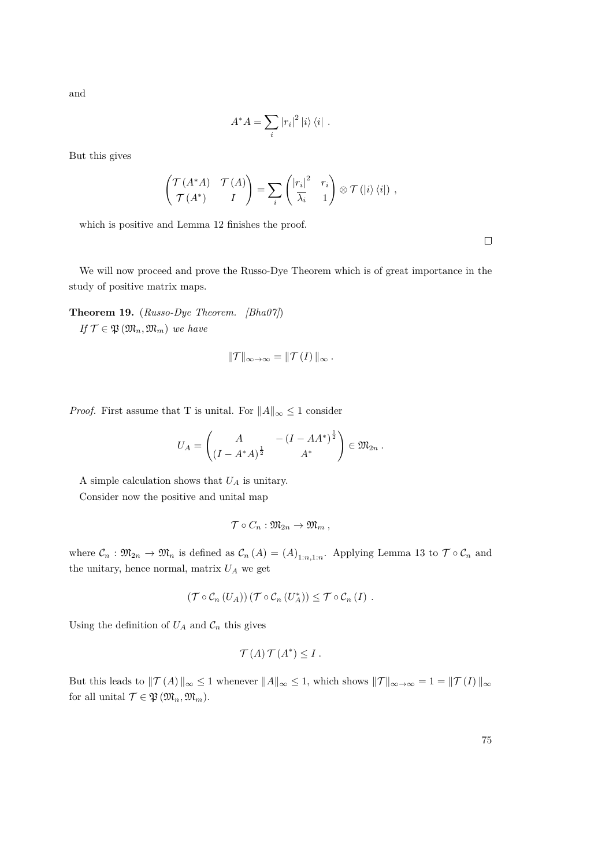and

$$
A^*A = \sum_i |r_i|^2 |i\rangle\langle i|.
$$

But this gives

$$
\begin{pmatrix} \mathcal{T}(A^*A) & \mathcal{T}(A) \\ \mathcal{T}(A^*) & I \end{pmatrix} = \sum_i \begin{pmatrix} |r_i|^2 & r_i \\ \overline{\lambda_i} & 1 \end{pmatrix} \otimes \mathcal{T}(|i\rangle\langle i|) ,
$$

which is positive and Lemma [12](#page-73-0) finishes the proof.

 $\Box$ 

We will now proceed and prove the Russo-Dye Theorem which is of great importance in the study of positive matrix maps.

<span id="page-74-0"></span>**Theorem 19.** (*Russo-Dye Theorem. [\[Bha07\]](#page-83-0)*)  $If \mathcal{T} \in \mathfrak{P}(\mathfrak{M}_n, \mathfrak{M}_m)$  *we have* 

$$
\|\mathcal{T}\|_{\infty\to\infty}=\|\mathcal{T}(I)\|_{\infty}.
$$

*Proof.* First assume that T is unital. For  $||A||_{\infty} \leq 1$  consider

$$
U_A = \begin{pmatrix} A & -(I - AA^*)^{\frac{1}{2}} \\ (I - A^*A)^{\frac{1}{2}} & A^* \end{pmatrix} \in \mathfrak{M}_{2n} .
$$

A simple calculation shows that *U<sup>A</sup>* is unitary. Consider now the positive and unital map

$$
\mathcal{T}\circ C_n:\mathfrak{M}_{2n}\to\mathfrak{M}_m\ ,
$$

where  $\mathcal{C}_n : \mathfrak{M}_{2n} \to \mathfrak{M}_n$  is defined as  $\mathcal{C}_n(A) = (A)_{1:n,1:n}$ . Applying Lemma [13](#page-73-1) to  $\mathcal{T} \circ \mathcal{C}_n$  and the unitary, hence normal, matrix  $U_A$  we get

$$
(\mathcal{T}\circ\mathcal{C}_n(U_A))(\mathcal{T}\circ\mathcal{C}_n(U_A^*))\leq \mathcal{T}\circ\mathcal{C}_n(I).
$$

Using the definition of  $U_A$  and  $\mathcal{C}_n$  this gives

$$
\mathcal{T}(A)\,\mathcal{T}(A^*)\leq I\,.
$$

But this leads to  $||\mathcal{T}(A)||_{\infty} \leq 1$  whenever  $||A||_{\infty} \leq 1$ , which shows  $||\mathcal{T}||_{\infty \to \infty} = 1 = ||\mathcal{T}(I)||_{\infty}$ for all unital  $\mathcal{T} \in \mathfrak{P}(\mathfrak{M}_n, \mathfrak{M}_m)$ .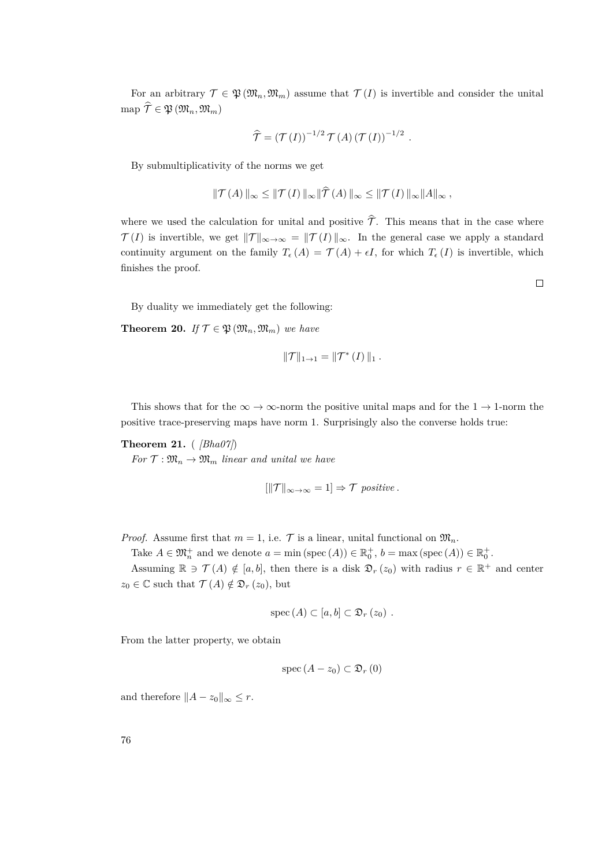For an arbitrary  $\mathcal{T} \in \mathfrak{P}(\mathfrak{M}_n, \mathfrak{M}_m)$  assume that  $\mathcal{T}(I)$  is invertible and consider the unital  $\hat{\mathcal{T}} \in \mathfrak{P} \left( \mathfrak{M}_n, \mathfrak{M}_m \right)$ 

$$
\widehat{\mathcal{T}} = (\mathcal{T}(I))^{-1/2} \mathcal{T}(A) (\mathcal{T}(I))^{-1/2} .
$$

By submultiplicativity of the norms we get

$$
\|\mathcal{T}(A)\|_{\infty} \le \|\mathcal{T}(I)\|_{\infty} \|\widehat{\mathcal{T}}(A)\|_{\infty} \le \|\mathcal{T}(I)\|_{\infty} \|A\|_{\infty},
$$

where we used the calculation for unital and positive  $\hat{\mathcal{T}}$ . This means that in the case where  $\mathcal{T}(I)$  is invertible, we get  $\|\mathcal{T}\|_{\infty\to\infty}=\|\mathcal{T}(I)\|_{\infty}$ . In the general case we apply a standard continuity argument on the family  $T_{\epsilon}(A) = \mathcal{T}(A) + \epsilon I$ , for which  $T_{\epsilon}(I)$  is invertible, which finishes the proof.

By duality we immediately get the following:

<span id="page-75-0"></span>**Theorem 20.** *If*  $\mathcal{T} \in \mathfrak{P}(\mathfrak{M}_n, \mathfrak{M}_m)$  *we have* 

$$
\|\mathcal{T}\|_{1\to 1} = \|\mathcal{T}^*(I)\|_1.
$$

This shows that for the  $\infty \to \infty$ -norm the positive unital maps and for the 1  $\to$  1-norm the positive trace-preserving maps have norm 1. Surprisingly also the converse holds true:

<span id="page-75-1"></span>**Theorem 21.** ( *[\[Bha07\]](#page-83-0)*)

*For*  $\mathcal{T}: \mathfrak{M}_n \to \mathfrak{M}_m$  *linear and unital we have* 

$$
[||\mathcal{T}||_{\infty \to \infty} = 1] \Rightarrow \mathcal{T} \text{ positive.}
$$

*Proof.* Assume first that  $m = 1$ , i.e.  $\mathcal{T}$  is a linear, unital functional on  $\mathfrak{M}_n$ .

Take  $A \in \mathfrak{M}_n^+$  and we denote  $a = \min(\text{spec}(A)) \in \mathbb{R}_0^+$ ,  $b = \max(\text{spec}(A)) \in \mathbb{R}_0^+$ .

Assuming  $\mathbb{R} \ni \mathcal{T}(A) \notin [a, b]$ , then there is a disk  $\mathfrak{D}_r(z_0)$  with radius  $r \in \mathbb{R}^+$  and center  $z_0 \in \mathbb{C}$  such that  $\mathcal{T}(A) \notin \mathfrak{D}_r(z_0)$ , but

$$
spec (A) \subset [a, b] \subset \mathfrak{D}_r (z_0) .
$$

From the latter property, we obtain

$$
\operatorname{spec}(A-z_0) \subset \mathfrak{D}_r(0)
$$

and therefore  $||A - z_0||_{\infty} \leq r$ .

 $\Box$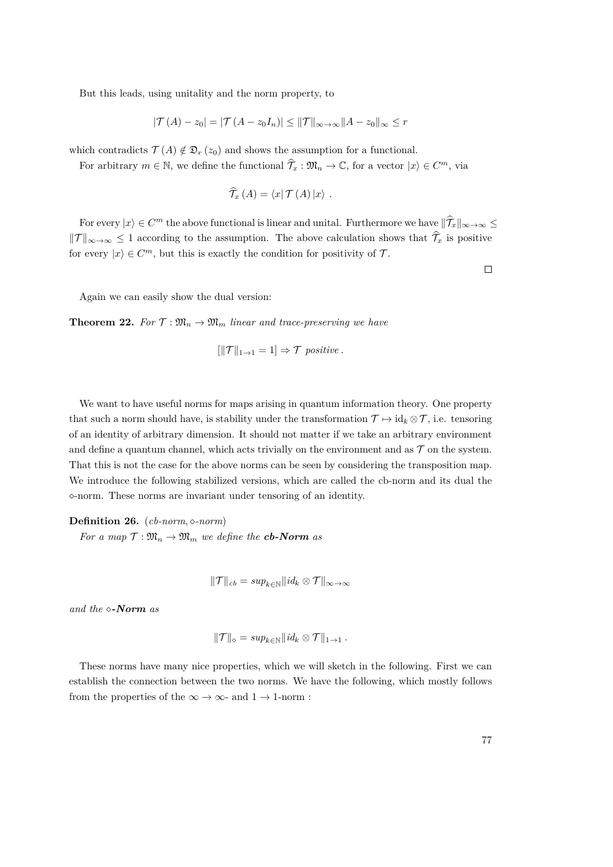But this leads, using unitality and the norm property, to

$$
|\mathcal{T}(A) - z_0| = |\mathcal{T}(A - z_0 I_n)| \le ||\mathcal{T}||_{\infty \to \infty} ||A - z_0||_{\infty} \le r
$$

which contradicts  $\mathcal{T}(A) \notin \mathfrak{D}_r(z_0)$  and shows the assumption for a functional.

For arbitrary  $m \in \mathbb{N}$ , we define the functional  $\hat{\mathcal{T}}_x : \mathfrak{M}_n \to \mathbb{C}$ , for a vector  $|x\rangle \in C^m$ , via

$$
\widehat{\mathcal{T}}_x\left(A\right)=\left\langle x\right|\mathcal{T}\left(A\right)\left|x\right\rangle\right.
$$

For every  $|x\rangle \in C^m$  the above functional is linear and unital. Furthermore we have  $\|\widehat{T}_x\|_{\infty\to\infty} \leq$  $||\mathcal{T}||_{\infty\to\infty} \leq 1$  according to the assumption. The above calculation shows that  $\hat{\mathcal{T}}_x$  is positive for every  $|x\rangle \in C^m$ , but this is exactly the condition for positivity of  $\mathcal{T}$ .

 $\Box$ 

Again we can easily show the dual version:

<span id="page-76-0"></span>**Theorem 22.** For  $\mathcal{T}: \mathfrak{M}_n \to \mathfrak{M}_m$  linear and trace-preserving we have

$$
[\|\mathcal{T}\|_{1\to 1}=1] \Rightarrow \mathcal{T} \text{ positive.}
$$

We want to have useful norms for maps arising in quantum information theory. One property that such a norm should have, is stability under the transformation  $\mathcal{T} \mapsto id_k \otimes \mathcal{T}$ , i.e. tensoring of an identity of arbitrary dimension. It should not matter if we take an arbitrary environment and define a quantum channel, which acts trivially on the environment and as  $\mathcal T$  on the system. That this is not the case for the above norms can be seen by considering the transposition map. We introduce the following stabilized versions, which are called the cb-norm and its dual the -norm. These norms are invariant under tensoring of an identity.

**Definition 26.** (*cb-norm, -norm*)

*For a map*  $\mathcal{T}: \mathfrak{M}_n \to \mathfrak{M}_m$  *we define the cb-Norm as* 

$$
\|\mathcal{T}\|_{cb} = sup_{k\in\mathbb{N}}||id_k\otimes\mathcal{T}||_{\infty\to\infty}
$$

*and the -Norm as*

$$
\|\mathcal{T}\|_{\diamond} = sup_{k\in\mathbb{N}}||id_k \otimes \mathcal{T}||_{1\to 1}.
$$

These norms have many nice properties, which we will sketch in the following. First we can establish the connection between the two norms. We have the following, which mostly follows from the properties of the  $\infty \to \infty$ - and  $1 \to 1$ -norm :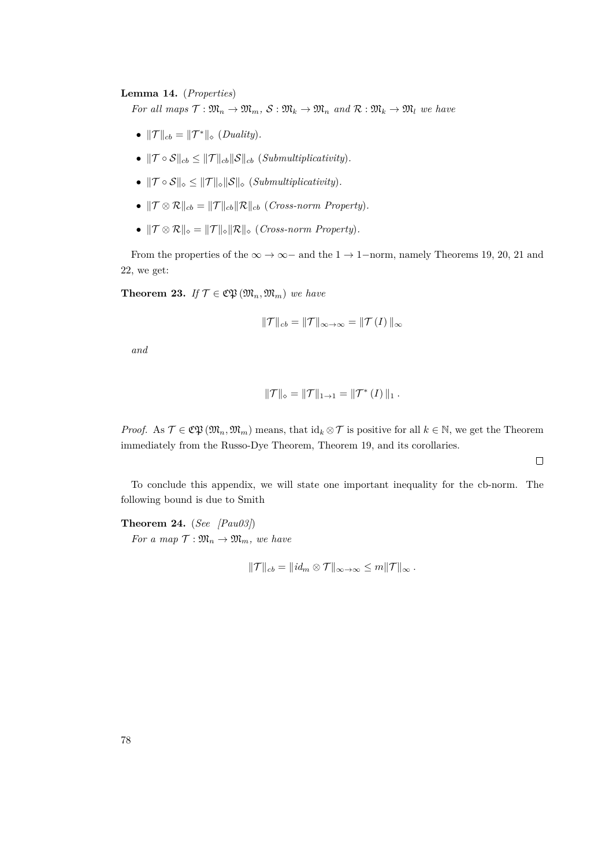### **Lemma 14.** (*Properties*)

*For all maps*  $\mathcal{T}: \mathfrak{M}_n \to \mathfrak{M}_m$ ,  $\mathcal{S}: \mathfrak{M}_k \to \mathfrak{M}_n$  and  $\mathcal{R}: \mathfrak{M}_k \to \mathfrak{M}_l$  *we have* 

- $\|\mathcal{T}\|_{cb} = \|\mathcal{T}^*\|_{\diamond}$  (*Duality*).
- $\|\mathcal{T} \circ \mathcal{S}\|_{cb} \leq \|\mathcal{T}\|_{cb} \|\mathcal{S}\|_{cb}$  (*Submultiplicativity*).
- $\|\mathcal{T} \circ \mathcal{S}\|_{\diamond} \leq \|\mathcal{T}\|_{\diamond} \|\mathcal{S}\|_{\diamond}$  (*Submultiplicativity*).
- $\|\mathcal{T} \otimes \mathcal{R}\|_{cb} = \|\mathcal{T}\|_{cb} \|\mathcal{R}\|_{cb}$  (*Cross-norm Property*).
- $\|\mathcal{T} \otimes \mathcal{R}\|_{\diamond} = \|\mathcal{T}\|_{\diamond} \|\mathcal{R}\|_{\diamond}$  (*Cross-norm Property*).

From the properties of the  $\infty \to \infty$  – and the 1  $\to$  1−norm, namely Theorems [19,](#page-74-0) [20,](#page-75-0) [21](#page-75-1) and [22,](#page-76-0) we get:

**Theorem 23.** *If*  $\mathcal{T} \in \mathfrak{C} \mathfrak{P}(\mathfrak{M}_n, \mathfrak{M}_m)$  *we have* 

$$
\|\mathcal{T}\|_{cb} = \|\mathcal{T}\|_{\infty \to \infty} = \|\mathcal{T}(I)\|_{\infty}
$$

*and*

$$
\|\mathcal{T}\|_{\diamond} = \|\mathcal{T}\|_{1\to 1} = \|\mathcal{T}^*(I)\|_1.
$$

*Proof.* As  $\mathcal{T} \in \mathfrak{C} \mathfrak{P}(\mathfrak{M}_n, \mathfrak{M}_m)$  means, that  $\mathrm{id}_k \otimes \mathcal{T}$  is positive for all  $k \in \mathbb{N}$ , we get the Theorem immediately from the Russo-Dye Theorem, Theorem [19,](#page-74-0) and its corollaries.

 $\Box$ 

To conclude this appendix, we will state one important inequality for the cb-norm. The following bound is due to Smith

**Theorem 24.** (*See [\[Pau03\]](#page-84-0)*) *For a map*  $\mathcal{T}: \mathfrak{M}_n \to \mathfrak{M}_m$ *, we have* 

$$
||\mathcal{T}||_{cb} = ||id_m \otimes \mathcal{T}||_{\infty \to \infty} \leq m||\mathcal{T}||_{\infty}.
$$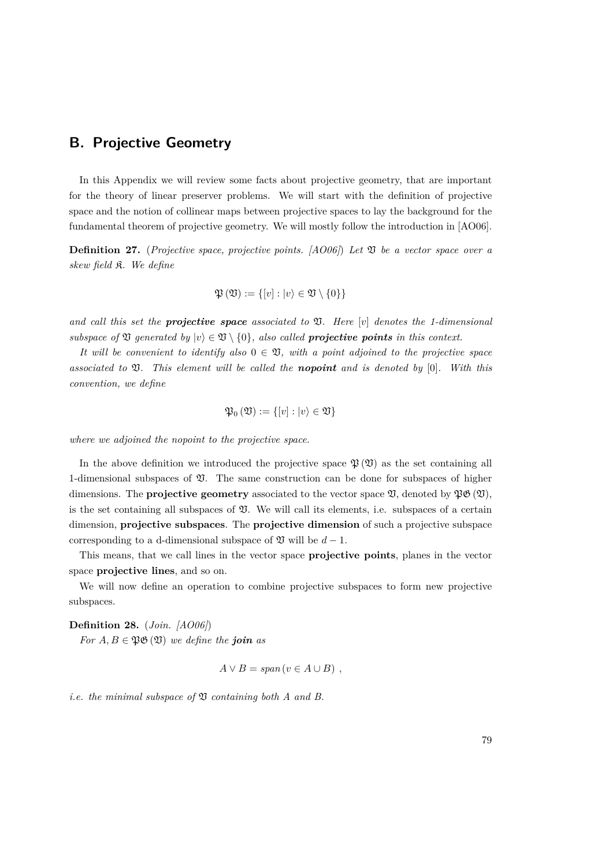# **B. Projective Geometry**

In this Appendix we will review some facts about projective geometry, that are important for the theory of linear preserver problems. We will start with the definition of projective space and the notion of collinear maps between projective spaces to lay the background for the fundamental theorem of projective geometry. We will mostly follow the introduction in [\[AO06\]](#page-83-1).

**Definition 27.** (*Projective space, projective points. [\[AO06\]](#page-83-1)*) *Let* V *be a vector space over a skew field* K*. We define*

$$
\mathfrak{P}\left(\mathfrak{V}\right) := \{ [v] : |v\rangle \in \mathfrak{V} \setminus \{0\} \}
$$

*and call this set the projective space associated to* V*. Here* [*v*] *denotes the 1-dimensional subspace of*  $\mathfrak V$  *generated by*  $|v\rangle \in \mathfrak V \setminus \{0\}$ *, also called projective points in this context.* 

*It will be convenient to identify also*  $0 \in \mathfrak{V}$ *, with a point adjoined to the projective space associated to* V*. This element will be called the nopoint and is denoted by* [0]*. With this convention, we define*

$$
\mathfrak{P}_0(\mathfrak{V}):=\{[v]:|v\rangle\in\mathfrak{V}\}
$$

*where we adjoined the nopoint to the projective space.*

In the above definition we introduced the projective space  $\mathfrak{P}(\mathfrak{V})$  as the set containing all 1-dimensional subspaces of  $\mathfrak V$ . The same construction can be done for subspaces of higher dimensions. The **projective geometry** associated to the vector space  $\mathfrak{V}$ , denoted by  $\mathfrak{P}(\mathfrak{V})$ , is the set containing all subspaces of  $\mathfrak V$ . We will call its elements, i.e. subspaces of a certain dimension, **projective subspaces**. The **projective dimension** of such a projective subspace corresponding to a d-dimensional subspace of  $\mathfrak V$  will be  $d-1$ .

This means, that we call lines in the vector space **projective points**, planes in the vector space **projective lines**, and so on.

We will now define an operation to combine projective subspaces to form new projective subspaces.

**Definition 28.** (*Join. [\[AO06\]](#page-83-1)*)

*For*  $A, B \in \mathfrak{PO}(\mathfrak{V})$  *we define the join as* 

$$
A \vee B = span(v \in A \cup B) ,
$$

*i.e. the minimal subspace of* V *containing both A and B.*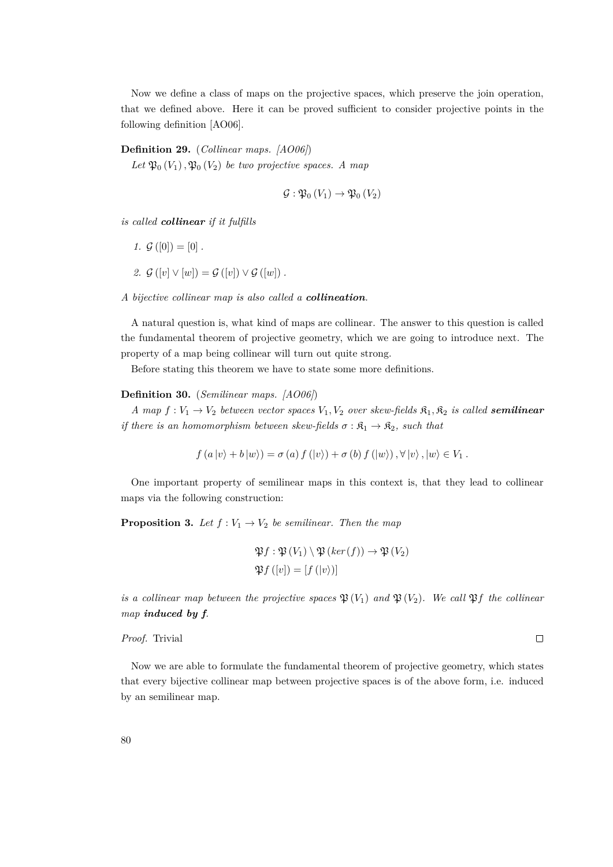Now we define a class of maps on the projective spaces, which preserve the join operation, that we defined above. Here it can be proved sufficient to consider projective points in the following definition [\[AO06\]](#page-83-1).

### **Definition 29.** (*Collinear maps. [\[AO06\]](#page-83-1)*)

Let  $\mathfrak{P}_0(V_1)$ ,  $\mathfrak{P}_0(V_2)$  *be two projective spaces. A map* 

$$
\mathcal{G}:\mathfrak{P}_0(V_1)\to\mathfrak{P}_0(V_2)
$$

*is called collinear if it fulfills*

- *1.*  $\mathcal{G}([0]) = [0]$ .
- 2.  $G([v] \vee [w]) = G([v]) \vee G([w])$ .

*A bijective collinear map is also called a collineation.*

A natural question is, what kind of maps are collinear. The answer to this question is called the fundamental theorem of projective geometry, which we are going to introduce next. The property of a map being collinear will turn out quite strong.

Before stating this theorem we have to state some more definitions.

#### **Definition 30.** (*Semilinear maps. [\[AO06\]](#page-83-1)*)

*A* map  $f: V_1 \to V_2$  *between vector spaces*  $V_1, V_2$  *over skew-fields*  $\mathfrak{K}_1, \mathfrak{K}_2$  *is called semilinear if there is an homomorphism between skew-fields*  $\sigma : \mathfrak{K}_1 \to \mathfrak{K}_2$ *, such that* 

$$
f(a|v\rangle + b|w\rangle) = \sigma(a)f(|v\rangle) + \sigma(b)f(|w\rangle), \forall |v\rangle, |w\rangle \in V_1.
$$

One important property of semilinear maps in this context is, that they lead to collinear maps via the following construction:

<span id="page-79-0"></span>**Proposition 3.** Let  $f: V_1 \to V_2$  be semilinear. Then the map

$$
\mathfrak{P}f : \mathfrak{P}(V_1) \setminus \mathfrak{P}(ker(f)) \to \mathfrak{P}(V_2)
$$
  

$$
\mathfrak{P}f([v]) = [f(|v\rangle)]
$$

*is a collinear map between the projective spaces*  $\mathfrak{P}(V_1)$  *and*  $\mathfrak{P}(V_2)$ *. We call*  $\mathfrak{P}f$  *the collinear map induced by f.*

 $\Box$ 

*Proof.* Trivial

Now we are able to formulate the fundamental theorem of projective geometry, which states that every bijective collinear map between projective spaces is of the above form, i.e. induced by an semilinear map.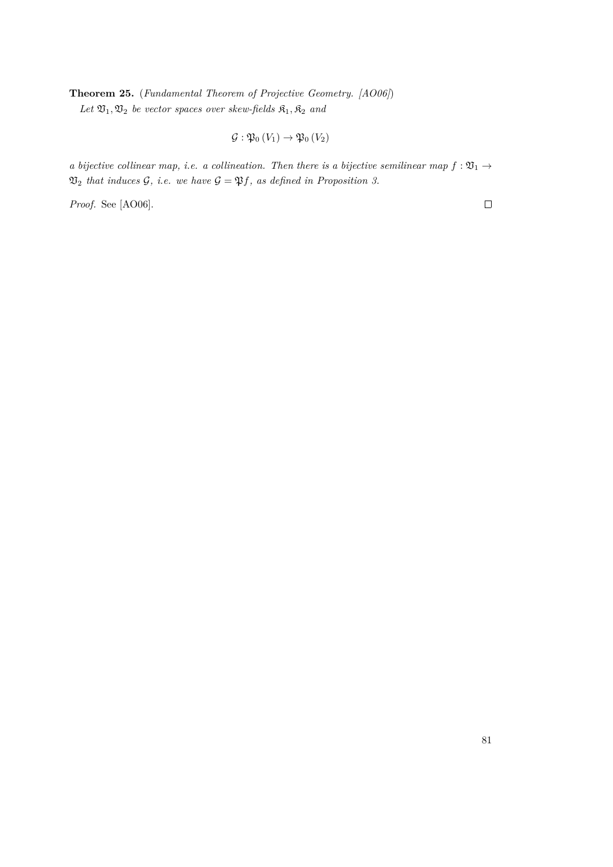**Theorem 25.** (*Fundamental Theorem of Projective Geometry. [\[AO06\]](#page-83-1)*)  $Let \mathfrak{V}_1, \mathfrak{V}_2$  *be vector spaces over skew-fields*  $\mathfrak{K}_1, \mathfrak{K}_2$  *and* 

$$
\mathcal{G}:\mathfrak{P}_0(V_1)\to\mathfrak{P}_0(V_2)
$$

*a bijective collinear map, i.e. a collineation. Then there is a bijective semilinear map*  $f : \mathfrak{V}_1 \rightarrow$  $\mathfrak{V}_2$  *that induces*  $\mathcal{G}$ *, i.e. we have*  $\mathcal{G} = \mathfrak{P}f$ *, as defined in Proposition [3.](#page-79-0)* 

*Proof.* See [\[AO06\]](#page-83-1).

 $\Box$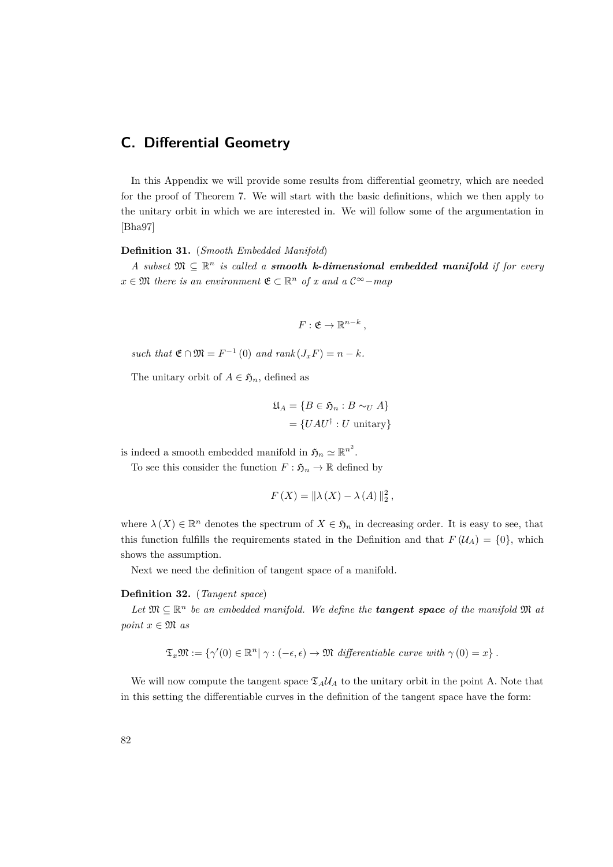# **C. Differential Geometry**

In this Appendix we will provide some results from differential geometry, which are needed for the proof of Theorem [7.](#page-37-0) We will start with the basic definitions, which we then apply to the unitary orbit in which we are interested in. We will follow some of the argumentation in [\[Bha97\]](#page-83-2)

### **Definition 31.** (*Smooth Embedded Manifold*)

*A* subset  $\mathfrak{M} \subseteq \mathbb{R}^n$  *is called a smooth k-dimensional embedded manifold if for every*  $x \in \mathfrak{M}$  *there is an environment*  $\mathfrak{E} \subset \mathbb{R}^n$  *of x and a*  $\mathcal{C}^{\infty}$ *-map* 

$$
F: \mathfrak{E} \to \mathbb{R}^{n-k},
$$

 $such that \mathfrak{E} \cap \mathfrak{M} = F^{-1}(0) \text{ and } rank(J_x F) = n - k.$ 

The unitary orbit of  $A \in \mathfrak{H}_n$ , defined as

$$
\mathfrak{U}_A = \{ B \in \mathfrak{H}_n : B \sim_U A \}
$$

$$
= \{ UAU^\dagger : U \text{ unitary} \}
$$

is indeed a smooth embedded manifold in  $\mathfrak{H}_n \simeq \mathbb{R}^{n^2}$ .

To see this consider the function  $F : \mathfrak{H}_n \to \mathbb{R}$  defined by

$$
F(X) = \|\lambda(X) - \lambda(A)\|_2^2,
$$

where  $\lambda(X) \in \mathbb{R}^n$  denotes the spectrum of  $X \in \mathfrak{H}_n$  in decreasing order. It is easy to see, that this function fulfills the requirements stated in the Definition and that  $F(\mathcal{U}_A) = \{0\}$ , which shows the assumption.

Next we need the definition of tangent space of a manifold.

#### **Definition 32.** (*Tangent space*)

Let  $\mathfrak{M} \subseteq \mathbb{R}^n$  be an embedded manifold. We define the **tangent space** of the manifold  $\mathfrak{M}$  at *point*  $x \in \mathfrak{M}$  *as* 

$$
\mathfrak{T}_x \mathfrak{M} := \{ \gamma'(0) \in \mathbb{R}^n | \ \gamma : (-\epsilon, \epsilon) \to \mathfrak{M} \ \text{differentiable curve with } \gamma(0) = x \} \ .
$$

We will now compute the tangent space  $\mathfrak{T}_A U_A$  to the unitary orbit in the point A. Note that in this setting the differentiable curves in the definition of the tangent space have the form: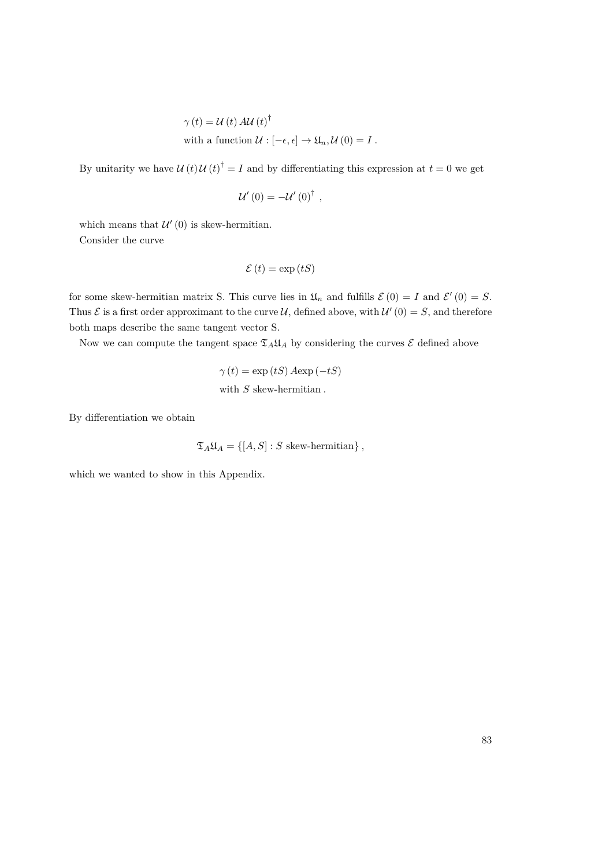$$
\gamma(t) = \mathcal{U}(t) A \mathcal{U}(t)^{\dagger}
$$
  
with a function  $\mathcal{U}: [-\epsilon, \epsilon] \to \mathfrak{U}_n, \mathcal{U}(0) = I$ .

By unitarity we have  $U(t)U(t)^{\dagger} = I$  and by differentiating this expression at  $t = 0$  we get

$$
\mathcal{U}'\left(0\right)=-\mathcal{U}'\left(0\right)^{\dagger},
$$

which means that  $\mathcal{U}'(0)$  is skew-hermitian. Consider the curve

$$
\mathcal{E}(t) = \exp(tS)
$$

for some skew-hermitian matrix S. This curve lies in  $\mathfrak{U}_n$  and fulfills  $\mathcal{E}(0) = I$  and  $\mathcal{E}'(0) = S$ . Thus  $\mathcal E$  is a first order approximant to the curve  $\mathcal U$ , defined above, with  $\mathcal U'(0) = S$ , and therefore both maps describe the same tangent vector S.

Now we can compute the tangent space  $\mathfrak{I}_A \mathfrak{U}_A$  by considering the curves  $\mathcal E$  defined above

 $\gamma(t) = \exp(tS) A \exp(-tS)$ with *S* skew-hermitian *.*

By differentiation we obtain

$$
\mathfrak{T}_A \mathfrak{U}_A = \{ [A, S] : S \text{ skew-hermitian} \},
$$

which we wanted to show in this Appendix.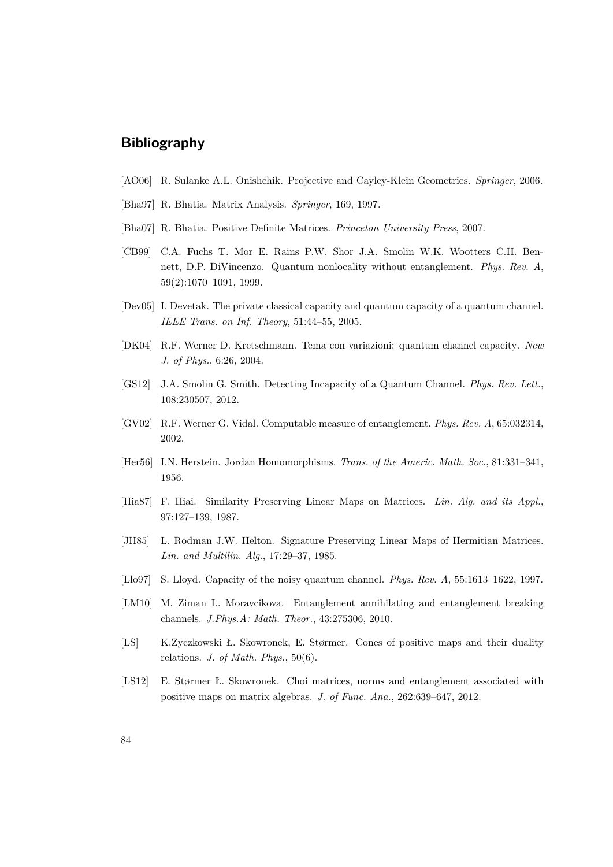# **Bibliography**

- <span id="page-83-1"></span>[AO06] R. Sulanke A.L. Onishchik. Projective and Cayley-Klein Geometries. *Springer*, 2006.
- <span id="page-83-2"></span>[Bha97] R. Bhatia. Matrix Analysis. *Springer*, 169, 1997.
- <span id="page-83-0"></span>[Bha07] R. Bhatia. Positive Definite Matrices. *Princeton University Press*, 2007.
- [CB99] C.A. Fuchs T. Mor E. Rains P.W. Shor J.A. Smolin W.K. Wootters C.H. Bennett, D.P. DiVincenzo. Quantum nonlocality without entanglement. *Phys. Rev. A*, 59(2):1070–1091, 1999.
- [Dev05] I. Devetak. The private classical capacity and quantum capacity of a quantum channel. *IEEE Trans. on Inf. Theory*, 51:44–55, 2005.
- [DK04] R.F. Werner D. Kretschmann. Tema con variazioni: quantum channel capacity. *New J. of Phys.*, 6:26, 2004.
- [GS12] J.A. Smolin G. Smith. Detecting Incapacity of a Quantum Channel. *Phys. Rev. Lett.*, 108:230507, 2012.
- [GV02] R.F. Werner G. Vidal. Computable measure of entanglement. *Phys. Rev. A*, 65:032314, 2002.
- [Her56] I.N. Herstein. Jordan Homomorphisms. *Trans. of the Americ. Math. Soc.*, 81:331–341, 1956.
- [Hia87] F. Hiai. Similarity Preserving Linear Maps on Matrices. *Lin. Alg. and its Appl.*, 97:127–139, 1987.
- [JH85] L. Rodman J.W. Helton. Signature Preserving Linear Maps of Hermitian Matrices. *Lin. and Multilin. Alg.*, 17:29–37, 1985.
- [Llo97] S. Lloyd. Capacity of the noisy quantum channel. *Phys. Rev. A*, 55:1613–1622, 1997.
- [LM10] M. Ziman L. Moravcikova. Entanglement annihilating and entanglement breaking channels. *J.Phys.A: Math. Theor.*, 43:275306, 2010.
- [LS] K.Zyczkowski Ł. Skowronek, E. Størmer. Cones of positive maps and their duality relations. *J. of Math. Phys.*, 50(6).
- [LS12] E. Størmer Ł. Skowronek. Choi matrices, norms and entanglement associated with positive maps on matrix algebras. *J. of Func. Ana.*, 262:639–647, 2012.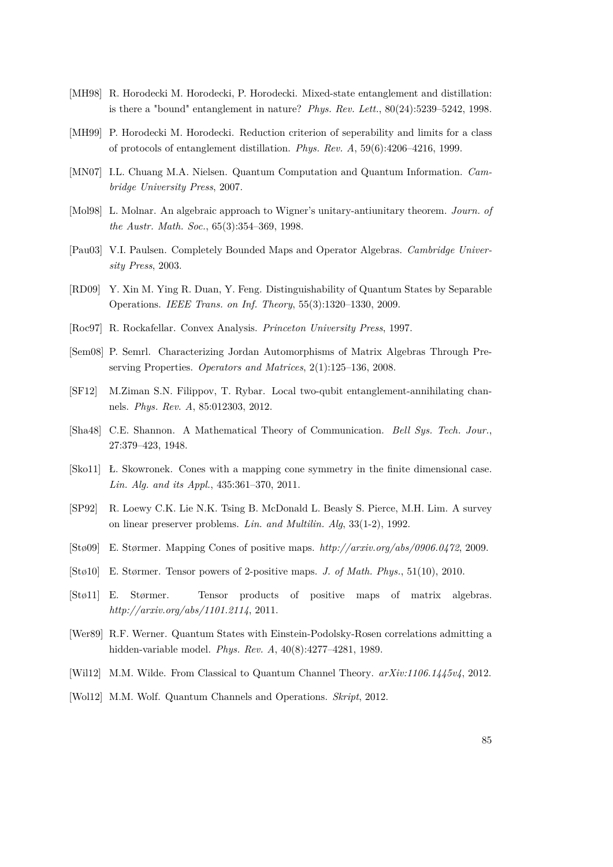- [MH98] R. Horodecki M. Horodecki, P. Horodecki. Mixed-state entanglement and distillation: is there a "bound" entanglement in nature? *Phys. Rev. Lett.*, 80(24):5239–5242, 1998.
- [MH99] P. Horodecki M. Horodecki. Reduction criterion of seperability and limits for a class of protocols of entanglement distillation. *Phys. Rev. A*, 59(6):4206–4216, 1999.
- [MN07] I.L. Chuang M.A. Nielsen. Quantum Computation and Quantum Information. *Cambridge University Press*, 2007.
- [Mol98] L. Molnar. An algebraic approach to Wigner's unitary-antiunitary theorem. *Journ. of the Austr. Math. Soc.*, 65(3):354–369, 1998.
- <span id="page-84-0"></span>[Pau03] V.I. Paulsen. Completely Bounded Maps and Operator Algebras. *Cambridge University Press*, 2003.
- [RD09] Y. Xin M. Ying R. Duan, Y. Feng. Distinguishability of Quantum States by Separable Operations. *IEEE Trans. on Inf. Theory*, 55(3):1320–1330, 2009.
- [Roc97] R. Rockafellar. Convex Analysis. *Princeton University Press*, 1997.
- [Sem08] P. Semrl. Characterizing Jordan Automorphisms of Matrix Algebras Through Preserving Properties. *Operators and Matrices*, 2(1):125–136, 2008.
- [SF12] M.Ziman S.N. Filippov, T. Rybar. Local two-qubit entanglement-annihilating channels. *Phys. Rev. A*, 85:012303, 2012.
- [Sha48] C.E. Shannon. A Mathematical Theory of Communication. *Bell Sys. Tech. Jour.*, 27:379–423, 1948.
- [Sko11] Ł. Skowronek. Cones with a mapping cone symmetry in the finite dimensional case. *Lin. Alg. and its Appl.*, 435:361–370, 2011.
- [SP92] R. Loewy C.K. Lie N.K. Tsing B. McDonald L. Beasly S. Pierce, M.H. Lim. A survey on linear preserver problems. *Lin. and Multilin. Alg*, 33(1-2), 1992.
- [Stø09] E. Størmer. Mapping Cones of positive maps. *http://arxiv.org/abs/0906.0472*, 2009.
- [Stø10] E. Størmer. Tensor powers of 2-positive maps. *J. of Math. Phys.*, 51(10), 2010.
- [Stø11] E. Størmer. Tensor products of positive maps of matrix algebras. *http://arxiv.org/abs/1101.2114*, 2011.
- [Wer89] R.F. Werner. Quantum States with Einstein-Podolsky-Rosen correlations admitting a hidden-variable model. *Phys. Rev. A*, 40(8):4277–4281, 1989.
- [Wil12] M.M. Wilde. From Classical to Quantum Channel Theory. *arXiv:1106.1445v4*, 2012.
- [Wol12] M.M. Wolf. Quantum Channels and Operations. *Skript*, 2012.